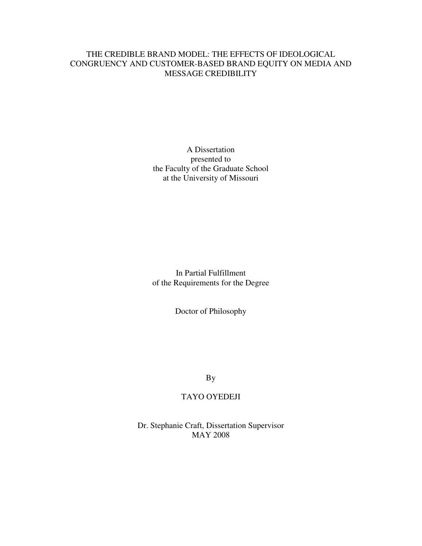## THE CREDIBLE BRAND MODEL: THE EFFECTS OF IDEOLOGICAL CONGRUENCY AND CUSTOMER-BASED BRAND EQUITY ON MEDIA AND MESSAGE CREDIBILITY

A Dissertation presented to the Faculty of the Graduate School at the University of Missouri

In Partial Fulfillment of the Requirements for the Degree

Doctor of Philosophy

By

## TAYO OYEDEJI

Dr. Stephanie Craft, Dissertation Supervisor MAY 2008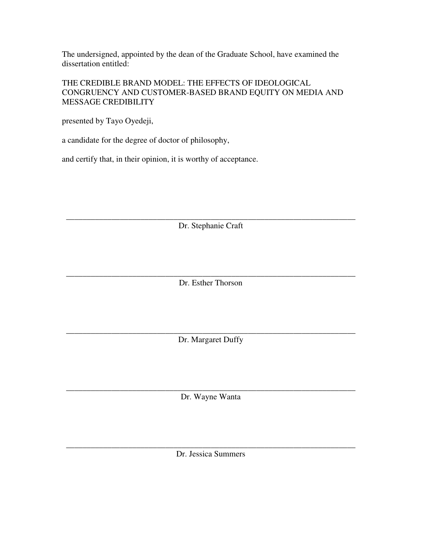The undersigned, appointed by the dean of the Graduate School, have examined the dissertation entitled:

## THE CREDIBLE BRAND MODEL: THE EFFECTS OF IDEOLOGICAL CONGRUENCY AND CUSTOMER-BASED BRAND EQUITY ON MEDIA AND MESSAGE CREDIBILITY

presented by Tayo Oyedeji,

a candidate for the degree of doctor of philosophy,

and certify that, in their opinion, it is worthy of acceptance.

\_\_\_\_\_\_\_\_\_\_\_\_\_\_\_\_\_\_\_\_\_\_\_\_\_\_\_\_\_\_\_\_\_\_\_\_\_\_\_\_\_\_\_\_\_\_\_\_\_\_\_\_\_\_\_\_\_\_\_\_\_\_\_\_\_\_\_\_\_\_ Dr. Stephanie Craft

\_\_\_\_\_\_\_\_\_\_\_\_\_\_\_\_\_\_\_\_\_\_\_\_\_\_\_\_\_\_\_\_\_\_\_\_\_\_\_\_\_\_\_\_\_\_\_\_\_\_\_\_\_\_\_\_\_\_\_\_\_\_\_\_\_\_\_\_\_\_ Dr. Esther Thorson

\_\_\_\_\_\_\_\_\_\_\_\_\_\_\_\_\_\_\_\_\_\_\_\_\_\_\_\_\_\_\_\_\_\_\_\_\_\_\_\_\_\_\_\_\_\_\_\_\_\_\_\_\_\_\_\_\_\_\_\_\_\_\_\_\_\_\_\_\_\_ Dr. Margaret Duffy

\_\_\_\_\_\_\_\_\_\_\_\_\_\_\_\_\_\_\_\_\_\_\_\_\_\_\_\_\_\_\_\_\_\_\_\_\_\_\_\_\_\_\_\_\_\_\_\_\_\_\_\_\_\_\_\_\_\_\_\_\_\_\_\_\_\_\_\_\_\_ Dr. Wayne Wanta

\_\_\_\_\_\_\_\_\_\_\_\_\_\_\_\_\_\_\_\_\_\_\_\_\_\_\_\_\_\_\_\_\_\_\_\_\_\_\_\_\_\_\_\_\_\_\_\_\_\_\_\_\_\_\_\_\_\_\_\_\_\_\_\_\_\_\_\_\_\_ Dr. Jessica Summers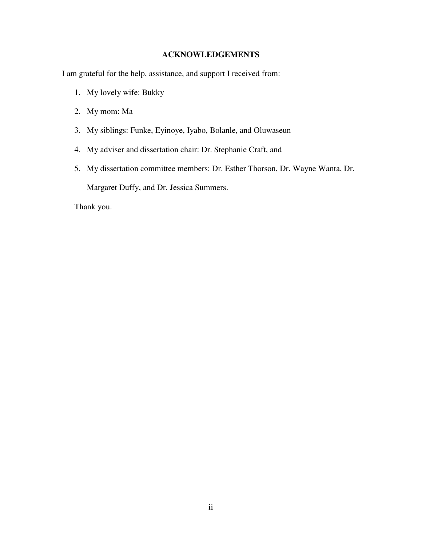## **ACKNOWLEDGEMENTS**

I am grateful for the help, assistance, and support I received from:

- 1. My lovely wife: Bukky
- 2. My mom: Ma
- 3. My siblings: Funke, Eyinoye, Iyabo, Bolanle, and Oluwaseun
- 4. My adviser and dissertation chair: Dr. Stephanie Craft, and
- 5. My dissertation committee members: Dr. Esther Thorson, Dr. Wayne Wanta, Dr. Margaret Duffy, and Dr. Jessica Summers.

Thank you.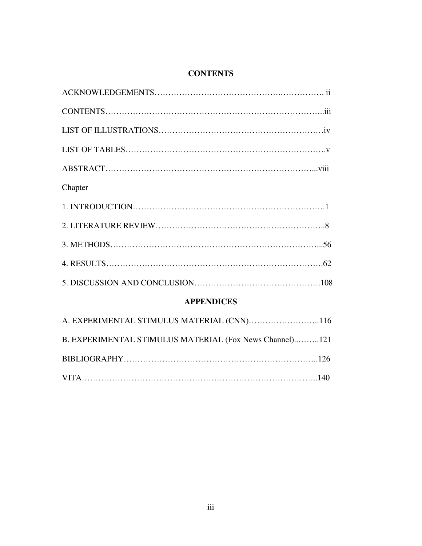# **CONTENTS**

| Chapter           |  |
|-------------------|--|
|                   |  |
|                   |  |
|                   |  |
|                   |  |
|                   |  |
| <b>APPENDICES</b> |  |
|                   |  |

| B. EXPERIMENTAL STIMULUS MATERIAL (Fox News Channel)121 |  |
|---------------------------------------------------------|--|
|                                                         |  |
|                                                         |  |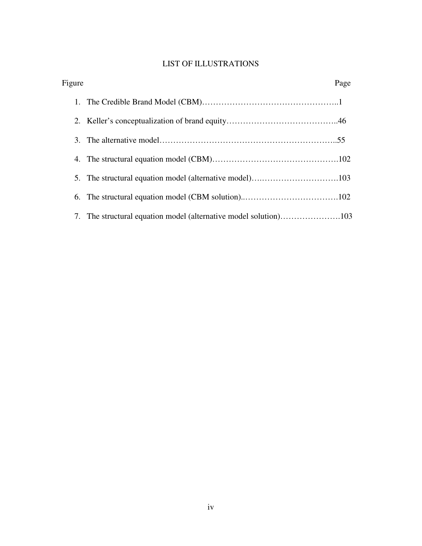# LIST OF ILLUSTRATIONS

| Figure | Page |
|--------|------|
|        |      |
|        |      |
|        |      |
|        |      |
|        |      |
|        |      |
|        |      |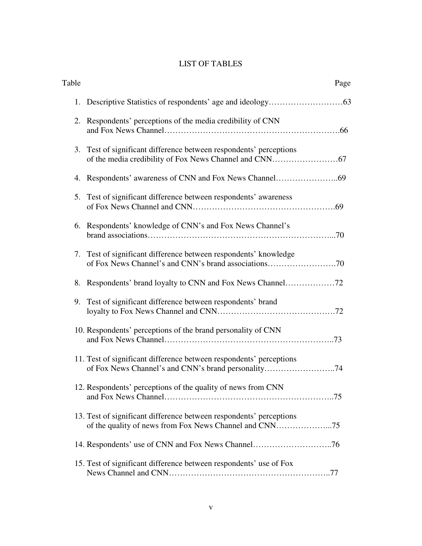# LIST OF TABLES

| Table | Page                                                                                                                          |
|-------|-------------------------------------------------------------------------------------------------------------------------------|
|       |                                                                                                                               |
|       | 2. Respondents' perceptions of the media credibility of CNN                                                                   |
|       | 3. Test of significant difference between respondents' perceptions                                                            |
|       |                                                                                                                               |
|       | 5. Test of significant difference between respondents' awareness                                                              |
|       | 6. Respondents' knowledge of CNN's and Fox News Channel's                                                                     |
|       | 7. Test of significant difference between respondents' knowledge<br>of Fox News Channel's and CNN's brand associations70      |
|       |                                                                                                                               |
|       | 9. Test of significant difference between respondents' brand                                                                  |
|       | 10. Respondents' perceptions of the brand personality of CNN                                                                  |
|       | 11. Test of significant difference between respondents' perceptions                                                           |
|       | 12. Respondents' perceptions of the quality of news from CNN                                                                  |
|       | 13. Test of significant difference between respondents' perceptions<br>of the quality of news from Fox News Channel and CNN75 |
|       | 14. Respondents' use of CNN and Fox News Channel76                                                                            |
|       | 15. Test of significant difference between respondents' use of Fox                                                            |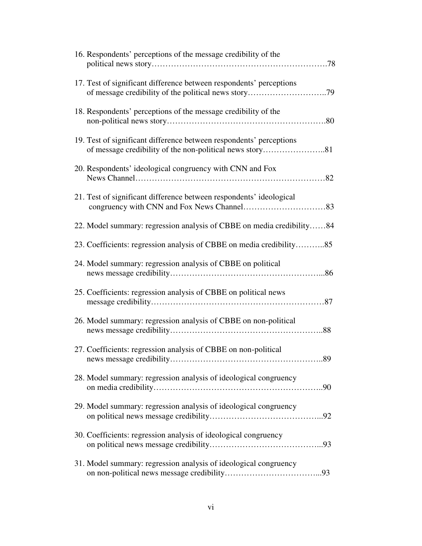| 16. Respondents' perceptions of the message credibility of the        |
|-----------------------------------------------------------------------|
| 17. Test of significant difference between respondents' perceptions   |
| 18. Respondents' perceptions of the message credibility of the        |
| 19. Test of significant difference between respondents' perceptions   |
| 20. Respondents' ideological congruency with CNN and Fox              |
| 21. Test of significant difference between respondents' ideological   |
| 22. Model summary: regression analysis of CBBE on media credibility84 |
| 23. Coefficients: regression analysis of CBBE on media credibility85  |
| 24. Model summary: regression analysis of CBBE on political           |
| 25. Coefficients: regression analysis of CBBE on political news       |
| 26. Model summary: regression analysis of CBBE on non-political       |
| 27. Coefficients: regression analysis of CBBE on non-political<br>89  |
| 28. Model summary: regression analysis of ideological congruency      |
| 29. Model summary: regression analysis of ideological congruency      |
| 30. Coefficients: regression analysis of ideological congruency       |
| 31. Model summary: regression analysis of ideological congruency      |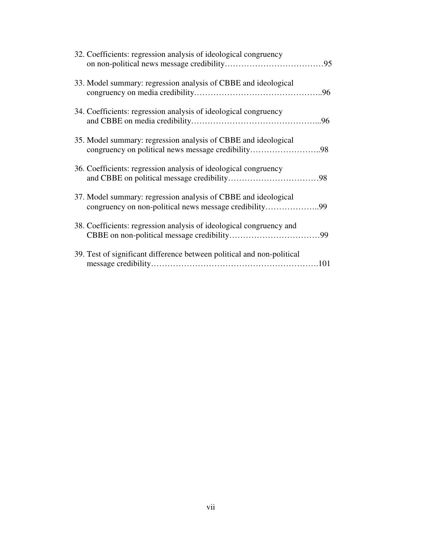| 32. Coefficients: regression analysis of ideological congruency        |  |
|------------------------------------------------------------------------|--|
| 33. Model summary: regression analysis of CBBE and ideological         |  |
| 34. Coefficients: regression analysis of ideological congruency        |  |
| 35. Model summary: regression analysis of CBBE and ideological         |  |
| 36. Coefficients: regression analysis of ideological congruency        |  |
| 37. Model summary: regression analysis of CBBE and ideological         |  |
| 38. Coefficients: regression analysis of ideological congruency and    |  |
| 39. Test of significant difference between political and non-political |  |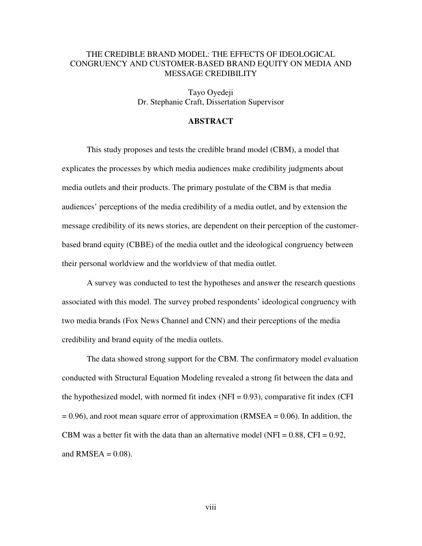## THE CREDIBLE BRAND MODEL: THE EFFECTS OF IDEOLOGICAL CONGRUENCY AND CUSTOMER-BASED BRAND EQUITY ON MEDIA AND MESSAGE CREDIBILITY

Tayo Oyedeji Dr. Stephanie Craft, Dissertation Supervisor

### **ABSTRACT**

This study proposes and tests the credible brand model (CBM), a model that explicates the processes by which media audiences make credibility judgments about media outlets and their products. The primary postulate of the CBM is that media audiences' perceptions of the media credibility of a media outlet, and by extension the message credibility of its news stories, are dependent on their perception of the customerbased brand equity (CBBE) of the media outlet and the ideological congruency between their personal worldview and the worldview of that media outlet.

A survey was conducted to test the hypotheses and answer the research questions associated with this model. The survey probed respondents' ideological congruency with two media brands (Fox News Channel and CNN) and their perceptions of the media credibility and brand equity of the media outlets.

The data showed strong support for the CBM. The confirmatory model evaluation conducted with Structural Equation Modeling revealed a strong fit between the data and the hypothesized model, with normed fit index  $(NFI = 0.93)$ , comparative fit index  $(CFI$  $= 0.96$ ), and root mean square error of approximation (RMSEA  $= 0.06$ ). In addition, the CBM was a better fit with the data than an alternative model (NFI =  $0.88$ , CFI =  $0.92$ , and  $RMSEA = 0.08$ ).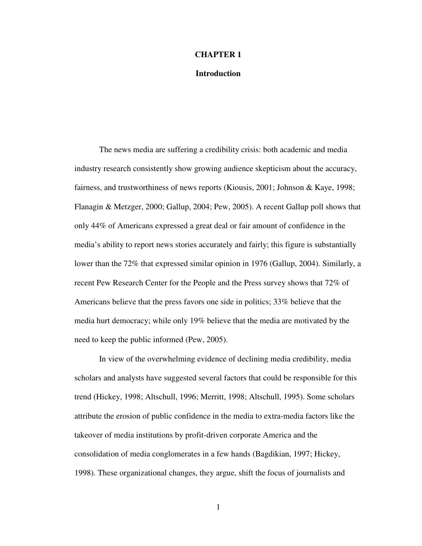#### **CHAPTER 1**

#### **Introduction**

The news media are suffering a credibility crisis: both academic and media industry research consistently show growing audience skepticism about the accuracy, fairness, and trustworthiness of news reports (Kiousis, 2001; Johnson & Kaye, 1998; Flanagin & Metzger, 2000; Gallup, 2004; Pew, 2005). A recent Gallup poll shows that only 44% of Americans expressed a great deal or fair amount of confidence in the media's ability to report news stories accurately and fairly; this figure is substantially lower than the 72% that expressed similar opinion in 1976 (Gallup, 2004). Similarly, a recent Pew Research Center for the People and the Press survey shows that 72% of Americans believe that the press favors one side in politics; 33% believe that the media hurt democracy; while only 19% believe that the media are motivated by the need to keep the public informed (Pew, 2005).

In view of the overwhelming evidence of declining media credibility, media scholars and analysts have suggested several factors that could be responsible for this trend (Hickey, 1998; Altschull, 1996; Merritt, 1998; Altschull, 1995). Some scholars attribute the erosion of public confidence in the media to extra-media factors like the takeover of media institutions by profit-driven corporate America and the consolidation of media conglomerates in a few hands (Bagdikian, 1997; Hickey, 1998). These organizational changes, they argue, shift the focus of journalists and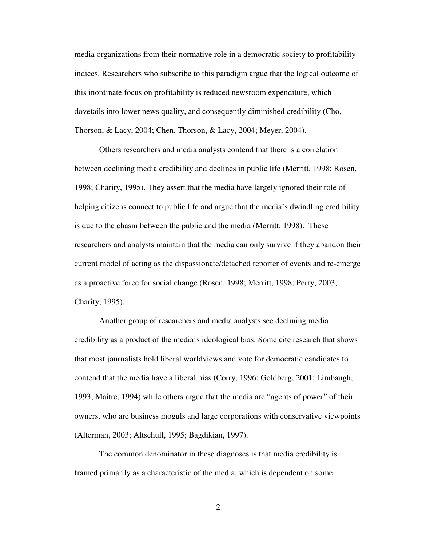media organizations from their normative role in a democratic society to profitability indices. Researchers who subscribe to this paradigm argue that the logical outcome of this inordinate focus on profitability is reduced newsroom expenditure, which dovetails into lower news quality, and consequently diminished credibility (Cho, Thorson, & Lacy, 2004; Chen, Thorson, & Lacy, 2004; Meyer, 2004).

Others researchers and media analysts contend that there is a correlation between declining media credibility and declines in public life (Merritt, 1998; Rosen, 1998; Charity, 1995). They assert that the media have largely ignored their role of helping citizens connect to public life and argue that the media's dwindling credibility is due to the chasm between the public and the media (Merritt, 1998). These researchers and analysts maintain that the media can only survive if they abandon their current model of acting as the dispassionate/detached reporter of events and re-emerge as a proactive force for social change (Rosen, 1998; Merritt, 1998; Perry, 2003, Charity, 1995).

Another group of researchers and media analysts see declining media credibility as a product of the media's ideological bias. Some cite research that shows that most journalists hold liberal worldviews and vote for democratic candidates to contend that the media have a liberal bias (Corry, 1996; Goldberg, 2001; Limbaugh, 1993; Maitre, 1994) while others argue that the media are "agents of power" of their owners, who are business moguls and large corporations with conservative viewpoints (Alterman, 2003; Altschull, 1995; Bagdikian, 1997).

The common denominator in these diagnoses is that media credibility is framed primarily as a characteristic of the media, which is dependent on some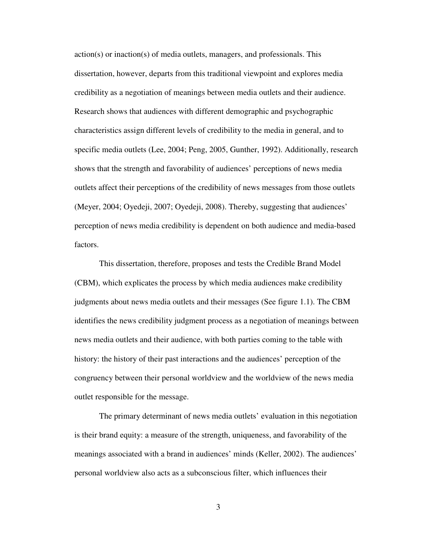action(s) or inaction(s) of media outlets, managers, and professionals. This dissertation, however, departs from this traditional viewpoint and explores media credibility as a negotiation of meanings between media outlets and their audience. Research shows that audiences with different demographic and psychographic characteristics assign different levels of credibility to the media in general, and to specific media outlets (Lee, 2004; Peng, 2005, Gunther, 1992). Additionally, research shows that the strength and favorability of audiences' perceptions of news media outlets affect their perceptions of the credibility of news messages from those outlets (Meyer, 2004; Oyedeji, 2007; Oyedeji, 2008). Thereby, suggesting that audiences' perception of news media credibility is dependent on both audience and media-based factors.

This dissertation, therefore, proposes and tests the Credible Brand Model (CBM), which explicates the process by which media audiences make credibility judgments about news media outlets and their messages (See figure 1.1). The CBM identifies the news credibility judgment process as a negotiation of meanings between news media outlets and their audience, with both parties coming to the table with history: the history of their past interactions and the audiences' perception of the congruency between their personal worldview and the worldview of the news media outlet responsible for the message.

The primary determinant of news media outlets' evaluation in this negotiation is their brand equity: a measure of the strength, uniqueness, and favorability of the meanings associated with a brand in audiences' minds (Keller, 2002). The audiences' personal worldview also acts as a subconscious filter, which influences their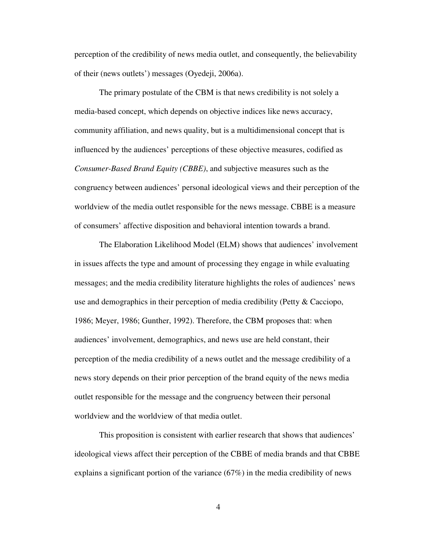perception of the credibility of news media outlet, and consequently, the believability of their (news outlets') messages (Oyedeji, 2006a).

The primary postulate of the CBM is that news credibility is not solely a media-based concept, which depends on objective indices like news accuracy, community affiliation, and news quality, but is a multidimensional concept that is influenced by the audiences' perceptions of these objective measures, codified as *Consumer-Based Brand Equity (CBBE)*, and subjective measures such as the congruency between audiences' personal ideological views and their perception of the worldview of the media outlet responsible for the news message. CBBE is a measure of consumers' affective disposition and behavioral intention towards a brand.

The Elaboration Likelihood Model (ELM) shows that audiences' involvement in issues affects the type and amount of processing they engage in while evaluating messages; and the media credibility literature highlights the roles of audiences' news use and demographics in their perception of media credibility (Petty & Cacciopo, 1986; Meyer, 1986; Gunther, 1992). Therefore, the CBM proposes that: when audiences' involvement, demographics, and news use are held constant, their perception of the media credibility of a news outlet and the message credibility of a news story depends on their prior perception of the brand equity of the news media outlet responsible for the message and the congruency between their personal worldview and the worldview of that media outlet.

This proposition is consistent with earlier research that shows that audiences' ideological views affect their perception of the CBBE of media brands and that CBBE explains a significant portion of the variance (67%) in the media credibility of news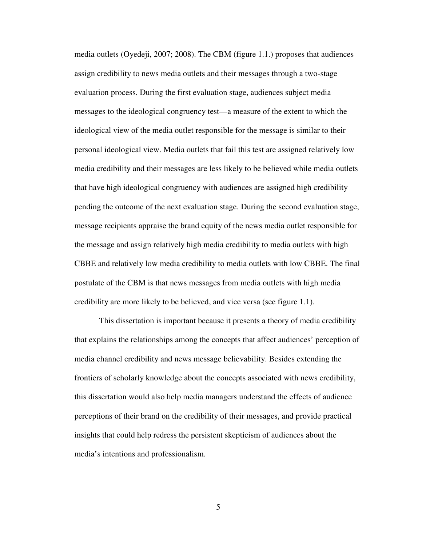media outlets (Oyedeji, 2007; 2008). The CBM (figure 1.1.) proposes that audiences assign credibility to news media outlets and their messages through a two-stage evaluation process. During the first evaluation stage, audiences subject media messages to the ideological congruency test—a measure of the extent to which the ideological view of the media outlet responsible for the message is similar to their personal ideological view. Media outlets that fail this test are assigned relatively low media credibility and their messages are less likely to be believed while media outlets that have high ideological congruency with audiences are assigned high credibility pending the outcome of the next evaluation stage. During the second evaluation stage, message recipients appraise the brand equity of the news media outlet responsible for the message and assign relatively high media credibility to media outlets with high CBBE and relatively low media credibility to media outlets with low CBBE. The final postulate of the CBM is that news messages from media outlets with high media credibility are more likely to be believed, and vice versa (see figure 1.1).

This dissertation is important because it presents a theory of media credibility that explains the relationships among the concepts that affect audiences' perception of media channel credibility and news message believability. Besides extending the frontiers of scholarly knowledge about the concepts associated with news credibility, this dissertation would also help media managers understand the effects of audience perceptions of their brand on the credibility of their messages, and provide practical insights that could help redress the persistent skepticism of audiences about the media's intentions and professionalism.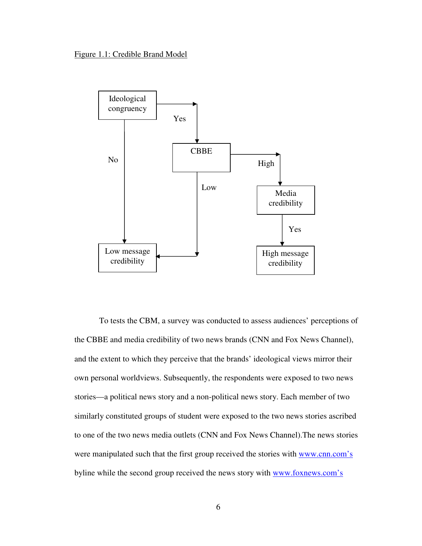#### Figure 1.1: Credible Brand Model



To tests the CBM, a survey was conducted to assess audiences' perceptions of the CBBE and media credibility of two news brands (CNN and Fox News Channel), and the extent to which they perceive that the brands' ideological views mirror their own personal worldviews. Subsequently, the respondents were exposed to two news stories—a political news story and a non-political news story. Each member of two similarly constituted groups of student were exposed to the two news stories ascribed to one of the two news media outlets (CNN and Fox News Channel).The news stories were manipulated such that the first group received the stories with www.cnn.com's byline while the second group received the news story with www.foxnews.com's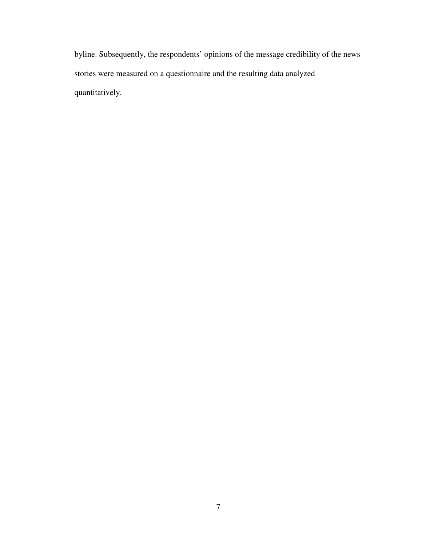byline. Subsequently, the respondents' opinions of the message credibility of the news stories were measured on a questionnaire and the resulting data analyzed quantitatively.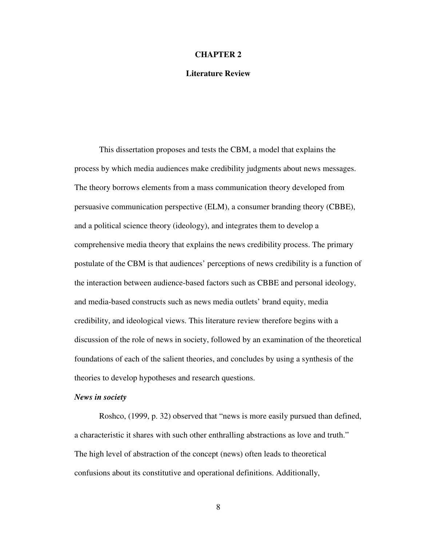#### **CHAPTER 2**

#### **Literature Review**

This dissertation proposes and tests the CBM, a model that explains the process by which media audiences make credibility judgments about news messages. The theory borrows elements from a mass communication theory developed from persuasive communication perspective (ELM), a consumer branding theory (CBBE), and a political science theory (ideology), and integrates them to develop a comprehensive media theory that explains the news credibility process. The primary postulate of the CBM is that audiences' perceptions of news credibility is a function of the interaction between audience-based factors such as CBBE and personal ideology, and media-based constructs such as news media outlets' brand equity, media credibility, and ideological views. This literature review therefore begins with a discussion of the role of news in society, followed by an examination of the theoretical foundations of each of the salient theories, and concludes by using a synthesis of the theories to develop hypotheses and research questions.

#### *News in society*

Roshco, (1999, p. 32) observed that "news is more easily pursued than defined, a characteristic it shares with such other enthralling abstractions as love and truth." The high level of abstraction of the concept (news) often leads to theoretical confusions about its constitutive and operational definitions. Additionally,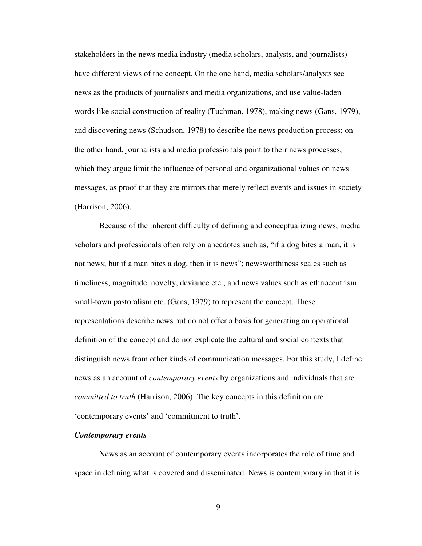stakeholders in the news media industry (media scholars, analysts, and journalists) have different views of the concept. On the one hand, media scholars/analysts see news as the products of journalists and media organizations, and use value-laden words like social construction of reality (Tuchman, 1978), making news (Gans, 1979), and discovering news (Schudson, 1978) to describe the news production process; on the other hand, journalists and media professionals point to their news processes, which they argue limit the influence of personal and organizational values on news messages, as proof that they are mirrors that merely reflect events and issues in society (Harrison, 2006).

Because of the inherent difficulty of defining and conceptualizing news, media scholars and professionals often rely on anecdotes such as, "if a dog bites a man, it is not news; but if a man bites a dog, then it is news"; newsworthiness scales such as timeliness, magnitude, novelty, deviance etc.; and news values such as ethnocentrism, small-town pastoralism etc. (Gans, 1979) to represent the concept. These representations describe news but do not offer a basis for generating an operational definition of the concept and do not explicate the cultural and social contexts that distinguish news from other kinds of communication messages. For this study, I define news as an account of *contemporary events* by organizations and individuals that are *committed to truth* (Harrison, 2006). The key concepts in this definition are 'contemporary events' and 'commitment to truth'.

#### *Contemporary events*

News as an account of contemporary events incorporates the role of time and space in defining what is covered and disseminated. News is contemporary in that it is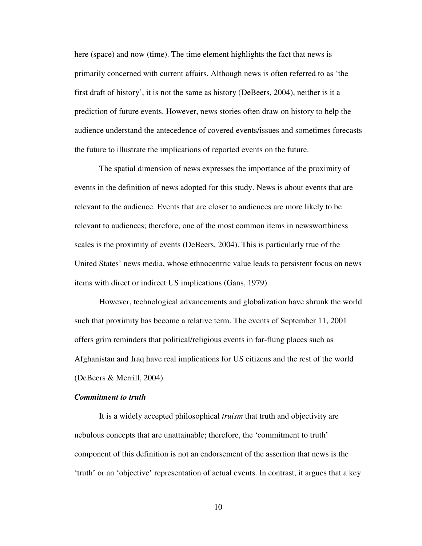here (space) and now (time). The time element highlights the fact that news is primarily concerned with current affairs. Although news is often referred to as 'the first draft of history', it is not the same as history (DeBeers, 2004), neither is it a prediction of future events. However, news stories often draw on history to help the audience understand the antecedence of covered events/issues and sometimes forecasts the future to illustrate the implications of reported events on the future.

The spatial dimension of news expresses the importance of the proximity of events in the definition of news adopted for this study. News is about events that are relevant to the audience. Events that are closer to audiences are more likely to be relevant to audiences; therefore, one of the most common items in newsworthiness scales is the proximity of events (DeBeers, 2004). This is particularly true of the United States' news media, whose ethnocentric value leads to persistent focus on news items with direct or indirect US implications (Gans, 1979).

However, technological advancements and globalization have shrunk the world such that proximity has become a relative term. The events of September 11, 2001 offers grim reminders that political/religious events in far-flung places such as Afghanistan and Iraq have real implications for US citizens and the rest of the world (DeBeers & Merrill, 2004).

### *Commitment to truth*

It is a widely accepted philosophical *truism* that truth and objectivity are nebulous concepts that are unattainable; therefore, the 'commitment to truth' component of this definition is not an endorsement of the assertion that news is the 'truth' or an 'objective' representation of actual events. In contrast, it argues that a key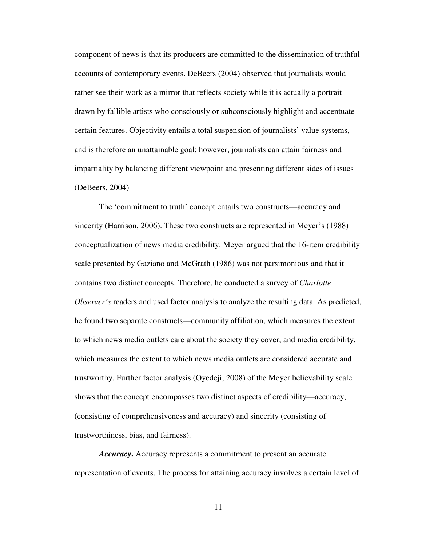component of news is that its producers are committed to the dissemination of truthful accounts of contemporary events. DeBeers (2004) observed that journalists would rather see their work as a mirror that reflects society while it is actually a portrait drawn by fallible artists who consciously or subconsciously highlight and accentuate certain features. Objectivity entails a total suspension of journalists' value systems, and is therefore an unattainable goal; however, journalists can attain fairness and impartiality by balancing different viewpoint and presenting different sides of issues (DeBeers, 2004)

The 'commitment to truth' concept entails two constructs—accuracy and sincerity (Harrison, 2006). These two constructs are represented in Meyer's (1988) conceptualization of news media credibility. Meyer argued that the 16-item credibility scale presented by Gaziano and McGrath (1986) was not parsimonious and that it contains two distinct concepts. Therefore, he conducted a survey of *Charlotte Observer's* readers and used factor analysis to analyze the resulting data. As predicted, he found two separate constructs—community affiliation, which measures the extent to which news media outlets care about the society they cover, and media credibility, which measures the extent to which news media outlets are considered accurate and trustworthy. Further factor analysis (Oyedeji, 2008) of the Meyer believability scale shows that the concept encompasses two distinct aspects of credibility—accuracy, (consisting of comprehensiveness and accuracy) and sincerity (consisting of trustworthiness, bias, and fairness).

*Accuracy***.** Accuracy represents a commitment to present an accurate representation of events. The process for attaining accuracy involves a certain level of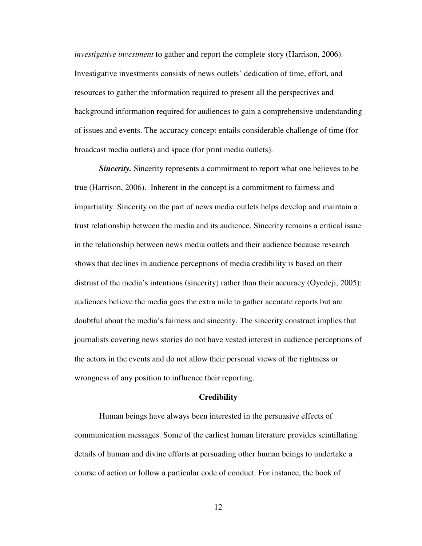*investigative investment* to gather and report the complete story (Harrison, 2006). Investigative investments consists of news outlets' dedication of time, effort, and resources to gather the information required to present all the perspectives and background information required for audiences to gain a comprehensive understanding of issues and events. The accuracy concept entails considerable challenge of time (for broadcast media outlets) and space (for print media outlets).

*Sincerity*. Sincerity represents a commitment to report what one believes to be true (Harrison, 2006). Inherent in the concept is a commitment to fairness and impartiality. Sincerity on the part of news media outlets helps develop and maintain a trust relationship between the media and its audience. Sincerity remains a critical issue in the relationship between news media outlets and their audience because research shows that declines in audience perceptions of media credibility is based on their distrust of the media's intentions (sincerity) rather than their accuracy (Oyedeji, 2005): audiences believe the media goes the extra mile to gather accurate reports but are doubtful about the media's fairness and sincerity. The sincerity construct implies that journalists covering news stories do not have vested interest in audience perceptions of the actors in the events and do not allow their personal views of the rightness or wrongness of any position to influence their reporting.

#### **Credibility**

Human beings have always been interested in the persuasive effects of communication messages. Some of the earliest human literature provides scintillating details of human and divine efforts at persuading other human beings to undertake a course of action or follow a particular code of conduct. For instance, the book of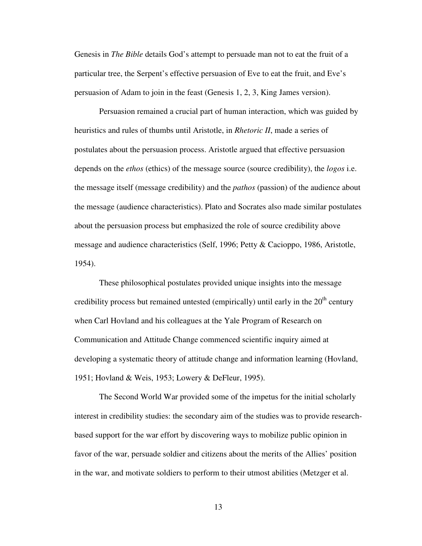Genesis in *The Bible* details God's attempt to persuade man not to eat the fruit of a particular tree, the Serpent's effective persuasion of Eve to eat the fruit, and Eve's persuasion of Adam to join in the feast (Genesis 1, 2, 3, King James version).

Persuasion remained a crucial part of human interaction, which was guided by heuristics and rules of thumbs until Aristotle, in *Rhetoric II*, made a series of postulates about the persuasion process. Aristotle argued that effective persuasion depends on the *ethos* (ethics) of the message source (source credibility), the *logos* i.e. the message itself (message credibility) and the *pathos* (passion) of the audience about the message (audience characteristics). Plato and Socrates also made similar postulates about the persuasion process but emphasized the role of source credibility above message and audience characteristics (Self, 1996; Petty & Cacioppo, 1986, Aristotle, 1954).

These philosophical postulates provided unique insights into the message credibility process but remained untested (empirically) until early in the  $20<sup>th</sup>$  century when Carl Hovland and his colleagues at the Yale Program of Research on Communication and Attitude Change commenced scientific inquiry aimed at developing a systematic theory of attitude change and information learning (Hovland, 1951; Hovland & Weis, 1953; Lowery & DeFleur, 1995).

The Second World War provided some of the impetus for the initial scholarly interest in credibility studies: the secondary aim of the studies was to provide researchbased support for the war effort by discovering ways to mobilize public opinion in favor of the war, persuade soldier and citizens about the merits of the Allies' position in the war, and motivate soldiers to perform to their utmost abilities (Metzger et al.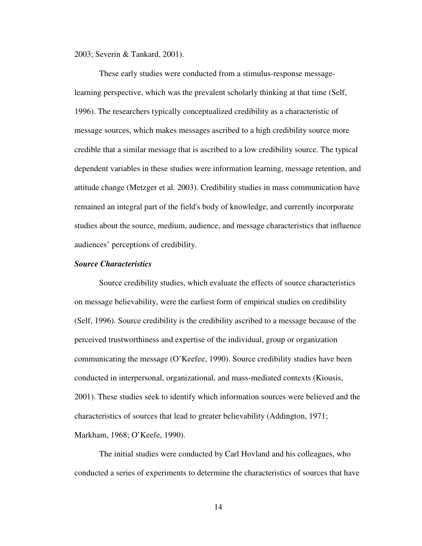2003; Severin & Tankard, 2001).

These early studies were conducted from a stimulus-response messagelearning perspective, which was the prevalent scholarly thinking at that time (Self, 1996). The researchers typically conceptualized credibility as a characteristic of message sources, which makes messages ascribed to a high credibility source more credible that a similar message that is ascribed to a low credibility source. The typical dependent variables in these studies were information learning, message retention, and attitude change (Metzger et al. 2003). Credibility studies in mass communication have remained an integral part of the field's body of knowledge, and currently incorporate studies about the source, medium, audience, and message characteristics that influence audiences' perceptions of credibility.

### *Source Characteristics*

Source credibility studies, which evaluate the effects of source characteristics on message believability, were the earliest form of empirical studies on credibility (Self, 1996). Source credibility is the credibility ascribed to a message because of the perceived trustworthiness and expertise of the individual, group or organization communicating the message (O'Keefee, 1990). Source credibility studies have been conducted in interpersonal, organizational, and mass-mediated contexts (Kiousis, 2001). These studies seek to identify which information sources were believed and the characteristics of sources that lead to greater believability (Addington, 1971; Markham, 1968; O'Keefe, 1990).

The initial studies were conducted by Carl Hovland and his colleagues, who conducted a series of experiments to determine the characteristics of sources that have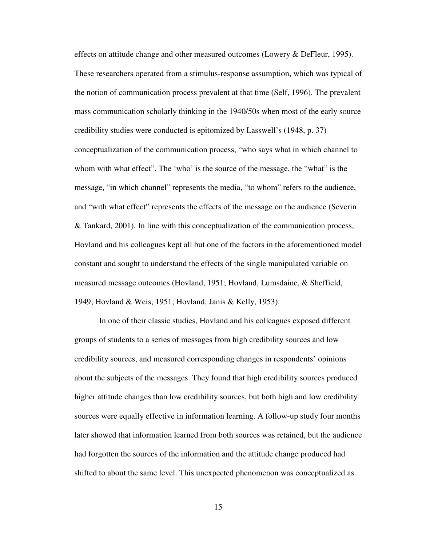effects on attitude change and other measured outcomes (Lowery & DeFleur, 1995). These researchers operated from a stimulus-response assumption, which was typical of the notion of communication process prevalent at that time (Self, 1996). The prevalent mass communication scholarly thinking in the 1940/50s when most of the early source credibility studies were conducted is epitomized by Lasswell's (1948, p. 37) conceptualization of the communication process, "who says what in which channel to whom with what effect". The 'who' is the source of the message, the "what" is the message, "in which channel" represents the media, "to whom" refers to the audience, and "with what effect" represents the effects of the message on the audience (Severin & Tankard, 2001). In line with this conceptualization of the communication process, Hovland and his colleagues kept all but one of the factors in the aforementioned model constant and sought to understand the effects of the single manipulated variable on measured message outcomes (Hovland, 1951; Hovland, Lumsdaine, & Sheffield, 1949; Hovland & Weis, 1951; Hovland, Janis & Kelly, 1953).

In one of their classic studies, Hovland and his colleagues exposed different groups of students to a series of messages from high credibility sources and low credibility sources, and measured corresponding changes in respondents' opinions about the subjects of the messages. They found that high credibility sources produced higher attitude changes than low credibility sources, but both high and low credibility sources were equally effective in information learning. A follow-up study four months later showed that information learned from both sources was retained, but the audience had forgotten the sources of the information and the attitude change produced had shifted to about the same level. This unexpected phenomenon was conceptualized as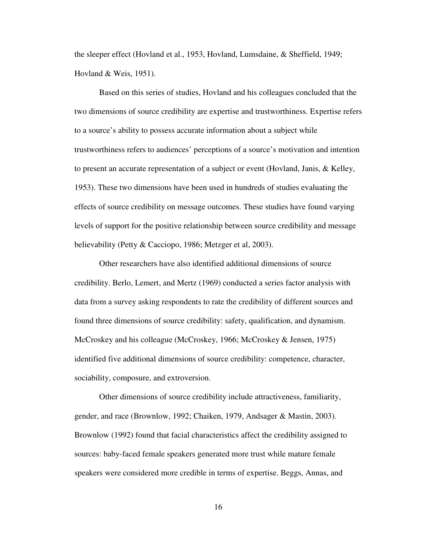the sleeper effect (Hovland et al., 1953, Hovland, Lumsdaine, & Sheffield, 1949; Hovland & Weis, 1951).

Based on this series of studies, Hovland and his colleagues concluded that the two dimensions of source credibility are expertise and trustworthiness. Expertise refers to a source's ability to possess accurate information about a subject while trustworthiness refers to audiences' perceptions of a source's motivation and intention to present an accurate representation of a subject or event (Hovland, Janis, & Kelley, 1953). These two dimensions have been used in hundreds of studies evaluating the effects of source credibility on message outcomes. These studies have found varying levels of support for the positive relationship between source credibility and message believability (Petty & Cacciopo, 1986; Metzger et al, 2003).

Other researchers have also identified additional dimensions of source credibility. Berlo, Lemert, and Mertz (1969) conducted a series factor analysis with data from a survey asking respondents to rate the credibility of different sources and found three dimensions of source credibility: safety, qualification, and dynamism. McCroskey and his colleague (McCroskey, 1966; McCroskey & Jensen, 1975) identified five additional dimensions of source credibility: competence, character, sociability, composure, and extroversion.

Other dimensions of source credibility include attractiveness, familiarity, gender, and race (Brownlow, 1992; Chaiken, 1979, Andsager & Mastin, 2003). Brownlow (1992) found that facial characteristics affect the credibility assigned to sources: baby-faced female speakers generated more trust while mature female speakers were considered more credible in terms of expertise. Beggs, Annas, and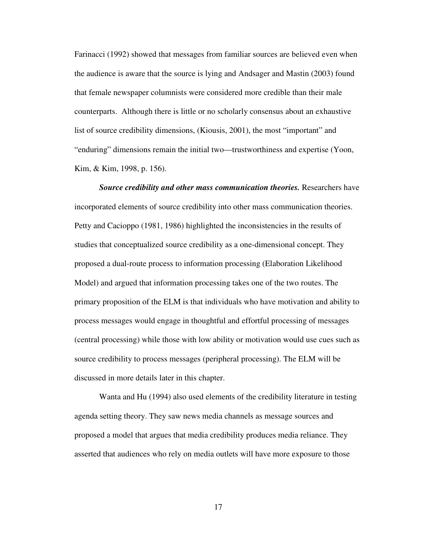Farinacci (1992) showed that messages from familiar sources are believed even when the audience is aware that the source is lying and Andsager and Mastin (2003) found that female newspaper columnists were considered more credible than their male counterparts. Although there is little or no scholarly consensus about an exhaustive list of source credibility dimensions, (Kiousis, 2001), the most "important" and "enduring" dimensions remain the initial two—trustworthiness and expertise (Yoon, Kim, & Kim, 1998, p. 156).

*Source credibility and other mass communication theories.* Researchers have incorporated elements of source credibility into other mass communication theories. Petty and Cacioppo (1981, 1986) highlighted the inconsistencies in the results of studies that conceptualized source credibility as a one-dimensional concept. They proposed a dual-route process to information processing (Elaboration Likelihood Model) and argued that information processing takes one of the two routes. The primary proposition of the ELM is that individuals who have motivation and ability to process messages would engage in thoughtful and effortful processing of messages (central processing) while those with low ability or motivation would use cues such as source credibility to process messages (peripheral processing). The ELM will be discussed in more details later in this chapter.

Wanta and Hu (1994) also used elements of the credibility literature in testing agenda setting theory. They saw news media channels as message sources and proposed a model that argues that media credibility produces media reliance. They asserted that audiences who rely on media outlets will have more exposure to those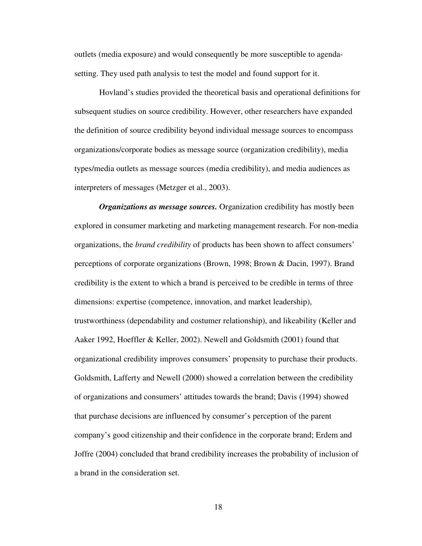outlets (media exposure) and would consequently be more susceptible to agendasetting. They used path analysis to test the model and found support for it.

Hovland's studies provided the theoretical basis and operational definitions for subsequent studies on source credibility. However, other researchers have expanded the definition of source credibility beyond individual message sources to encompass organizations/corporate bodies as message source (organization credibility), media types/media outlets as message sources (media credibility), and media audiences as interpreters of messages (Metzger et al., 2003).

*Organizations as message sources.* Organization credibility has mostly been explored in consumer marketing and marketing management research. For non-media organizations, the *brand credibility* of products has been shown to affect consumers' perceptions of corporate organizations (Brown, 1998; Brown & Dacin, 1997). Brand credibility is the extent to which a brand is perceived to be credible in terms of three dimensions: expertise (competence, innovation, and market leadership), trustworthiness (dependability and costumer relationship), and likeability (Keller and Aaker 1992, Hoeffler & Keller, 2002). Newell and Goldsmith (2001) found that organizational credibility improves consumers' propensity to purchase their products. Goldsmith, Lafferty and Newell (2000) showed a correlation between the credibility of organizations and consumers' attitudes towards the brand; Davis (1994) showed that purchase decisions are influenced by consumer's perception of the parent company's good citizenship and their confidence in the corporate brand; Erdem and Joffre (2004) concluded that brand credibility increases the probability of inclusion of a brand in the consideration set.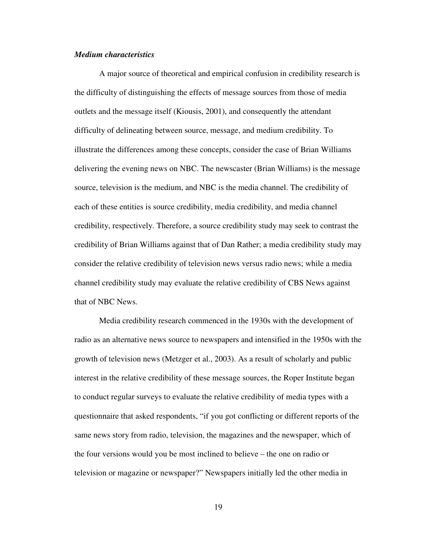### *Medium characteristics*

A major source of theoretical and empirical confusion in credibility research is the difficulty of distinguishing the effects of message sources from those of media outlets and the message itself (Kiousis, 2001), and consequently the attendant difficulty of delineating between source, message, and medium credibility. To illustrate the differences among these concepts, consider the case of Brian Williams delivering the evening news on NBC. The newscaster (Brian Williams) is the message source, television is the medium, and NBC is the media channel. The credibility of each of these entities is source credibility, media credibility, and media channel credibility, respectively. Therefore, a source credibility study may seek to contrast the credibility of Brian Williams against that of Dan Rather; a media credibility study may consider the relative credibility of television news versus radio news; while a media channel credibility study may evaluate the relative credibility of CBS News against that of NBC News.

Media credibility research commenced in the 1930s with the development of radio as an alternative news source to newspapers and intensified in the 1950s with the growth of television news (Metzger et al., 2003). As a result of scholarly and public interest in the relative credibility of these message sources, the Roper Institute began to conduct regular surveys to evaluate the relative credibility of media types with a questionnaire that asked respondents, "if you got conflicting or different reports of the same news story from radio, television, the magazines and the newspaper, which of the four versions would you be most inclined to believe – the one on radio or television or magazine or newspaper?" Newspapers initially led the other media in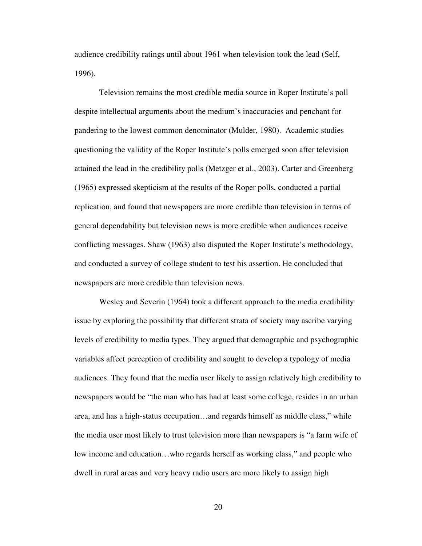audience credibility ratings until about 1961 when television took the lead (Self, 1996).

Television remains the most credible media source in Roper Institute's poll despite intellectual arguments about the medium's inaccuracies and penchant for pandering to the lowest common denominator (Mulder, 1980). Academic studies questioning the validity of the Roper Institute's polls emerged soon after television attained the lead in the credibility polls (Metzger et al., 2003). Carter and Greenberg (1965) expressed skepticism at the results of the Roper polls, conducted a partial replication, and found that newspapers are more credible than television in terms of general dependability but television news is more credible when audiences receive conflicting messages. Shaw (1963) also disputed the Roper Institute's methodology, and conducted a survey of college student to test his assertion. He concluded that newspapers are more credible than television news.

Wesley and Severin (1964) took a different approach to the media credibility issue by exploring the possibility that different strata of society may ascribe varying levels of credibility to media types. They argued that demographic and psychographic variables affect perception of credibility and sought to develop a typology of media audiences. They found that the media user likely to assign relatively high credibility to newspapers would be "the man who has had at least some college, resides in an urban area, and has a high-status occupation…and regards himself as middle class," while the media user most likely to trust television more than newspapers is "a farm wife of low income and education…who regards herself as working class," and people who dwell in rural areas and very heavy radio users are more likely to assign high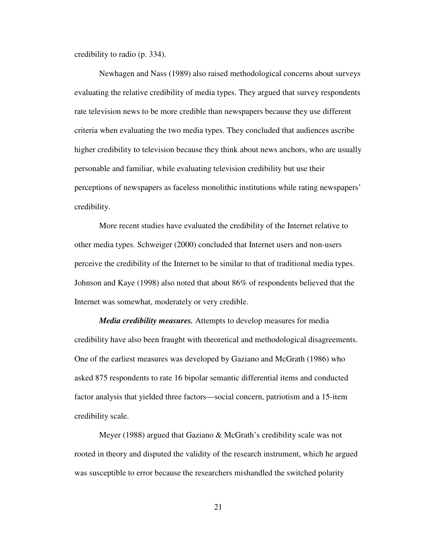credibility to radio (p. 334).

Newhagen and Nass (1989) also raised methodological concerns about surveys evaluating the relative credibility of media types. They argued that survey respondents rate television news to be more credible than newspapers because they use different criteria when evaluating the two media types. They concluded that audiences ascribe higher credibility to television because they think about news anchors, who are usually personable and familiar, while evaluating television credibility but use their perceptions of newspapers as faceless monolithic institutions while rating newspapers' credibility.

More recent studies have evaluated the credibility of the Internet relative to other media types. Schweiger (2000) concluded that Internet users and non-users perceive the credibility of the Internet to be similar to that of traditional media types. Johnson and Kaye (1998) also noted that about 86% of respondents believed that the Internet was somewhat, moderately or very credible.

*Media credibility measures.* Attempts to develop measures for media credibility have also been fraught with theoretical and methodological disagreements. One of the earliest measures was developed by Gaziano and McGrath (1986) who asked 875 respondents to rate 16 bipolar semantic differential items and conducted factor analysis that yielded three factors—social concern, patriotism and a 15-item credibility scale.

Meyer (1988) argued that Gaziano & McGrath's credibility scale was not rooted in theory and disputed the validity of the research instrument, which he argued was susceptible to error because the researchers mishandled the switched polarity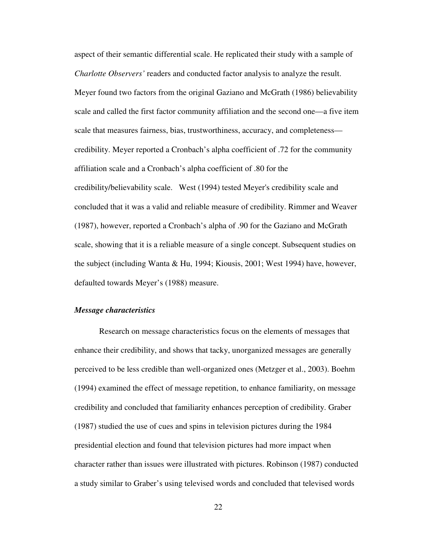aspect of their semantic differential scale. He replicated their study with a sample of *Charlotte Observers'* readers and conducted factor analysis to analyze the result. Meyer found two factors from the original Gaziano and McGrath (1986) believability scale and called the first factor community affiliation and the second one—a five item scale that measures fairness, bias, trustworthiness, accuracy, and completeness credibility. Meyer reported a Cronbach's alpha coefficient of .72 for the community affiliation scale and a Cronbach's alpha coefficient of .80 for the credibility/believability scale. West (1994) tested Meyer's credibility scale and concluded that it was a valid and reliable measure of credibility. Rimmer and Weaver (1987), however, reported a Cronbach's alpha of .90 for the Gaziano and McGrath scale, showing that it is a reliable measure of a single concept. Subsequent studies on the subject (including Wanta & Hu, 1994; Kiousis, 2001; West 1994) have, however, defaulted towards Meyer's (1988) measure.

#### *Message characteristics*

Research on message characteristics focus on the elements of messages that enhance their credibility, and shows that tacky, unorganized messages are generally perceived to be less credible than well-organized ones (Metzger et al., 2003). Boehm (1994) examined the effect of message repetition, to enhance familiarity, on message credibility and concluded that familiarity enhances perception of credibility. Graber (1987) studied the use of cues and spins in television pictures during the 1984 presidential election and found that television pictures had more impact when character rather than issues were illustrated with pictures. Robinson (1987) conducted a study similar to Graber's using televised words and concluded that televised words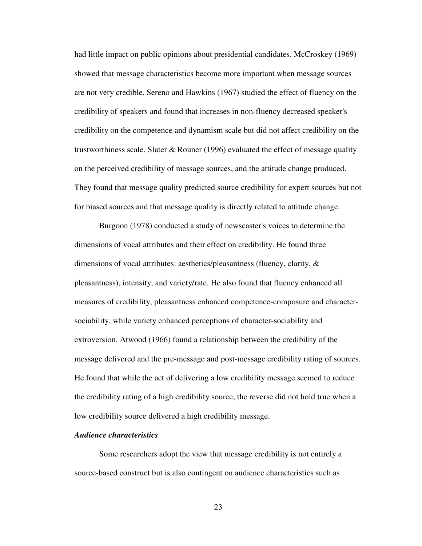had little impact on public opinions about presidential candidates. McCroskey (1969) showed that message characteristics become more important when message sources are not very credible. Sereno and Hawkins (1967) studied the effect of fluency on the credibility of speakers and found that increases in non-fluency decreased speaker's credibility on the competence and dynamism scale but did not affect credibility on the trustworthiness scale. Slater & Rouner (1996) evaluated the effect of message quality on the perceived credibility of message sources, and the attitude change produced. They found that message quality predicted source credibility for expert sources but not for biased sources and that message quality is directly related to attitude change.

Burgoon (1978) conducted a study of newscaster's voices to determine the dimensions of vocal attributes and their effect on credibility. He found three dimensions of vocal attributes: aesthetics/pleasantness (fluency, clarity, & pleasantness), intensity, and variety/rate. He also found that fluency enhanced all measures of credibility, pleasantness enhanced competence-composure and charactersociability, while variety enhanced perceptions of character-sociability and extroversion. Atwood (1966) found a relationship between the credibility of the message delivered and the pre-message and post-message credibility rating of sources. He found that while the act of delivering a low credibility message seemed to reduce the credibility rating of a high credibility source, the reverse did not hold true when a low credibility source delivered a high credibility message.

#### *Audience characteristics*

Some researchers adopt the view that message credibility is not entirely a source-based construct but is also contingent on audience characteristics such as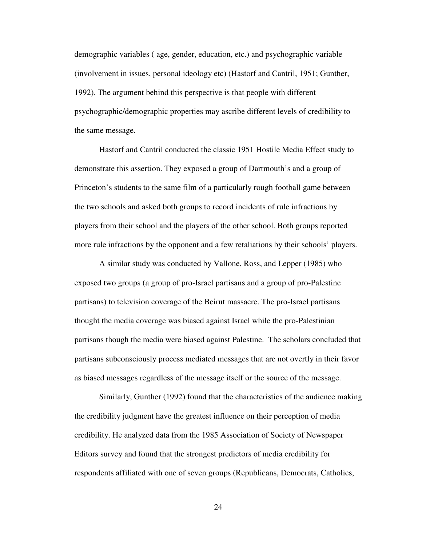demographic variables ( age, gender, education, etc.) and psychographic variable (involvement in issues, personal ideology etc) (Hastorf and Cantril, 1951; Gunther, 1992). The argument behind this perspective is that people with different psychographic/demographic properties may ascribe different levels of credibility to the same message.

Hastorf and Cantril conducted the classic 1951 Hostile Media Effect study to demonstrate this assertion. They exposed a group of Dartmouth's and a group of Princeton's students to the same film of a particularly rough football game between the two schools and asked both groups to record incidents of rule infractions by players from their school and the players of the other school. Both groups reported more rule infractions by the opponent and a few retaliations by their schools' players.

A similar study was conducted by Vallone, Ross, and Lepper (1985) who exposed two groups (a group of pro-Israel partisans and a group of pro-Palestine partisans) to television coverage of the Beirut massacre. The pro-Israel partisans thought the media coverage was biased against Israel while the pro-Palestinian partisans though the media were biased against Palestine. The scholars concluded that partisans subconsciously process mediated messages that are not overtly in their favor as biased messages regardless of the message itself or the source of the message.

Similarly, Gunther (1992) found that the characteristics of the audience making the credibility judgment have the greatest influence on their perception of media credibility. He analyzed data from the 1985 Association of Society of Newspaper Editors survey and found that the strongest predictors of media credibility for respondents affiliated with one of seven groups (Republicans, Democrats, Catholics,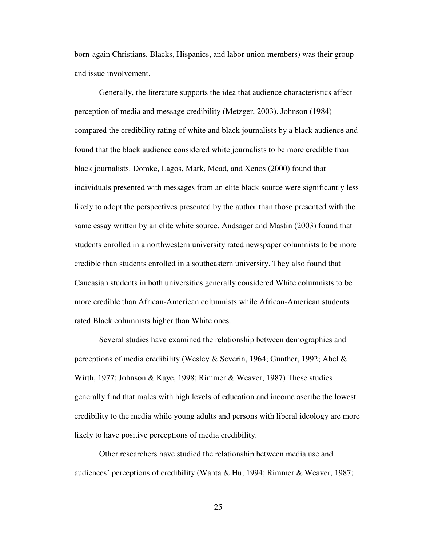born-again Christians, Blacks, Hispanics, and labor union members) was their group and issue involvement.

Generally, the literature supports the idea that audience characteristics affect perception of media and message credibility (Metzger, 2003). Johnson (1984) compared the credibility rating of white and black journalists by a black audience and found that the black audience considered white journalists to be more credible than black journalists. Domke, Lagos, Mark, Mead, and Xenos (2000) found that individuals presented with messages from an elite black source were significantly less likely to adopt the perspectives presented by the author than those presented with the same essay written by an elite white source. Andsager and Mastin (2003) found that students enrolled in a northwestern university rated newspaper columnists to be more credible than students enrolled in a southeastern university. They also found that Caucasian students in both universities generally considered White columnists to be more credible than African-American columnists while African-American students rated Black columnists higher than White ones.

Several studies have examined the relationship between demographics and perceptions of media credibility (Wesley & Severin, 1964; Gunther, 1992; Abel & Wirth, 1977; Johnson & Kaye, 1998; Rimmer & Weaver, 1987) These studies generally find that males with high levels of education and income ascribe the lowest credibility to the media while young adults and persons with liberal ideology are more likely to have positive perceptions of media credibility.

Other researchers have studied the relationship between media use and audiences' perceptions of credibility (Wanta & Hu, 1994; Rimmer & Weaver, 1987;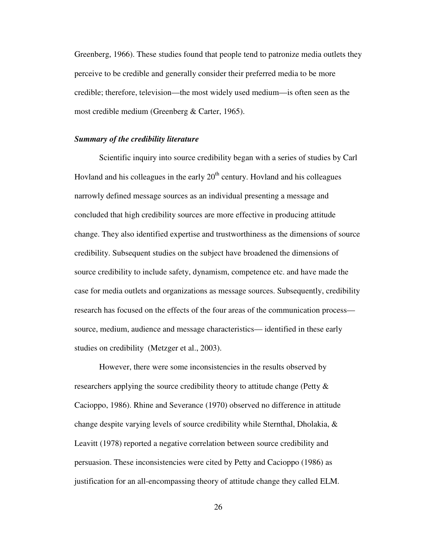Greenberg, 1966). These studies found that people tend to patronize media outlets they perceive to be credible and generally consider their preferred media to be more credible; therefore, television—the most widely used medium—is often seen as the most credible medium (Greenberg & Carter, 1965).

#### *Summary of the credibility literature*

Scientific inquiry into source credibility began with a series of studies by Carl Hovland and his colleagues in the early  $20<sup>th</sup>$  century. Hovland and his colleagues narrowly defined message sources as an individual presenting a message and concluded that high credibility sources are more effective in producing attitude change. They also identified expertise and trustworthiness as the dimensions of source credibility. Subsequent studies on the subject have broadened the dimensions of source credibility to include safety, dynamism, competence etc. and have made the case for media outlets and organizations as message sources. Subsequently, credibility research has focused on the effects of the four areas of the communication process source, medium, audience and message characteristics— identified in these early studies on credibility (Metzger et al., 2003).

However, there were some inconsistencies in the results observed by researchers applying the source credibility theory to attitude change (Petty & Cacioppo, 1986). Rhine and Severance (1970) observed no difference in attitude change despite varying levels of source credibility while Sternthal, Dholakia, & Leavitt (1978) reported a negative correlation between source credibility and persuasion. These inconsistencies were cited by Petty and Cacioppo (1986) as justification for an all-encompassing theory of attitude change they called ELM.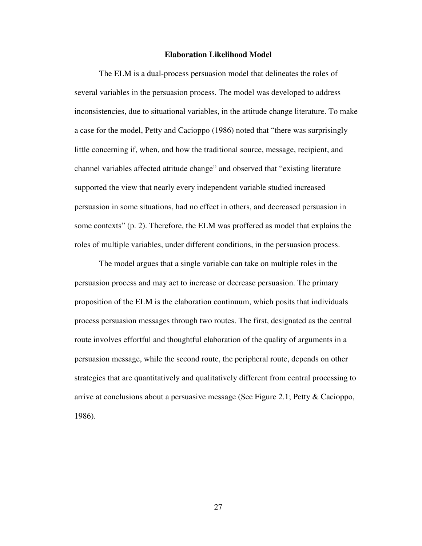#### **Elaboration Likelihood Model**

The ELM is a dual-process persuasion model that delineates the roles of several variables in the persuasion process. The model was developed to address inconsistencies, due to situational variables, in the attitude change literature. To make a case for the model, Petty and Cacioppo (1986) noted that "there was surprisingly little concerning if, when, and how the traditional source, message, recipient, and channel variables affected attitude change" and observed that "existing literature supported the view that nearly every independent variable studied increased persuasion in some situations, had no effect in others, and decreased persuasion in some contexts" (p. 2). Therefore, the ELM was proffered as model that explains the roles of multiple variables, under different conditions, in the persuasion process.

The model argues that a single variable can take on multiple roles in the persuasion process and may act to increase or decrease persuasion. The primary proposition of the ELM is the elaboration continuum, which posits that individuals process persuasion messages through two routes. The first, designated as the central route involves effortful and thoughtful elaboration of the quality of arguments in a persuasion message, while the second route, the peripheral route, depends on other strategies that are quantitatively and qualitatively different from central processing to arrive at conclusions about a persuasive message (See Figure 2.1; Petty & Cacioppo, 1986).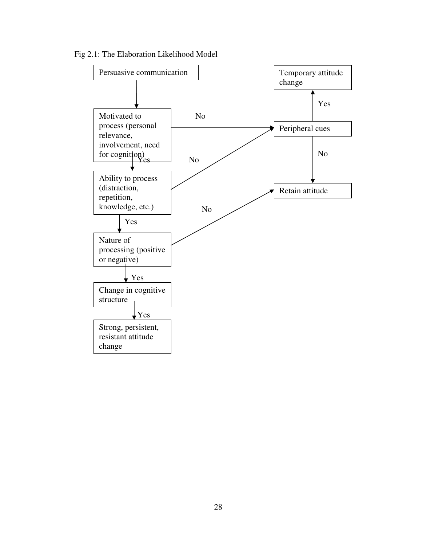Fig 2.1: The Elaboration Likelihood Model

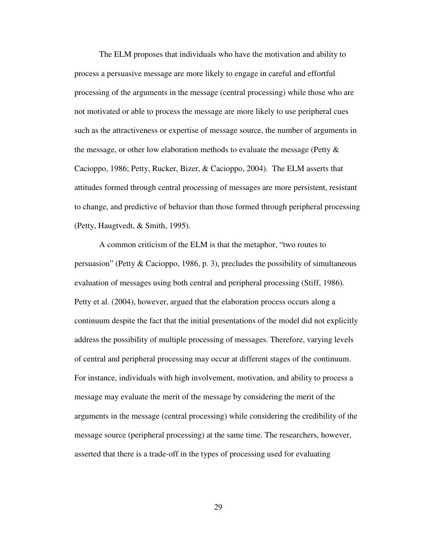The ELM proposes that individuals who have the motivation and ability to process a persuasive message are more likely to engage in careful and effortful processing of the arguments in the message (central processing) while those who are not motivated or able to process the message are more likely to use peripheral cues such as the attractiveness or expertise of message source, the number of arguments in the message, or other low elaboration methods to evaluate the message (Petty & Cacioppo, 1986; Petty, Rucker, Bizer, & Cacioppo, 2004). The ELM asserts that attitudes formed through central processing of messages are more persistent, resistant to change, and predictive of behavior than those formed through peripheral processing (Petty, Haugtvedt, & Smith, 1995).

A common criticism of the ELM is that the metaphor, "two routes to persuasion" (Petty & Cacioppo, 1986, p. 3), precludes the possibility of simultaneous evaluation of messages using both central and peripheral processing (Stiff, 1986). Petty et al. (2004), however, argued that the elaboration process occurs along a continuum despite the fact that the initial presentations of the model did not explicitly address the possibility of multiple processing of messages. Therefore, varying levels of central and peripheral processing may occur at different stages of the continuum. For instance, individuals with high involvement, motivation, and ability to process a message may evaluate the merit of the message by considering the merit of the arguments in the message (central processing) while considering the credibility of the message source (peripheral processing) at the same time. The researchers, however, asserted that there is a trade-off in the types of processing used for evaluating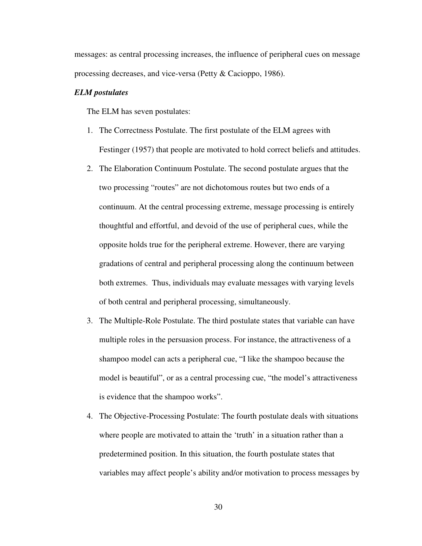messages: as central processing increases, the influence of peripheral cues on message processing decreases, and vice-versa (Petty & Cacioppo, 1986).

### *ELM postulates*

The ELM has seven postulates:

- 1. The Correctness Postulate. The first postulate of the ELM agrees with Festinger (1957) that people are motivated to hold correct beliefs and attitudes.
- 2. The Elaboration Continuum Postulate. The second postulate argues that the two processing "routes" are not dichotomous routes but two ends of a continuum. At the central processing extreme, message processing is entirely thoughtful and effortful, and devoid of the use of peripheral cues, while the opposite holds true for the peripheral extreme. However, there are varying gradations of central and peripheral processing along the continuum between both extremes. Thus, individuals may evaluate messages with varying levels of both central and peripheral processing, simultaneously.
- 3. The Multiple-Role Postulate. The third postulate states that variable can have multiple roles in the persuasion process. For instance, the attractiveness of a shampoo model can acts a peripheral cue, "I like the shampoo because the model is beautiful", or as a central processing cue, "the model's attractiveness is evidence that the shampoo works".
- 4. The Objective-Processing Postulate: The fourth postulate deals with situations where people are motivated to attain the 'truth' in a situation rather than a predetermined position. In this situation, the fourth postulate states that variables may affect people's ability and/or motivation to process messages by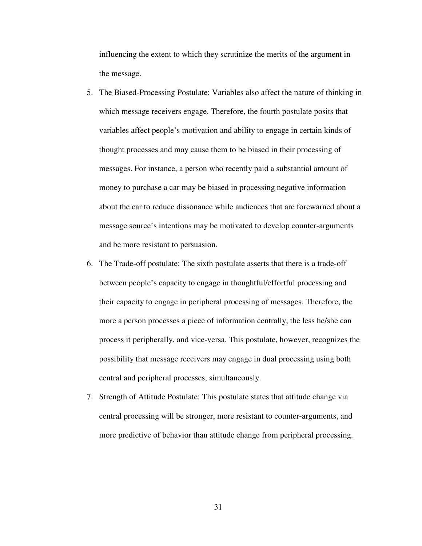influencing the extent to which they scrutinize the merits of the argument in the message.

- 5. The Biased-Processing Postulate: Variables also affect the nature of thinking in which message receivers engage. Therefore, the fourth postulate posits that variables affect people's motivation and ability to engage in certain kinds of thought processes and may cause them to be biased in their processing of messages. For instance, a person who recently paid a substantial amount of money to purchase a car may be biased in processing negative information about the car to reduce dissonance while audiences that are forewarned about a message source's intentions may be motivated to develop counter-arguments and be more resistant to persuasion.
- 6. The Trade-off postulate: The sixth postulate asserts that there is a trade-off between people's capacity to engage in thoughtful/effortful processing and their capacity to engage in peripheral processing of messages. Therefore, the more a person processes a piece of information centrally, the less he/she can process it peripherally, and vice-versa. This postulate, however, recognizes the possibility that message receivers may engage in dual processing using both central and peripheral processes, simultaneously.
- 7. Strength of Attitude Postulate: This postulate states that attitude change via central processing will be stronger, more resistant to counter-arguments, and more predictive of behavior than attitude change from peripheral processing.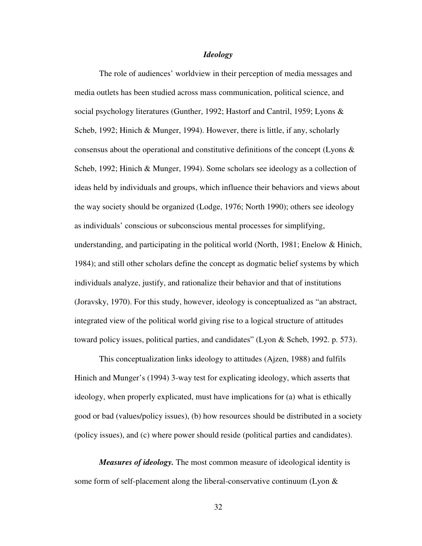# *Ideology*

The role of audiences' worldview in their perception of media messages and media outlets has been studied across mass communication, political science, and social psychology literatures (Gunther, 1992; Hastorf and Cantril, 1959; Lyons & Scheb, 1992; Hinich & Munger, 1994). However, there is little, if any, scholarly consensus about the operational and constitutive definitions of the concept (Lyons  $\&$ Scheb, 1992; Hinich & Munger, 1994). Some scholars see ideology as a collection of ideas held by individuals and groups, which influence their behaviors and views about the way society should be organized (Lodge, 1976; North 1990); others see ideology as individuals' conscious or subconscious mental processes for simplifying, understanding, and participating in the political world (North, 1981; Enelow & Hinich, 1984); and still other scholars define the concept as dogmatic belief systems by which individuals analyze, justify, and rationalize their behavior and that of institutions (Joravsky, 1970). For this study, however, ideology is conceptualized as "an abstract, integrated view of the political world giving rise to a logical structure of attitudes toward policy issues, political parties, and candidates" (Lyon & Scheb, 1992. p. 573).

This conceptualization links ideology to attitudes (Ajzen, 1988) and fulfils Hinich and Munger's (1994) 3-way test for explicating ideology, which asserts that ideology, when properly explicated, must have implications for (a) what is ethically good or bad (values/policy issues), (b) how resources should be distributed in a society (policy issues), and (c) where power should reside (political parties and candidates).

*Measures of ideology.* The most common measure of ideological identity is some form of self-placement along the liberal-conservative continuum (Lyon &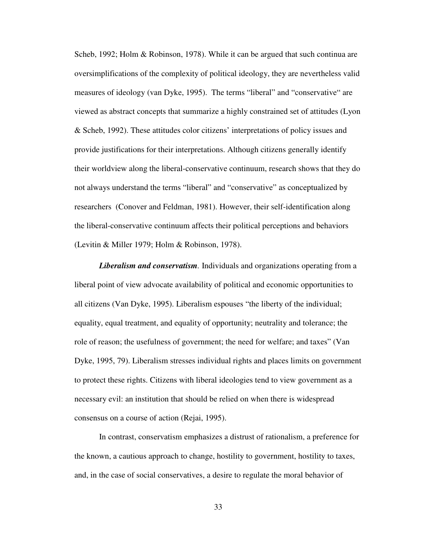Scheb, 1992; Holm & Robinson, 1978). While it can be argued that such continua are oversimplifications of the complexity of political ideology, they are nevertheless valid measures of ideology (van Dyke, 1995). The terms "liberal" and "conservative" are viewed as abstract concepts that summarize a highly constrained set of attitudes (Lyon & Scheb, 1992). These attitudes color citizens' interpretations of policy issues and provide justifications for their interpretations. Although citizens generally identify their worldview along the liberal-conservative continuum, research shows that they do not always understand the terms "liberal" and "conservative" as conceptualized by researchers (Conover and Feldman, 1981). However, their self-identification along the liberal-conservative continuum affects their political perceptions and behaviors (Levitin & Miller 1979; Holm & Robinson, 1978).

*Liberalism and conservatism.* Individuals and organizations operating from a liberal point of view advocate availability of political and economic opportunities to all citizens (Van Dyke, 1995). Liberalism espouses "the liberty of the individual; equality, equal treatment, and equality of opportunity; neutrality and tolerance; the role of reason; the usefulness of government; the need for welfare; and taxes" (Van Dyke, 1995, 79). Liberalism stresses individual rights and places limits on government to protect these rights. Citizens with liberal ideologies tend to view government as a necessary evil: an institution that should be relied on when there is widespread consensus on a course of action (Rejai, 1995).

In contrast, conservatism emphasizes a distrust of rationalism, a preference for the known, a cautious approach to change, hostility to government, hostility to taxes, and, in the case of social conservatives, a desire to regulate the moral behavior of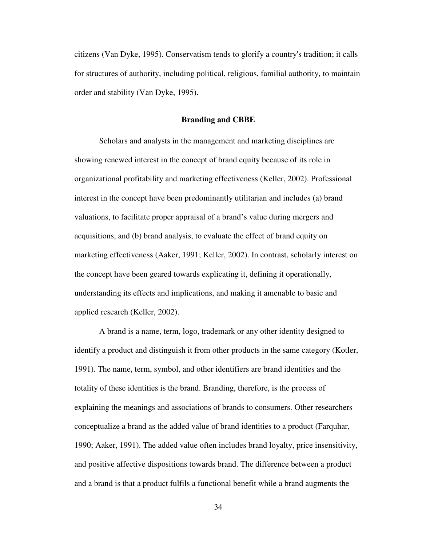citizens (Van Dyke, 1995). Conservatism tends to glorify a country's tradition; it calls for structures of authority, including political, religious, familial authority, to maintain order and stability (Van Dyke, 1995).

#### **Branding and CBBE**

Scholars and analysts in the management and marketing disciplines are showing renewed interest in the concept of brand equity because of its role in organizational profitability and marketing effectiveness (Keller, 2002). Professional interest in the concept have been predominantly utilitarian and includes (a) brand valuations, to facilitate proper appraisal of a brand's value during mergers and acquisitions, and (b) brand analysis, to evaluate the effect of brand equity on marketing effectiveness (Aaker, 1991; Keller, 2002). In contrast, scholarly interest on the concept have been geared towards explicating it, defining it operationally, understanding its effects and implications, and making it amenable to basic and applied research (Keller, 2002).

A brand is a name, term, logo, trademark or any other identity designed to identify a product and distinguish it from other products in the same category (Kotler, 1991). The name, term, symbol, and other identifiers are brand identities and the totality of these identities is the brand. Branding, therefore, is the process of explaining the meanings and associations of brands to consumers. Other researchers conceptualize a brand as the added value of brand identities to a product (Farquhar, 1990; Aaker, 1991). The added value often includes brand loyalty, price insensitivity, and positive affective dispositions towards brand. The difference between a product and a brand is that a product fulfils a functional benefit while a brand augments the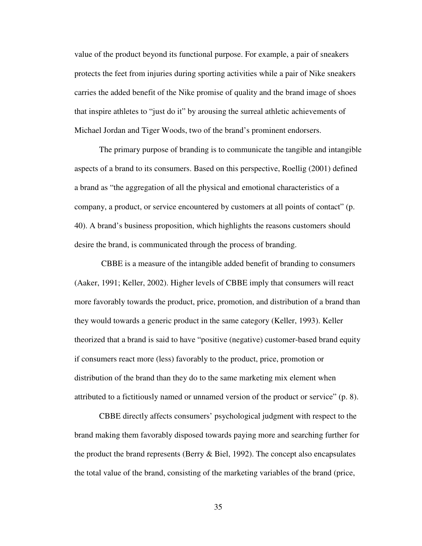value of the product beyond its functional purpose. For example, a pair of sneakers protects the feet from injuries during sporting activities while a pair of Nike sneakers carries the added benefit of the Nike promise of quality and the brand image of shoes that inspire athletes to "just do it" by arousing the surreal athletic achievements of Michael Jordan and Tiger Woods, two of the brand's prominent endorsers.

The primary purpose of branding is to communicate the tangible and intangible aspects of a brand to its consumers. Based on this perspective, Roellig (2001) defined a brand as "the aggregation of all the physical and emotional characteristics of a company, a product, or service encountered by customers at all points of contact" (p. 40). A brand's business proposition, which highlights the reasons customers should desire the brand, is communicated through the process of branding.

 CBBE is a measure of the intangible added benefit of branding to consumers (Aaker, 1991; Keller, 2002). Higher levels of CBBE imply that consumers will react more favorably towards the product, price, promotion, and distribution of a brand than they would towards a generic product in the same category (Keller, 1993). Keller theorized that a brand is said to have "positive (negative) customer-based brand equity if consumers react more (less) favorably to the product, price, promotion or distribution of the brand than they do to the same marketing mix element when attributed to a fictitiously named or unnamed version of the product or service" (p. 8).

CBBE directly affects consumers' psychological judgment with respect to the brand making them favorably disposed towards paying more and searching further for the product the brand represents (Berry & Biel, 1992). The concept also encapsulates the total value of the brand, consisting of the marketing variables of the brand (price,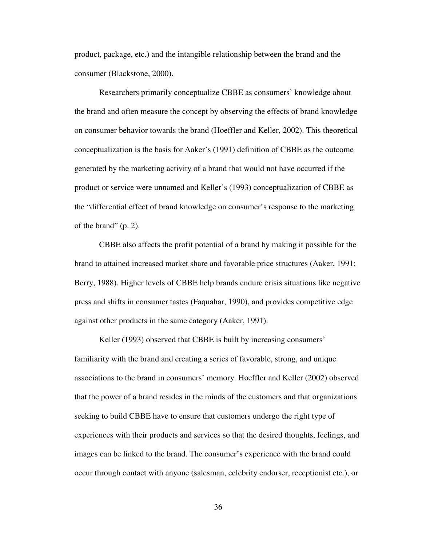product, package, etc.) and the intangible relationship between the brand and the consumer (Blackstone, 2000).

Researchers primarily conceptualize CBBE as consumers' knowledge about the brand and often measure the concept by observing the effects of brand knowledge on consumer behavior towards the brand (Hoeffler and Keller, 2002). This theoretical conceptualization is the basis for Aaker's (1991) definition of CBBE as the outcome generated by the marketing activity of a brand that would not have occurred if the product or service were unnamed and Keller's (1993) conceptualization of CBBE as the "differential effect of brand knowledge on consumer's response to the marketing of the brand" (p. 2).

CBBE also affects the profit potential of a brand by making it possible for the brand to attained increased market share and favorable price structures (Aaker, 1991; Berry, 1988). Higher levels of CBBE help brands endure crisis situations like negative press and shifts in consumer tastes (Faquahar, 1990), and provides competitive edge against other products in the same category (Aaker, 1991).

Keller (1993) observed that CBBE is built by increasing consumers' familiarity with the brand and creating a series of favorable, strong, and unique associations to the brand in consumers' memory. Hoeffler and Keller (2002) observed that the power of a brand resides in the minds of the customers and that organizations seeking to build CBBE have to ensure that customers undergo the right type of experiences with their products and services so that the desired thoughts, feelings, and images can be linked to the brand. The consumer's experience with the brand could occur through contact with anyone (salesman, celebrity endorser, receptionist etc.), or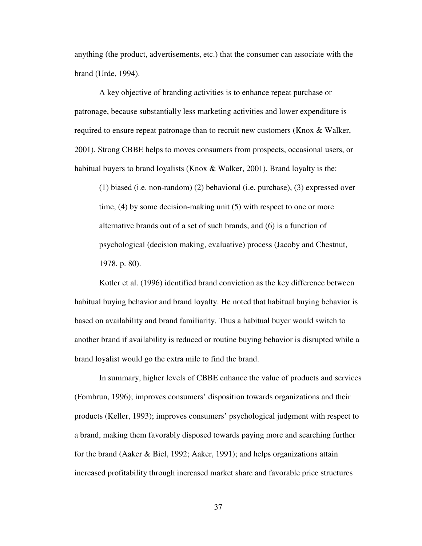anything (the product, advertisements, etc.) that the consumer can associate with the brand (Urde, 1994).

A key objective of branding activities is to enhance repeat purchase or patronage, because substantially less marketing activities and lower expenditure is required to ensure repeat patronage than to recruit new customers (Knox & Walker, 2001). Strong CBBE helps to moves consumers from prospects, occasional users, or habitual buyers to brand loyalists (Knox & Walker, 2001). Brand loyalty is the:

(1) biased (i.e. non-random) (2) behavioral (i.e. purchase), (3) expressed over time, (4) by some decision-making unit (5) with respect to one or more alternative brands out of a set of such brands, and (6) is a function of psychological (decision making, evaluative) process (Jacoby and Chestnut, 1978, p. 80).

Kotler et al. (1996) identified brand conviction as the key difference between habitual buying behavior and brand loyalty. He noted that habitual buying behavior is based on availability and brand familiarity. Thus a habitual buyer would switch to another brand if availability is reduced or routine buying behavior is disrupted while a brand loyalist would go the extra mile to find the brand.

In summary, higher levels of CBBE enhance the value of products and services (Fombrun, 1996); improves consumers' disposition towards organizations and their products (Keller, 1993); improves consumers' psychological judgment with respect to a brand, making them favorably disposed towards paying more and searching further for the brand (Aaker & Biel, 1992; Aaker, 1991); and helps organizations attain increased profitability through increased market share and favorable price structures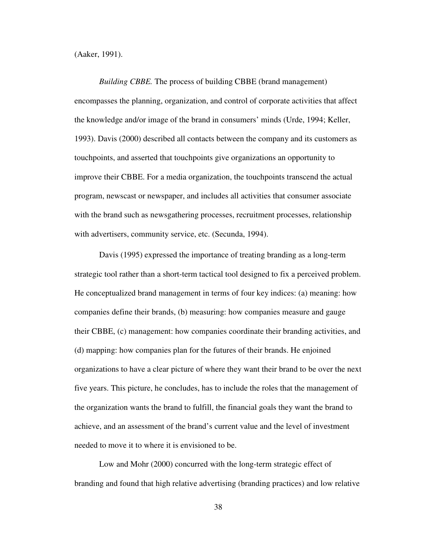(Aaker, 1991).

*Building CBBE.* The process of building CBBE (brand management) encompasses the planning, organization, and control of corporate activities that affect the knowledge and/or image of the brand in consumers' minds (Urde, 1994; Keller, 1993). Davis (2000) described all contacts between the company and its customers as touchpoints, and asserted that touchpoints give organizations an opportunity to improve their CBBE. For a media organization, the touchpoints transcend the actual program, newscast or newspaper, and includes all activities that consumer associate with the brand such as newsgathering processes, recruitment processes, relationship with advertisers, community service, etc. (Secunda, 1994).

Davis (1995) expressed the importance of treating branding as a long-term strategic tool rather than a short-term tactical tool designed to fix a perceived problem. He conceptualized brand management in terms of four key indices: (a) meaning: how companies define their brands, (b) measuring: how companies measure and gauge their CBBE, (c) management: how companies coordinate their branding activities, and (d) mapping: how companies plan for the futures of their brands. He enjoined organizations to have a clear picture of where they want their brand to be over the next five years. This picture, he concludes, has to include the roles that the management of the organization wants the brand to fulfill, the financial goals they want the brand to achieve, and an assessment of the brand's current value and the level of investment needed to move it to where it is envisioned to be.

Low and Mohr (2000) concurred with the long-term strategic effect of branding and found that high relative advertising (branding practices) and low relative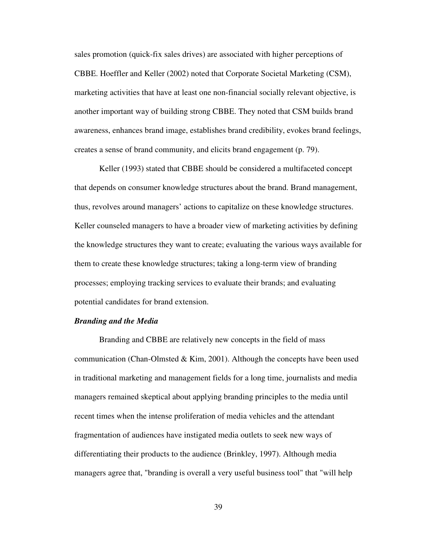sales promotion (quick-fix sales drives) are associated with higher perceptions of CBBE. Hoeffler and Keller (2002) noted that Corporate Societal Marketing (CSM), marketing activities that have at least one non-financial socially relevant objective, is another important way of building strong CBBE. They noted that CSM builds brand awareness, enhances brand image, establishes brand credibility, evokes brand feelings, creates a sense of brand community, and elicits brand engagement (p. 79).

 Keller (1993) stated that CBBE should be considered a multifaceted concept that depends on consumer knowledge structures about the brand. Brand management, thus, revolves around managers' actions to capitalize on these knowledge structures. Keller counseled managers to have a broader view of marketing activities by defining the knowledge structures they want to create; evaluating the various ways available for them to create these knowledge structures; taking a long-term view of branding processes; employing tracking services to evaluate their brands; and evaluating potential candidates for brand extension.

## *Branding and the Media*

Branding and CBBE are relatively new concepts in the field of mass communication (Chan-Olmsted & Kim, 2001). Although the concepts have been used in traditional marketing and management fields for a long time, journalists and media managers remained skeptical about applying branding principles to the media until recent times when the intense proliferation of media vehicles and the attendant fragmentation of audiences have instigated media outlets to seek new ways of differentiating their products to the audience (Brinkley, 1997). Although media managers agree that, "branding is overall a very useful business tool" that "will help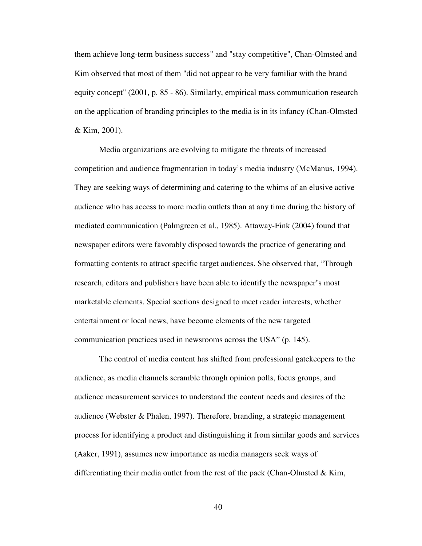them achieve long-term business success" and "stay competitive", Chan-Olmsted and Kim observed that most of them "did not appear to be very familiar with the brand equity concept" (2001, p. 85 - 86). Similarly, empirical mass communication research on the application of branding principles to the media is in its infancy (Chan-Olmsted & Kim, 2001).

Media organizations are evolving to mitigate the threats of increased competition and audience fragmentation in today's media industry (McManus, 1994). They are seeking ways of determining and catering to the whims of an elusive active audience who has access to more media outlets than at any time during the history of mediated communication (Palmgreen et al., 1985). Attaway-Fink (2004) found that newspaper editors were favorably disposed towards the practice of generating and formatting contents to attract specific target audiences. She observed that, "Through research, editors and publishers have been able to identify the newspaper's most marketable elements. Special sections designed to meet reader interests, whether entertainment or local news, have become elements of the new targeted communication practices used in newsrooms across the USA" (p. 145).

The control of media content has shifted from professional gatekeepers to the audience, as media channels scramble through opinion polls, focus groups, and audience measurement services to understand the content needs and desires of the audience (Webster & Phalen, 1997). Therefore, branding, a strategic management process for identifying a product and distinguishing it from similar goods and services (Aaker, 1991), assumes new importance as media managers seek ways of differentiating their media outlet from the rest of the pack (Chan-Olmsted  $\&$  Kim,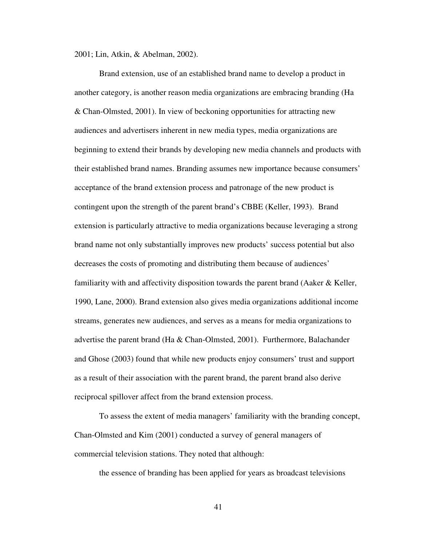2001; Lin, Atkin, & Abelman, 2002).

Brand extension, use of an established brand name to develop a product in another category, is another reason media organizations are embracing branding (Ha & Chan-Olmsted, 2001). In view of beckoning opportunities for attracting new audiences and advertisers inherent in new media types, media organizations are beginning to extend their brands by developing new media channels and products with their established brand names. Branding assumes new importance because consumers' acceptance of the brand extension process and patronage of the new product is contingent upon the strength of the parent brand's CBBE (Keller, 1993). Brand extension is particularly attractive to media organizations because leveraging a strong brand name not only substantially improves new products' success potential but also decreases the costs of promoting and distributing them because of audiences' familiarity with and affectivity disposition towards the parent brand (Aaker  $\&$  Keller, 1990, Lane, 2000). Brand extension also gives media organizations additional income streams, generates new audiences, and serves as a means for media organizations to advertise the parent brand (Ha & Chan-Olmsted, 2001). Furthermore, Balachander and Ghose (2003) found that while new products enjoy consumers' trust and support as a result of their association with the parent brand, the parent brand also derive reciprocal spillover affect from the brand extension process.

To assess the extent of media managers' familiarity with the branding concept, Chan-Olmsted and Kim (2001) conducted a survey of general managers of commercial television stations. They noted that although:

the essence of branding has been applied for years as broadcast televisions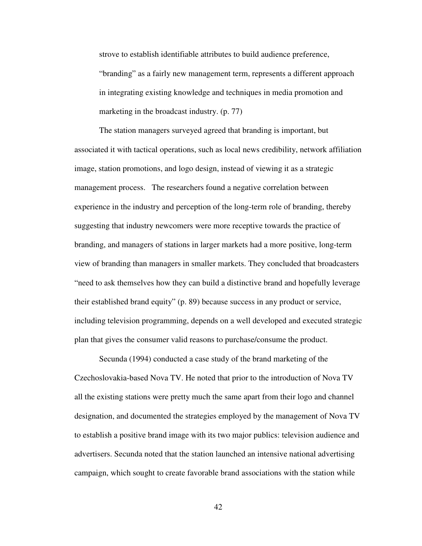strove to establish identifiable attributes to build audience preference, "branding" as a fairly new management term, represents a different approach in integrating existing knowledge and techniques in media promotion and marketing in the broadcast industry. (p. 77)

The station managers surveyed agreed that branding is important, but associated it with tactical operations, such as local news credibility, network affiliation image, station promotions, and logo design, instead of viewing it as a strategic management process. The researchers found a negative correlation between experience in the industry and perception of the long-term role of branding, thereby suggesting that industry newcomers were more receptive towards the practice of branding, and managers of stations in larger markets had a more positive, long-term view of branding than managers in smaller markets. They concluded that broadcasters "need to ask themselves how they can build a distinctive brand and hopefully leverage their established brand equity" (p. 89) because success in any product or service, including television programming, depends on a well developed and executed strategic plan that gives the consumer valid reasons to purchase/consume the product.

Secunda (1994) conducted a case study of the brand marketing of the Czechoslovakia-based Nova TV. He noted that prior to the introduction of Nova TV all the existing stations were pretty much the same apart from their logo and channel designation, and documented the strategies employed by the management of Nova TV to establish a positive brand image with its two major publics: television audience and advertisers. Secunda noted that the station launched an intensive national advertising campaign, which sought to create favorable brand associations with the station while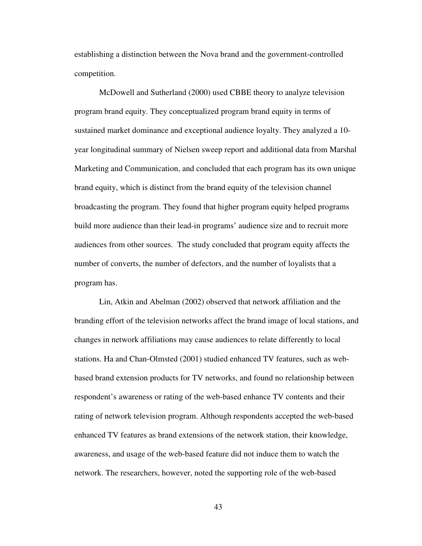establishing a distinction between the Nova brand and the government-controlled competition.

McDowell and Sutherland (2000) used CBBE theory to analyze television program brand equity. They conceptualized program brand equity in terms of sustained market dominance and exceptional audience loyalty. They analyzed a 10 year longitudinal summary of Nielsen sweep report and additional data from Marshal Marketing and Communication, and concluded that each program has its own unique brand equity, which is distinct from the brand equity of the television channel broadcasting the program. They found that higher program equity helped programs build more audience than their lead-in programs' audience size and to recruit more audiences from other sources. The study concluded that program equity affects the number of converts, the number of defectors, and the number of loyalists that a program has.

Lin, Atkin and Abelman (2002) observed that network affiliation and the branding effort of the television networks affect the brand image of local stations, and changes in network affiliations may cause audiences to relate differently to local stations. Ha and Chan-Olmsted (2001) studied enhanced TV features, such as webbased brand extension products for TV networks, and found no relationship between respondent's awareness or rating of the web-based enhance TV contents and their rating of network television program. Although respondents accepted the web-based enhanced TV features as brand extensions of the network station, their knowledge, awareness, and usage of the web-based feature did not induce them to watch the network. The researchers, however, noted the supporting role of the web-based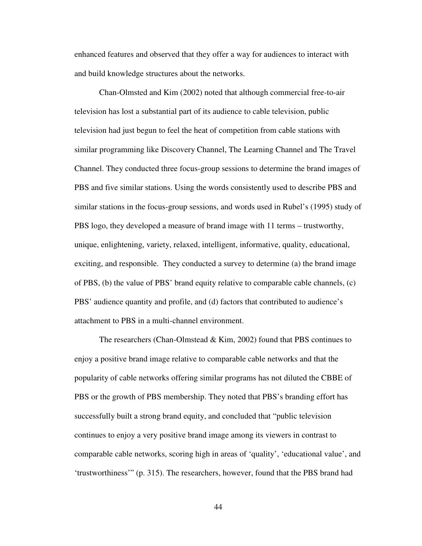enhanced features and observed that they offer a way for audiences to interact with and build knowledge structures about the networks.

Chan-Olmsted and Kim (2002) noted that although commercial free-to-air television has lost a substantial part of its audience to cable television, public television had just begun to feel the heat of competition from cable stations with similar programming like Discovery Channel, The Learning Channel and The Travel Channel. They conducted three focus-group sessions to determine the brand images of PBS and five similar stations. Using the words consistently used to describe PBS and similar stations in the focus-group sessions, and words used in Rubel's (1995) study of PBS logo, they developed a measure of brand image with 11 terms – trustworthy, unique, enlightening, variety, relaxed, intelligent, informative, quality, educational, exciting, and responsible. They conducted a survey to determine (a) the brand image of PBS, (b) the value of PBS' brand equity relative to comparable cable channels, (c) PBS' audience quantity and profile, and (d) factors that contributed to audience's attachment to PBS in a multi-channel environment.

The researchers (Chan-Olmstead & Kim, 2002) found that PBS continues to enjoy a positive brand image relative to comparable cable networks and that the popularity of cable networks offering similar programs has not diluted the CBBE of PBS or the growth of PBS membership. They noted that PBS's branding effort has successfully built a strong brand equity, and concluded that "public television continues to enjoy a very positive brand image among its viewers in contrast to comparable cable networks, scoring high in areas of 'quality', 'educational value', and 'trustworthiness'" (p. 315). The researchers, however, found that the PBS brand had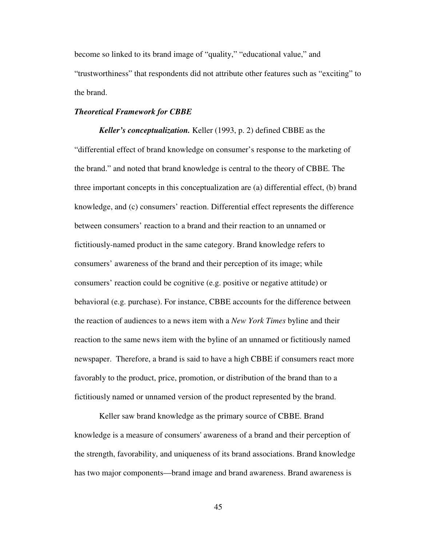become so linked to its brand image of "quality," "educational value," and "trustworthiness" that respondents did not attribute other features such as "exciting" to the brand.

# *Theoretical Framework for CBBE*

*Keller's conceptualization.* Keller (1993, p. 2) defined CBBE as the "differential effect of brand knowledge on consumer's response to the marketing of the brand." and noted that brand knowledge is central to the theory of CBBE. The three important concepts in this conceptualization are (a) differential effect, (b) brand knowledge, and (c) consumers' reaction. Differential effect represents the difference between consumers' reaction to a brand and their reaction to an unnamed or fictitiously-named product in the same category. Brand knowledge refers to consumers' awareness of the brand and their perception of its image; while consumers' reaction could be cognitive (e.g. positive or negative attitude) or behavioral (e.g. purchase). For instance, CBBE accounts for the difference between the reaction of audiences to a news item with a *New York Times* byline and their reaction to the same news item with the byline of an unnamed or fictitiously named newspaper. Therefore, a brand is said to have a high CBBE if consumers react more favorably to the product, price, promotion, or distribution of the brand than to a fictitiously named or unnamed version of the product represented by the brand.

Keller saw brand knowledge as the primary source of CBBE. Brand knowledge is a measure of consumers' awareness of a brand and their perception of the strength, favorability, and uniqueness of its brand associations. Brand knowledge has two major components—brand image and brand awareness. Brand awareness is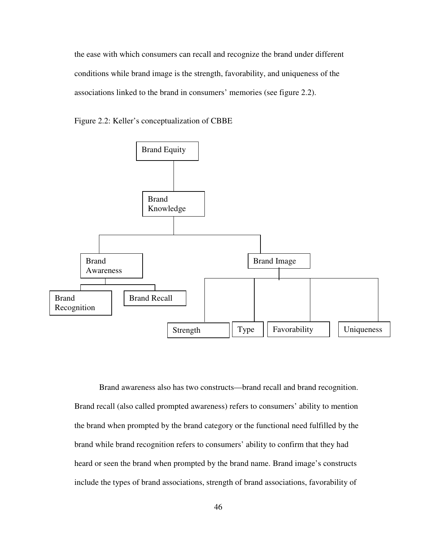the ease with which consumers can recall and recognize the brand under different conditions while brand image is the strength, favorability, and uniqueness of the associations linked to the brand in consumers' memories (see figure 2.2).





Brand awareness also has two constructs—brand recall and brand recognition. Brand recall (also called prompted awareness) refers to consumers' ability to mention the brand when prompted by the brand category or the functional need fulfilled by the brand while brand recognition refers to consumers' ability to confirm that they had heard or seen the brand when prompted by the brand name. Brand image's constructs include the types of brand associations, strength of brand associations, favorability of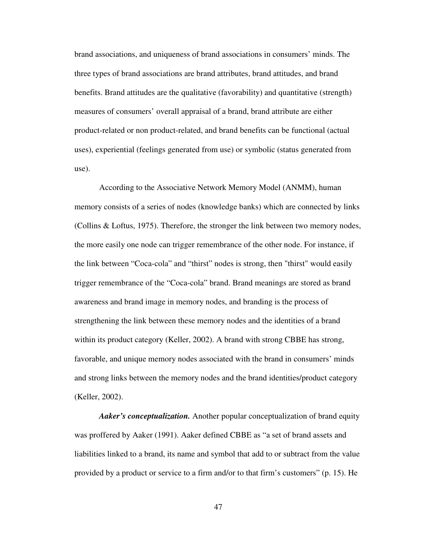brand associations, and uniqueness of brand associations in consumers' minds. The three types of brand associations are brand attributes, brand attitudes, and brand benefits. Brand attitudes are the qualitative (favorability) and quantitative (strength) measures of consumers' overall appraisal of a brand, brand attribute are either product-related or non product-related, and brand benefits can be functional (actual uses), experiential (feelings generated from use) or symbolic (status generated from use).

According to the Associative Network Memory Model (ANMM), human memory consists of a series of nodes (knowledge banks) which are connected by links (Collins & Loftus, 1975). Therefore, the stronger the link between two memory nodes, the more easily one node can trigger remembrance of the other node. For instance, if the link between "Coca-cola" and "thirst" nodes is strong, then "thirst" would easily trigger remembrance of the "Coca-cola" brand. Brand meanings are stored as brand awareness and brand image in memory nodes, and branding is the process of strengthening the link between these memory nodes and the identities of a brand within its product category (Keller, 2002). A brand with strong CBBE has strong, favorable, and unique memory nodes associated with the brand in consumers' minds and strong links between the memory nodes and the brand identities/product category (Keller, 2002).

*Aaker's conceptualization.* Another popular conceptualization of brand equity was proffered by Aaker (1991). Aaker defined CBBE as "a set of brand assets and liabilities linked to a brand, its name and symbol that add to or subtract from the value provided by a product or service to a firm and/or to that firm's customers" (p. 15). He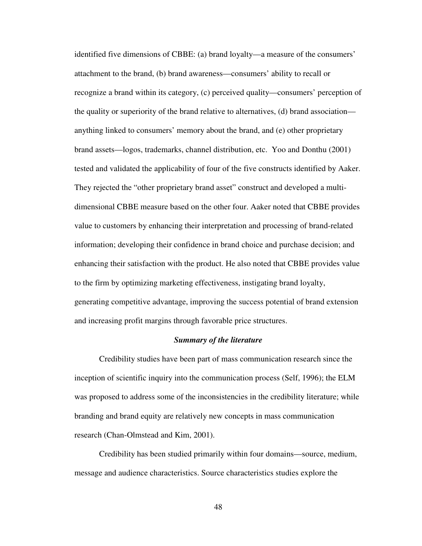identified five dimensions of CBBE: (a) brand loyalty—a measure of the consumers' attachment to the brand, (b) brand awareness—consumers' ability to recall or recognize a brand within its category, (c) perceived quality—consumers' perception of the quality or superiority of the brand relative to alternatives, (d) brand association anything linked to consumers' memory about the brand, and (e) other proprietary brand assets—logos, trademarks, channel distribution, etc. Yoo and Donthu (2001) tested and validated the applicability of four of the five constructs identified by Aaker. They rejected the "other proprietary brand asset" construct and developed a multidimensional CBBE measure based on the other four. Aaker noted that CBBE provides value to customers by enhancing their interpretation and processing of brand-related information; developing their confidence in brand choice and purchase decision; and enhancing their satisfaction with the product. He also noted that CBBE provides value to the firm by optimizing marketing effectiveness, instigating brand loyalty, generating competitive advantage, improving the success potential of brand extension and increasing profit margins through favorable price structures.

#### *Summary of the literature*

Credibility studies have been part of mass communication research since the inception of scientific inquiry into the communication process (Self, 1996); the ELM was proposed to address some of the inconsistencies in the credibility literature; while branding and brand equity are relatively new concepts in mass communication research (Chan-Olmstead and Kim, 2001).

Credibility has been studied primarily within four domains—source, medium, message and audience characteristics. Source characteristics studies explore the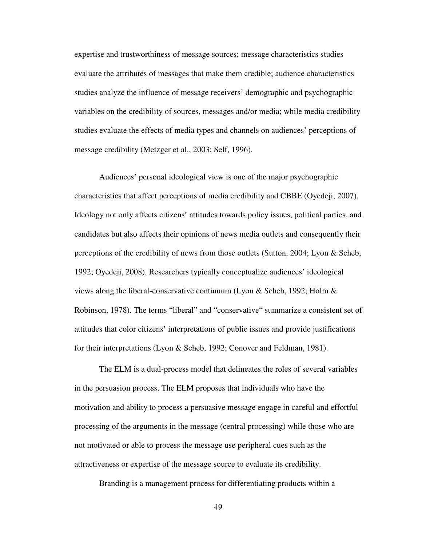expertise and trustworthiness of message sources; message characteristics studies evaluate the attributes of messages that make them credible; audience characteristics studies analyze the influence of message receivers' demographic and psychographic variables on the credibility of sources, messages and/or media; while media credibility studies evaluate the effects of media types and channels on audiences' perceptions of message credibility (Metzger et al., 2003; Self, 1996).

Audiences' personal ideological view is one of the major psychographic characteristics that affect perceptions of media credibility and CBBE (Oyedeji, 2007). Ideology not only affects citizens' attitudes towards policy issues, political parties, and candidates but also affects their opinions of news media outlets and consequently their perceptions of the credibility of news from those outlets (Sutton, 2004; Lyon & Scheb, 1992; Oyedeji, 2008). Researchers typically conceptualize audiences' ideological views along the liberal-conservative continuum (Lyon & Scheb, 1992; Holm & Robinson, 1978). The terms "liberal" and "conservative" summarize a consistent set of attitudes that color citizens' interpretations of public issues and provide justifications for their interpretations (Lyon & Scheb, 1992; Conover and Feldman, 1981).

The ELM is a dual-process model that delineates the roles of several variables in the persuasion process. The ELM proposes that individuals who have the motivation and ability to process a persuasive message engage in careful and effortful processing of the arguments in the message (central processing) while those who are not motivated or able to process the message use peripheral cues such as the attractiveness or expertise of the message source to evaluate its credibility.

Branding is a management process for differentiating products within a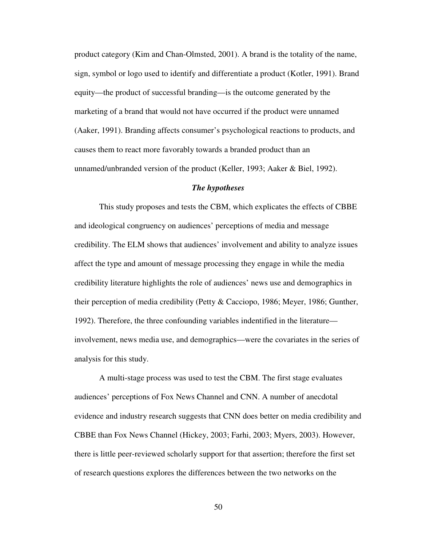product category (Kim and Chan-Olmsted, 2001). A brand is the totality of the name, sign, symbol or logo used to identify and differentiate a product (Kotler, 1991). Brand equity—the product of successful branding—is the outcome generated by the marketing of a brand that would not have occurred if the product were unnamed (Aaker, 1991). Branding affects consumer's psychological reactions to products, and causes them to react more favorably towards a branded product than an unnamed/unbranded version of the product (Keller, 1993; Aaker & Biel, 1992).

#### *The hypotheses*

This study proposes and tests the CBM, which explicates the effects of CBBE and ideological congruency on audiences' perceptions of media and message credibility. The ELM shows that audiences' involvement and ability to analyze issues affect the type and amount of message processing they engage in while the media credibility literature highlights the role of audiences' news use and demographics in their perception of media credibility (Petty & Cacciopo, 1986; Meyer, 1986; Gunther, 1992). Therefore, the three confounding variables indentified in the literature involvement, news media use, and demographics—were the covariates in the series of analysis for this study.

A multi-stage process was used to test the CBM. The first stage evaluates audiences' perceptions of Fox News Channel and CNN. A number of anecdotal evidence and industry research suggests that CNN does better on media credibility and CBBE than Fox News Channel (Hickey, 2003; Farhi, 2003; Myers, 2003). However, there is little peer-reviewed scholarly support for that assertion; therefore the first set of research questions explores the differences between the two networks on the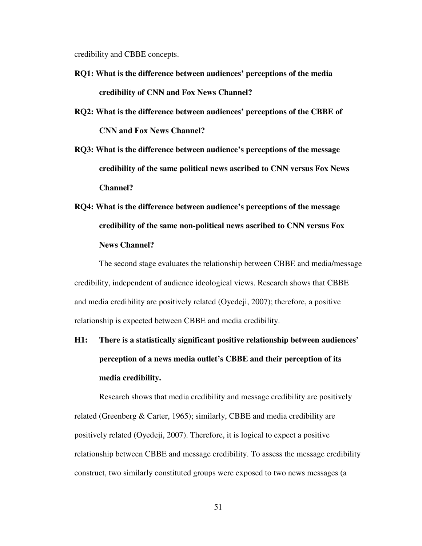credibility and CBBE concepts.

- **RQ1: What is the difference between audiences' perceptions of the media credibility of CNN and Fox News Channel?**
- **RQ2: What is the difference between audiences' perceptions of the CBBE of CNN and Fox News Channel?**
- **RQ3: What is the difference between audience's perceptions of the message credibility of the same political news ascribed to CNN versus Fox News Channel?**
- **RQ4: What is the difference between audience's perceptions of the message credibility of the same non-political news ascribed to CNN versus Fox News Channel?**

The second stage evaluates the relationship between CBBE and media/message credibility, independent of audience ideological views. Research shows that CBBE and media credibility are positively related (Oyedeji, 2007); therefore, a positive relationship is expected between CBBE and media credibility.

**H1: There is a statistically significant positive relationship between audiences' perception of a news media outlet's CBBE and their perception of its media credibility.** 

Research shows that media credibility and message credibility are positively related (Greenberg & Carter, 1965); similarly, CBBE and media credibility are positively related (Oyedeji, 2007). Therefore, it is logical to expect a positive relationship between CBBE and message credibility. To assess the message credibility construct, two similarly constituted groups were exposed to two news messages (a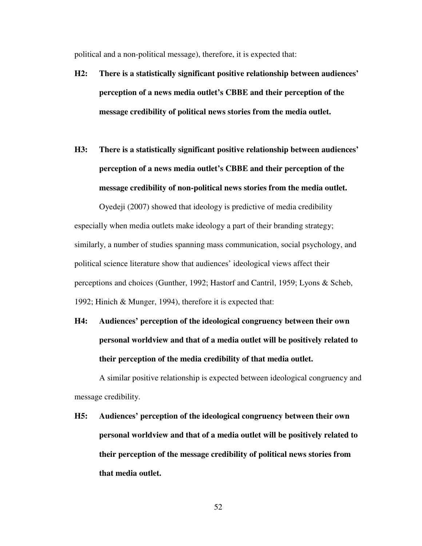political and a non-political message), therefore, it is expected that:

- **H2: There is a statistically significant positive relationship between audiences' perception of a news media outlet's CBBE and their perception of the message credibility of political news stories from the media outlet.**
- **H3: There is a statistically significant positive relationship between audiences' perception of a news media outlet's CBBE and their perception of the message credibility of non-political news stories from the media outlet.**

Oyedeji (2007) showed that ideology is predictive of media credibility especially when media outlets make ideology a part of their branding strategy; similarly, a number of studies spanning mass communication, social psychology, and political science literature show that audiences' ideological views affect their perceptions and choices (Gunther, 1992; Hastorf and Cantril, 1959; Lyons & Scheb, 1992; Hinich & Munger, 1994), therefore it is expected that:

**H4: Audiences' perception of the ideological congruency between their own personal worldview and that of a media outlet will be positively related to their perception of the media credibility of that media outlet.** 

A similar positive relationship is expected between ideological congruency and message credibility.

**H5: Audiences' perception of the ideological congruency between their own personal worldview and that of a media outlet will be positively related to their perception of the message credibility of political news stories from that media outlet.**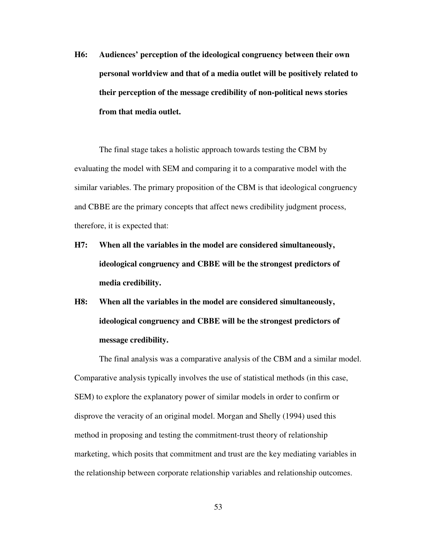**H6: Audiences' perception of the ideological congruency between their own personal worldview and that of a media outlet will be positively related to their perception of the message credibility of non-political news stories from that media outlet.** 

The final stage takes a holistic approach towards testing the CBM by evaluating the model with SEM and comparing it to a comparative model with the similar variables. The primary proposition of the CBM is that ideological congruency and CBBE are the primary concepts that affect news credibility judgment process, therefore, it is expected that:

- **H7: When all the variables in the model are considered simultaneously, ideological congruency and CBBE will be the strongest predictors of media credibility.**
- **H8: When all the variables in the model are considered simultaneously, ideological congruency and CBBE will be the strongest predictors of message credibility.**

The final analysis was a comparative analysis of the CBM and a similar model. Comparative analysis typically involves the use of statistical methods (in this case, SEM) to explore the explanatory power of similar models in order to confirm or disprove the veracity of an original model. Morgan and Shelly (1994) used this method in proposing and testing the commitment-trust theory of relationship marketing, which posits that commitment and trust are the key mediating variables in the relationship between corporate relationship variables and relationship outcomes.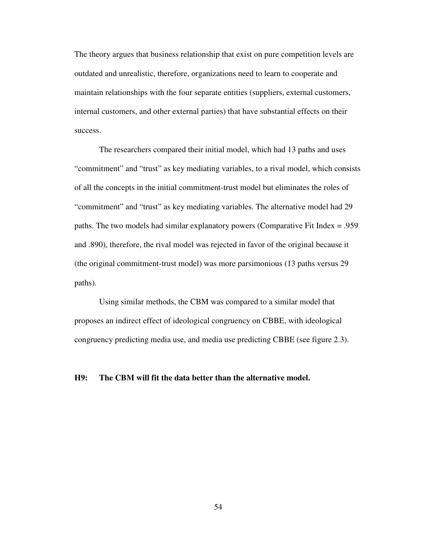The theory argues that business relationship that exist on pure competition levels are outdated and unrealistic, therefore, organizations need to learn to cooperate and maintain relationships with the four separate entities (suppliers, external customers, internal customers, and other external parties) that have substantial effects on their success.

The researchers compared their initial model, which had 13 paths and uses "commitment" and "trust" as key mediating variables, to a rival model, which consists of all the concepts in the initial commitment-trust model but eliminates the roles of "commitment" and "trust" as key mediating variables. The alternative model had 29 paths. The two models had similar explanatory powers (Comparative Fit Index = .959 and .890), therefore, the rival model was rejected in favor of the original because it (the original commitment-trust model) was more parsimonious (13 paths versus 29 paths).

Using similar methods, the CBM was compared to a similar model that proposes an indirect effect of ideological congruency on CBBE, with ideological congruency predicting media use, and media use predicting CBBE (see figure 2.3).

### **H9: The CBM will fit the data better than the alternative model.**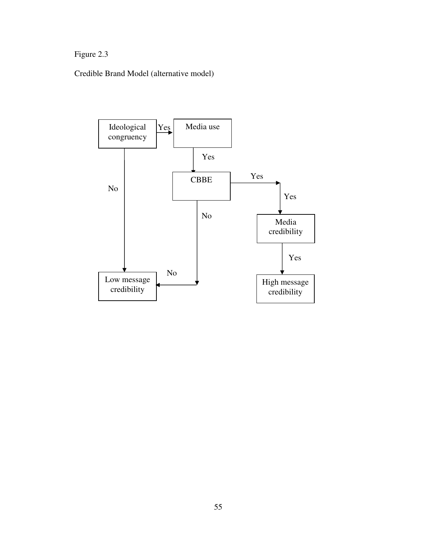# Figure 2.3

Credible Brand Model (alternative model)

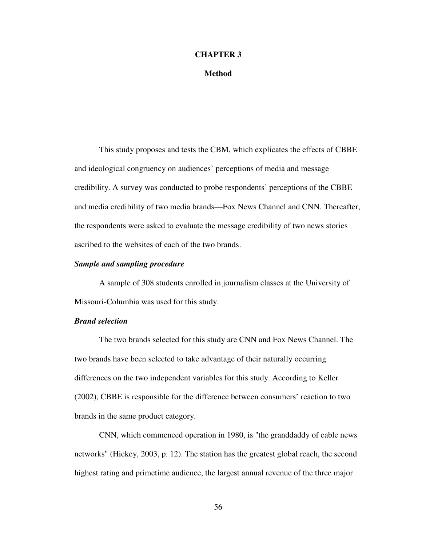### **CHAPTER 3**

### **Method**

This study proposes and tests the CBM, which explicates the effects of CBBE and ideological congruency on audiences' perceptions of media and message credibility. A survey was conducted to probe respondents' perceptions of the CBBE and media credibility of two media brands—Fox News Channel and CNN. Thereafter, the respondents were asked to evaluate the message credibility of two news stories ascribed to the websites of each of the two brands.

# *Sample and sampling procedure*

 A sample of 308 students enrolled in journalism classes at the University of Missouri-Columbia was used for this study.

# *Brand selection*

The two brands selected for this study are CNN and Fox News Channel. The two brands have been selected to take advantage of their naturally occurring differences on the two independent variables for this study. According to Keller (2002), CBBE is responsible for the difference between consumers' reaction to two brands in the same product category.

CNN, which commenced operation in 1980, is "the granddaddy of cable news networks" (Hickey, 2003, p. 12). The station has the greatest global reach, the second highest rating and primetime audience, the largest annual revenue of the three major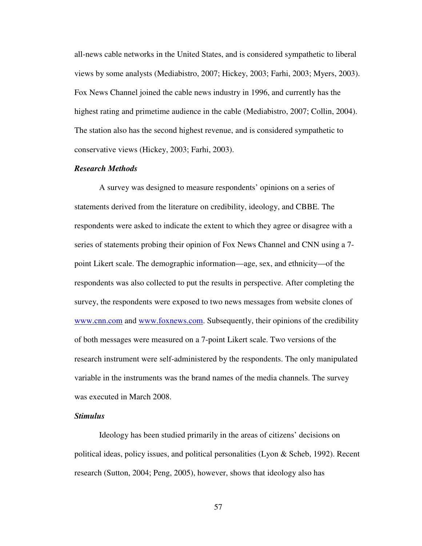all-news cable networks in the United States, and is considered sympathetic to liberal views by some analysts (Mediabistro, 2007; Hickey, 2003; Farhi, 2003; Myers, 2003). Fox News Channel joined the cable news industry in 1996, and currently has the highest rating and primetime audience in the cable (Mediabistro, 2007; Collin, 2004). The station also has the second highest revenue, and is considered sympathetic to conservative views (Hickey, 2003; Farhi, 2003).

# *Research Methods*

A survey was designed to measure respondents' opinions on a series of statements derived from the literature on credibility, ideology, and CBBE. The respondents were asked to indicate the extent to which they agree or disagree with a series of statements probing their opinion of Fox News Channel and CNN using a 7 point Likert scale. The demographic information—age, sex, and ethnicity—of the respondents was also collected to put the results in perspective. After completing the survey, the respondents were exposed to two news messages from website clones of www.cnn.com and www.foxnews.com. Subsequently, their opinions of the credibility of both messages were measured on a 7-point Likert scale. Two versions of the research instrument were self-administered by the respondents. The only manipulated variable in the instruments was the brand names of the media channels. The survey was executed in March 2008.

# *Stimulus*

Ideology has been studied primarily in the areas of citizens' decisions on political ideas, policy issues, and political personalities (Lyon & Scheb, 1992). Recent research (Sutton, 2004; Peng, 2005), however, shows that ideology also has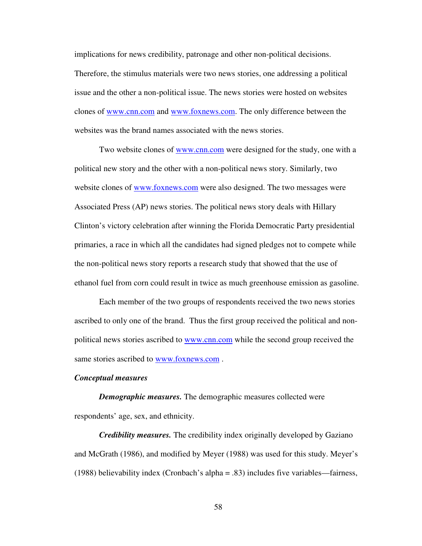implications for news credibility, patronage and other non-political decisions. Therefore, the stimulus materials were two news stories, one addressing a political issue and the other a non-political issue. The news stories were hosted on websites clones of www.cnn.com and www.foxnews.com. The only difference between the websites was the brand names associated with the news stories.

Two website clones of www.cnn.com were designed for the study, one with a political new story and the other with a non-political news story. Similarly, two website clones of www.foxnews.com were also designed. The two messages were Associated Press (AP) news stories. The political news story deals with Hillary Clinton's victory celebration after winning the Florida Democratic Party presidential primaries, a race in which all the candidates had signed pledges not to compete while the non-political news story reports a research study that showed that the use of ethanol fuel from corn could result in twice as much greenhouse emission as gasoline.

Each member of the two groups of respondents received the two news stories ascribed to only one of the brand. Thus the first group received the political and nonpolitical news stories ascribed to www.cnn.com while the second group received the same stories ascribed to www.foxnews.com .

#### *Conceptual measures*

*Demographic measures.* The demographic measures collected were respondents' age, sex, and ethnicity.

*Credibility measures.* The credibility index originally developed by Gaziano and McGrath (1986), and modified by Meyer (1988) was used for this study. Meyer's (1988) believability index (Cronbach's alpha = .83) includes five variables—fairness,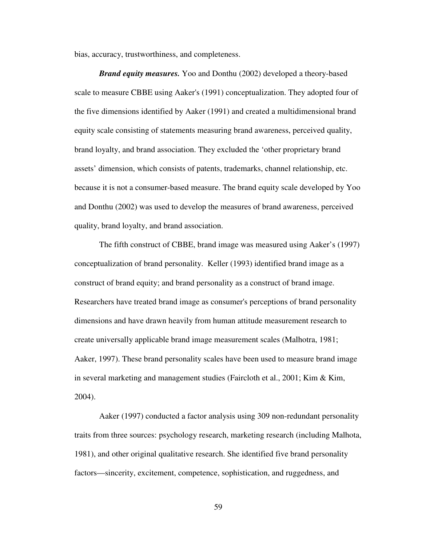bias, accuracy, trustworthiness, and completeness.

*Brand equity measures.* Yoo and Donthu (2002) developed a theory-based scale to measure CBBE using Aaker's (1991) conceptualization. They adopted four of the five dimensions identified by Aaker (1991) and created a multidimensional brand equity scale consisting of statements measuring brand awareness, perceived quality, brand loyalty, and brand association. They excluded the 'other proprietary brand assets' dimension, which consists of patents, trademarks, channel relationship, etc. because it is not a consumer-based measure. The brand equity scale developed by Yoo and Donthu (2002) was used to develop the measures of brand awareness, perceived quality, brand loyalty, and brand association.

The fifth construct of CBBE, brand image was measured using Aaker's (1997) conceptualization of brand personality. Keller (1993) identified brand image as a construct of brand equity; and brand personality as a construct of brand image. Researchers have treated brand image as consumer's perceptions of brand personality dimensions and have drawn heavily from human attitude measurement research to create universally applicable brand image measurement scales (Malhotra, 1981; Aaker, 1997). These brand personality scales have been used to measure brand image in several marketing and management studies (Faircloth et al., 2001; Kim & Kim, 2004).

Aaker (1997) conducted a factor analysis using 309 non-redundant personality traits from three sources: psychology research, marketing research (including Malhota, 1981), and other original qualitative research. She identified five brand personality factors—sincerity, excitement, competence, sophistication, and ruggedness, and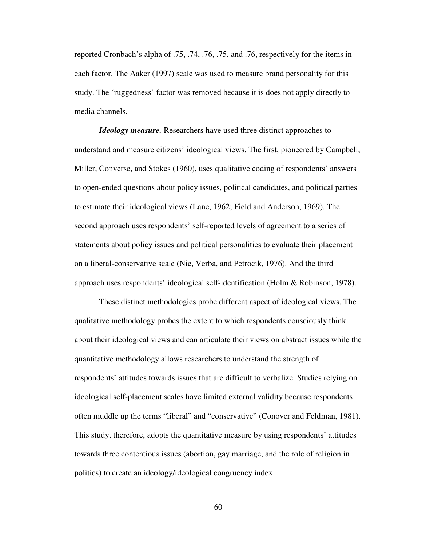reported Cronbach's alpha of .75, .74, .76, .75, and .76, respectively for the items in each factor. The Aaker (1997) scale was used to measure brand personality for this study. The 'ruggedness' factor was removed because it is does not apply directly to media channels.

*Ideology measure.* Researchers have used three distinct approaches to understand and measure citizens' ideological views. The first, pioneered by Campbell, Miller, Converse, and Stokes (1960), uses qualitative coding of respondents' answers to open-ended questions about policy issues, political candidates, and political parties to estimate their ideological views (Lane, 1962; Field and Anderson, 1969). The second approach uses respondents' self-reported levels of agreement to a series of statements about policy issues and political personalities to evaluate their placement on a liberal-conservative scale (Nie, Verba, and Petrocik, 1976). And the third approach uses respondents' ideological self-identification (Holm & Robinson, 1978).

These distinct methodologies probe different aspect of ideological views. The qualitative methodology probes the extent to which respondents consciously think about their ideological views and can articulate their views on abstract issues while the quantitative methodology allows researchers to understand the strength of respondents' attitudes towards issues that are difficult to verbalize. Studies relying on ideological self-placement scales have limited external validity because respondents often muddle up the terms "liberal" and "conservative" (Conover and Feldman, 1981). This study, therefore, adopts the quantitative measure by using respondents' attitudes towards three contentious issues (abortion, gay marriage, and the role of religion in politics) to create an ideology/ideological congruency index.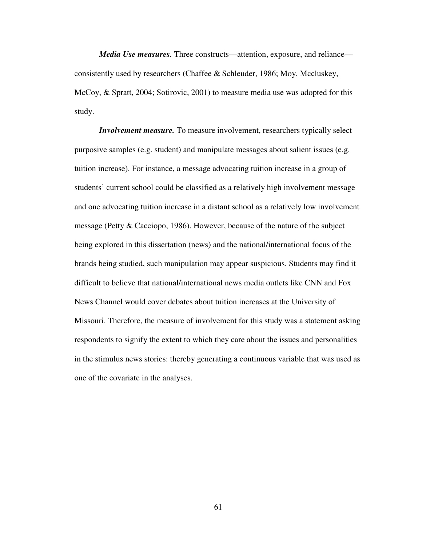*Media Use measures.* Three constructs—attention, exposure, and reliance consistently used by researchers (Chaffee & Schleuder, 1986; Moy, Mccluskey, McCoy, & Spratt, 2004; Sotirovic, 2001) to measure media use was adopted for this study.

*Involvement measure.* To measure involvement, researchers typically select purposive samples (e.g. student) and manipulate messages about salient issues (e.g. tuition increase). For instance, a message advocating tuition increase in a group of students' current school could be classified as a relatively high involvement message and one advocating tuition increase in a distant school as a relatively low involvement message (Petty & Cacciopo, 1986). However, because of the nature of the subject being explored in this dissertation (news) and the national/international focus of the brands being studied, such manipulation may appear suspicious. Students may find it difficult to believe that national/international news media outlets like CNN and Fox News Channel would cover debates about tuition increases at the University of Missouri. Therefore, the measure of involvement for this study was a statement asking respondents to signify the extent to which they care about the issues and personalities in the stimulus news stories: thereby generating a continuous variable that was used as one of the covariate in the analyses.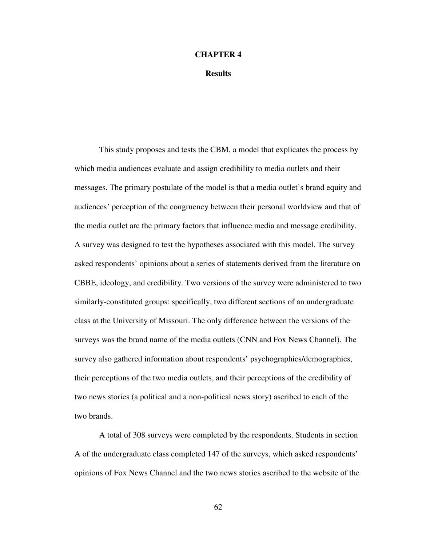### **CHAPTER 4**

**Results** 

This study proposes and tests the CBM, a model that explicates the process by which media audiences evaluate and assign credibility to media outlets and their messages. The primary postulate of the model is that a media outlet's brand equity and audiences' perception of the congruency between their personal worldview and that of the media outlet are the primary factors that influence media and message credibility. A survey was designed to test the hypotheses associated with this model. The survey asked respondents' opinions about a series of statements derived from the literature on CBBE, ideology, and credibility. Two versions of the survey were administered to two similarly-constituted groups: specifically, two different sections of an undergraduate class at the University of Missouri. The only difference between the versions of the surveys was the brand name of the media outlets (CNN and Fox News Channel). The survey also gathered information about respondents' psychographics/demographics, their perceptions of the two media outlets, and their perceptions of the credibility of two news stories (a political and a non-political news story) ascribed to each of the two brands.

A total of 308 surveys were completed by the respondents. Students in section A of the undergraduate class completed 147 of the surveys, which asked respondents' opinions of Fox News Channel and the two news stories ascribed to the website of the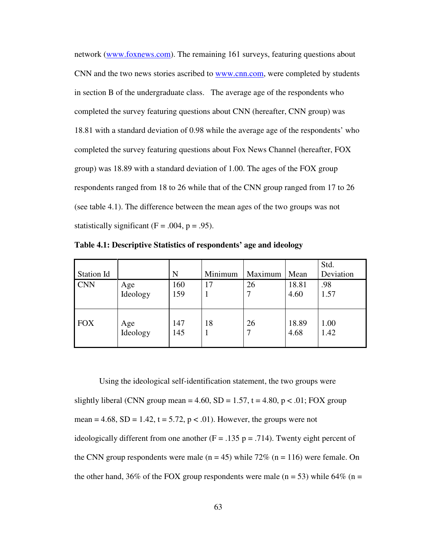network (www.foxnews.com). The remaining 161 surveys, featuring questions about CNN and the two news stories ascribed to www.cnn.com, were completed by students in section B of the undergraduate class. The average age of the respondents who completed the survey featuring questions about CNN (hereafter, CNN group) was 18.81 with a standard deviation of 0.98 while the average age of the respondents' who completed the survey featuring questions about Fox News Channel (hereafter, FOX group) was 18.89 with a standard deviation of 1.00. The ages of the FOX group respondents ranged from 18 to 26 while that of the CNN group ranged from 17 to 26 (see table 4.1). The difference between the mean ages of the two groups was not statistically significant  $(F = .004, p = .95)$ .

| Station Id |                 | N          | Minimum | Maximum | Mean          | Std.<br>Deviation |
|------------|-----------------|------------|---------|---------|---------------|-------------------|
| <b>CNN</b> | Age             | 160        | 17      | 26      | 18.81         | .98               |
|            | Ideology        | 159        |         |         | 4.60          | 1.57              |
| <b>FOX</b> | Age<br>Ideology | 147<br>145 | 18      | 26      | 18.89<br>4.68 | 1.00<br>1.42      |

**Table 4.1: Descriptive Statistics of respondents' age and ideology** 

Using the ideological self-identification statement, the two groups were slightly liberal (CNN group mean = 4.60, SD = 1.57, t = 4.80, p < .01; FOX group mean = 4.68, SD = 1.42, t = 5.72, p < .01). However, the groups were not ideologically different from one another  $(F = .135 p = .714)$ . Twenty eight percent of the CNN group respondents were male  $(n = 45)$  while 72%  $(n = 116)$  were female. On the other hand, 36% of the FOX group respondents were male (n = 53) while 64% (n =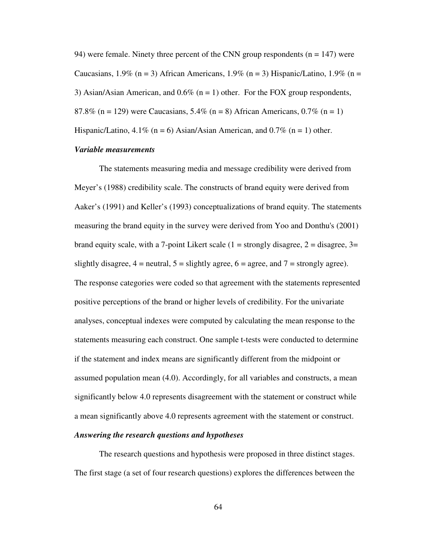94) were female. Ninety three percent of the CNN group respondents  $(n = 147)$  were Caucasians, 1.9% (n = 3) African Americans, 1.9% (n = 3) Hispanic/Latino, 1.9% (n = 3) Asian/Asian American, and  $0.6\%$  (n = 1) other. For the FOX group respondents, 87.8% (n = 129) were Caucasians,  $5.4\%$  (n = 8) African Americans,  $0.7\%$  (n = 1) Hispanic/Latino,  $4.1\%$  (n = 6) Asian/Asian American, and 0.7% (n = 1) other.

#### *Variable measurements*

The statements measuring media and message credibility were derived from Meyer's (1988) credibility scale. The constructs of brand equity were derived from Aaker's (1991) and Keller's (1993) conceptualizations of brand equity. The statements measuring the brand equity in the survey were derived from Yoo and Donthu's (2001) brand equity scale, with a 7-point Likert scale  $(1 =$  strongly disagree,  $2 =$  disagree,  $3 =$ slightly disagree,  $4 =$  neutral,  $5 =$  slightly agree,  $6 =$  agree, and  $7 =$  strongly agree). The response categories were coded so that agreement with the statements represented positive perceptions of the brand or higher levels of credibility. For the univariate analyses, conceptual indexes were computed by calculating the mean response to the statements measuring each construct. One sample t-tests were conducted to determine if the statement and index means are significantly different from the midpoint or assumed population mean (4.0). Accordingly, for all variables and constructs, a mean significantly below 4.0 represents disagreement with the statement or construct while a mean significantly above 4.0 represents agreement with the statement or construct.

#### *Answering the research questions and hypotheses*

The research questions and hypothesis were proposed in three distinct stages. The first stage (a set of four research questions) explores the differences between the

64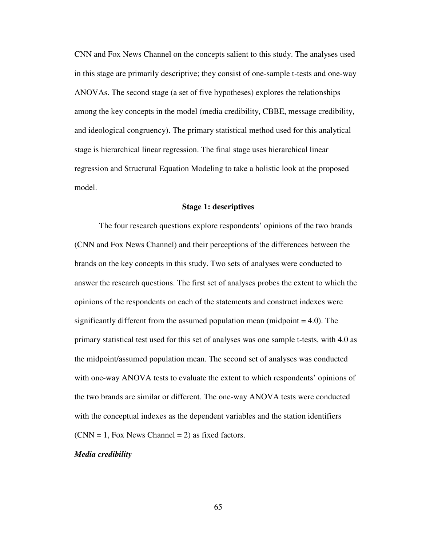CNN and Fox News Channel on the concepts salient to this study. The analyses used in this stage are primarily descriptive; they consist of one-sample t-tests and one-way ANOVAs. The second stage (a set of five hypotheses) explores the relationships among the key concepts in the model (media credibility, CBBE, message credibility, and ideological congruency). The primary statistical method used for this analytical stage is hierarchical linear regression. The final stage uses hierarchical linear regression and Structural Equation Modeling to take a holistic look at the proposed model.

#### **Stage 1: descriptives**

The four research questions explore respondents' opinions of the two brands (CNN and Fox News Channel) and their perceptions of the differences between the brands on the key concepts in this study. Two sets of analyses were conducted to answer the research questions. The first set of analyses probes the extent to which the opinions of the respondents on each of the statements and construct indexes were significantly different from the assumed population mean (midpoint = 4.0). The primary statistical test used for this set of analyses was one sample t-tests, with 4.0 as the midpoint/assumed population mean. The second set of analyses was conducted with one-way ANOVA tests to evaluate the extent to which respondents' opinions of the two brands are similar or different. The one-way ANOVA tests were conducted with the conceptual indexes as the dependent variables and the station identifiers  $(CNN = 1, Fox News Channel = 2)$  as fixed factors.

#### *Media credibility*

65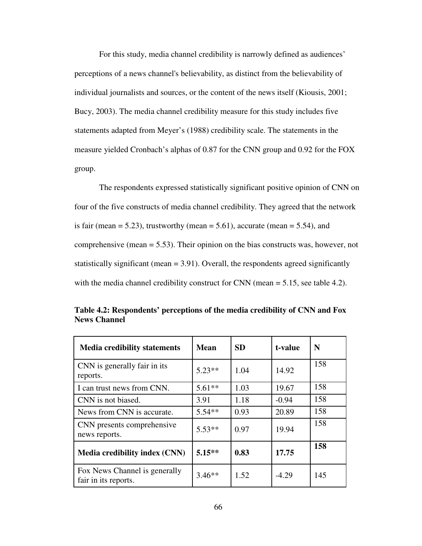For this study, media channel credibility is narrowly defined as audiences' perceptions of a news channel's believability, as distinct from the believability of individual journalists and sources, or the content of the news itself (Kiousis, 2001; Bucy, 2003). The media channel credibility measure for this study includes five statements adapted from Meyer's (1988) credibility scale. The statements in the measure yielded Cronbach's alphas of 0.87 for the CNN group and 0.92 for the FOX group.

The respondents expressed statistically significant positive opinion of CNN on four of the five constructs of media channel credibility. They agreed that the network is fair (mean  $= 5.23$ ), trustworthy (mean  $= 5.61$ ), accurate (mean  $= 5.54$ ), and comprehensive (mean = 5.53). Their opinion on the bias constructs was, however, not statistically significant (mean  $= 3.91$ ). Overall, the respondents agreed significantly with the media channel credibility construct for CNN (mean = 5.15, see table 4.2).

| <b>Media credibility statements</b>                   | <b>Mean</b> | <b>SD</b> | t-value | N   |
|-------------------------------------------------------|-------------|-----------|---------|-----|
| CNN is generally fair in its<br>reports.              | $5.23**$    | 1.04      | 14.92   | 158 |
| I can trust news from CNN.                            | $5.61**$    | 1.03      | 19.67   | 158 |
| CNN is not biased.                                    | 3.91        | 1.18      | $-0.94$ | 158 |
| News from CNN is accurate.                            | $5.54**$    | 0.93      | 20.89   | 158 |
| CNN presents comprehensive<br>news reports.           | $5.53**$    | 0.97      | 19.94   | 158 |
| <b>Media credibility index (CNN)</b>                  | $5.15**$    | 0.83      | 17.75   | 158 |
| Fox News Channel is generally<br>fair in its reports. | $3.46**$    | 1.52      | $-4.29$ | 145 |

**Table 4.2: Respondents' perceptions of the media credibility of CNN and Fox News Channel**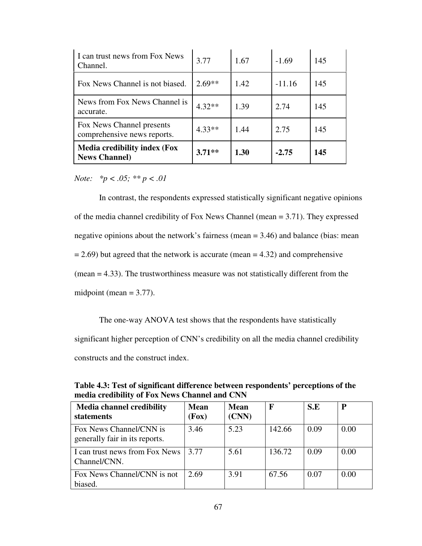| I can trust news from Fox News<br>Channel.                  | 3.77     | 1.67 | $-1.69$  | 145 |
|-------------------------------------------------------------|----------|------|----------|-----|
| Fox News Channel is not biased.                             | $2.69**$ | 1.42 | $-11.16$ | 145 |
| News from Fox News Channel is<br>accurate.                  | $4.32**$ | 1.39 | 2.74     | 145 |
| Fox News Channel presents<br>comprehensive news reports.    | $4.33**$ | 1.44 | 2.75     | 145 |
| <b>Media credibility index (Fox</b><br><b>News Channel)</b> | $3.71**$ | 1.30 | $-2.75$  | 145 |

*Note: \*p < .05; \*\* p < .01* 

 In contrast, the respondents expressed statistically significant negative opinions of the media channel credibility of Fox News Channel (mean = 3.71). They expressed negative opinions about the network's fairness (mean = 3.46) and balance (bias: mean  $= 2.69$ ) but agreed that the network is accurate (mean  $= 4.32$ ) and comprehensive (mean = 4.33). The trustworthiness measure was not statistically different from the midpoint (mean  $= 3.77$ ).

The one-way ANOVA test shows that the respondents have statistically significant higher perception of CNN's credibility on all the media channel credibility constructs and the construct index.

| <b>Media channel credibility</b><br><b>statements</b>     | <b>Mean</b><br>(Fox) | <b>Mean</b><br>(CNN) | $\mathbf F$ | S.E  | P    |
|-----------------------------------------------------------|----------------------|----------------------|-------------|------|------|
| Fox News Channel/CNN is<br>generally fair in its reports. | 3.46                 | 5.23                 | 142.66      | 0.09 | 0.00 |
| I can trust news from Fox News<br>Channel/CNN.            | 3.77                 | 5.61                 | 136.72      | 0.09 | 0.00 |
| Fox News Channel/CNN is not<br>biased.                    | 2.69                 | 3.91                 | 67.56       | 0.07 | 0.00 |

**Table 4.3: Test of significant difference between respondents' perceptions of the media credibility of Fox News Channel and CNN**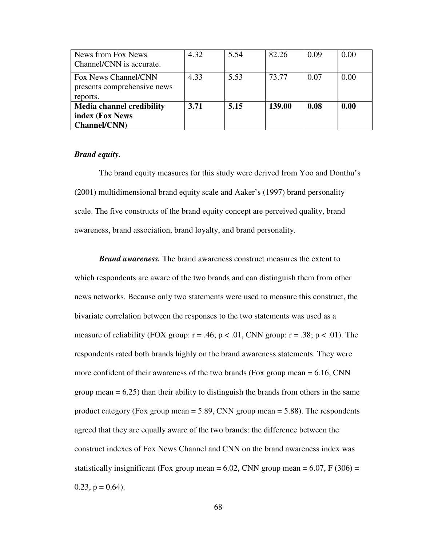| News from Fox News               | 4.32 | 5.54 | 82.26  | 0.09 | 0.00 |
|----------------------------------|------|------|--------|------|------|
| Channel/CNN is accurate.         |      |      |        |      |      |
| Fox News Channel/CNN             | 4.33 | 5.53 | 73.77  | 0.07 | 0.00 |
| presents comprehensive news      |      |      |        |      |      |
| reports.                         |      |      |        |      |      |
| <b>Media channel credibility</b> | 3.71 | 5.15 | 139.00 | 0.08 | 0.00 |
| index (Fox News                  |      |      |        |      |      |
| <b>Channel/CNN)</b>              |      |      |        |      |      |

#### *Brand equity.*

The brand equity measures for this study were derived from Yoo and Donthu's (2001) multidimensional brand equity scale and Aaker's (1997) brand personality scale. The five constructs of the brand equity concept are perceived quality, brand awareness, brand association, brand loyalty, and brand personality.

*Brand awareness.* The brand awareness construct measures the extent to which respondents are aware of the two brands and can distinguish them from other news networks. Because only two statements were used to measure this construct, the bivariate correlation between the responses to the two statements was used as a measure of reliability (FOX group:  $r = .46$ ;  $p < .01$ , CNN group:  $r = .38$ ;  $p < .01$ ). The respondents rated both brands highly on the brand awareness statements. They were more confident of their awareness of the two brands (Fox group mean  $= 6.16$ , CNN group mean  $= 6.25$ ) than their ability to distinguish the brands from others in the same product category (Fox group mean  $=$  5.89, CNN group mean  $=$  5.88). The respondents agreed that they are equally aware of the two brands: the difference between the construct indexes of Fox News Channel and CNN on the brand awareness index was statistically insignificant (Fox group mean =  $6.02$ , CNN group mean =  $6.07$ , F (306) =  $0.23$ ,  $p = 0.64$ ).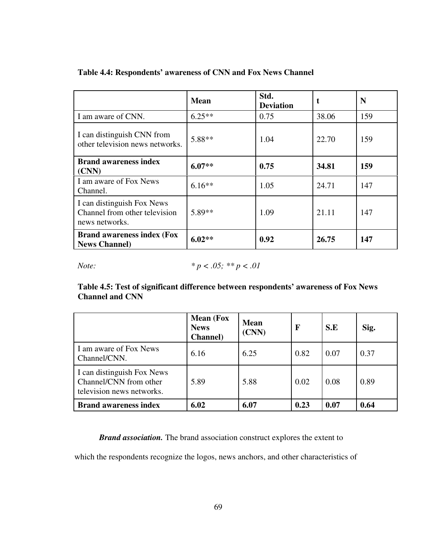|                                                                               | <b>Mean</b> | Std.<br><b>Deviation</b> | t     | N   |
|-------------------------------------------------------------------------------|-------------|--------------------------|-------|-----|
| I am aware of CNN.                                                            | $6.25**$    | 0.75                     | 38.06 | 159 |
| I can distinguish CNN from<br>other television news networks.                 | 5.88**      | 1.04                     | 22.70 | 159 |
| <b>Brand awareness index</b><br>(CNN)                                         | $6.07**$    | 0.75                     | 34.81 | 159 |
| I am aware of Fox News<br>Channel.                                            | $6.16**$    | 1.05                     | 24.71 | 147 |
| I can distinguish Fox News<br>Channel from other television<br>news networks. | 5.89**      | 1.09                     | 21.11 | 147 |
| <b>Brand awareness index (Fox</b><br><b>News Channel)</b>                     | $6.02**$    | 0.92                     | 26.75 | 147 |

## **Table 4.4: Respondents' awareness of CNN and Fox News Channel**

*Note:* 
$$
*p < .05; **p < .01
$$

**Table 4.5: Test of significant difference between respondents' awareness of Fox News Channel and CNN** 

|                                                                                   | <b>Mean</b> (Fox<br><b>News</b><br><b>Channel</b> ) | <b>Mean</b><br>(CNN) | F    | S.E  | Sig. |
|-----------------------------------------------------------------------------------|-----------------------------------------------------|----------------------|------|------|------|
| I am aware of Fox News<br>Channel/CNN.                                            | 6.16                                                | 6.25                 | 0.82 | 0.07 | 0.37 |
| I can distinguish Fox News<br>Channel/CNN from other<br>television news networks. | 5.89                                                | 5.88                 | 0.02 | 0.08 | 0.89 |
| <b>Brand awareness index</b>                                                      | 6.02                                                | 6.07                 | 0.23 | 0.07 | 0.64 |

*Brand association.* The brand association construct explores the extent to

which the respondents recognize the logos, news anchors, and other characteristics of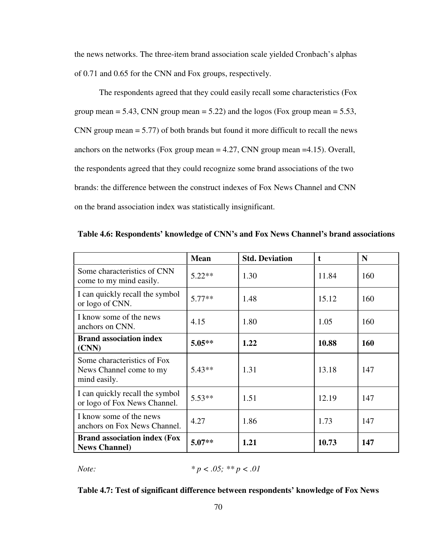the news networks. The three-item brand association scale yielded Cronbach's alphas of 0.71 and 0.65 for the CNN and Fox groups, respectively.

The respondents agreed that they could easily recall some characteristics (Fox group mean  $= 5.43$ , CNN group mean  $= 5.22$ ) and the logos (Fox group mean  $= 5.53$ , CNN group mean = 5.77) of both brands but found it more difficult to recall the news anchors on the networks (Fox group mean  $= 4.27$ , CNN group mean  $= 4.15$ ). Overall, the respondents agreed that they could recognize some brand associations of the two brands: the difference between the construct indexes of Fox News Channel and CNN on the brand association index was statistically insignificant.

|                                                                        | <b>Mean</b> | <b>Std. Deviation</b> | t     | N          |
|------------------------------------------------------------------------|-------------|-----------------------|-------|------------|
| Some characteristics of CNN<br>come to my mind easily.                 | $5.22**$    | 1.30                  | 11.84 | 160        |
| I can quickly recall the symbol<br>or logo of CNN.                     | $5.77**$    | 1.48                  | 15.12 | 160        |
| I know some of the news<br>anchors on CNN.                             | 4.15        | 1.80                  | 1.05  | 160        |
| <b>Brand association index</b><br>(CNN)                                | $5.05**$    | 1.22                  | 10.88 | <b>160</b> |
| Some characteristics of Fox<br>News Channel come to my<br>mind easily. | $5.43**$    | 1.31                  | 13.18 | 147        |
| I can quickly recall the symbol<br>or logo of Fox News Channel.        | $5.53**$    | 1.51                  | 12.19 | 147        |
| I know some of the news<br>anchors on Fox News Channel.                | 4.27        | 1.86                  | 1.73  | 147        |
| <b>Brand association index (Fox</b><br><b>News Channel)</b>            | $5.07**$    | 1.21                  | 10.73 | 147        |

**Table 4.6: Respondents' knowledge of CNN's and Fox News Channel's brand associations** 

*Note:* 
$$
*p < .05; **p < .01
$$

#### **Table 4.7: Test of significant difference between respondents' knowledge of Fox News**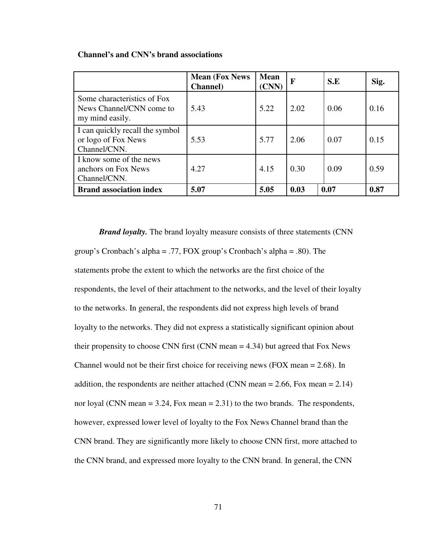|                                                                            | <b>Mean (Fox News)</b><br><b>Channel</b> ) | <b>Mean</b><br>(CNN) | F    | S.E  | Sig. |
|----------------------------------------------------------------------------|--------------------------------------------|----------------------|------|------|------|
| Some characteristics of Fox<br>News Channel/CNN come to<br>my mind easily. | 5.43                                       | 5.22                 | 2.02 | 0.06 | 0.16 |
| I can quickly recall the symbol<br>or logo of Fox News<br>Channel/CNN.     | 5.53                                       | 5.77                 | 2.06 | 0.07 | 0.15 |
| I know some of the news<br>anchors on Fox News<br>Channel/CNN.             | 4.27                                       | 4.15                 | 0.30 | 0.09 | 0.59 |
| <b>Brand association index</b>                                             | 5.07                                       | 5.05                 | 0.03 | 0.07 | 0.87 |

#### **Channel's and CNN's brand associations**

*Brand loyalty.* The brand loyalty measure consists of three statements (CNN group's Cronbach's alpha = .77, FOX group's Cronbach's alpha = .80). The statements probe the extent to which the networks are the first choice of the respondents, the level of their attachment to the networks, and the level of their loyalty to the networks. In general, the respondents did not express high levels of brand loyalty to the networks. They did not express a statistically significant opinion about their propensity to choose CNN first (CNN mean = 4.34) but agreed that Fox News Channel would not be their first choice for receiving news (FOX mean = 2.68). In addition, the respondents are neither attached (CNN mean  $= 2.66$ , Fox mean  $= 2.14$ ) nor loyal (CNN mean  $= 3.24$ , Fox mean  $= 2.31$ ) to the two brands. The respondents, however, expressed lower level of loyalty to the Fox News Channel brand than the CNN brand. They are significantly more likely to choose CNN first, more attached to the CNN brand, and expressed more loyalty to the CNN brand. In general, the CNN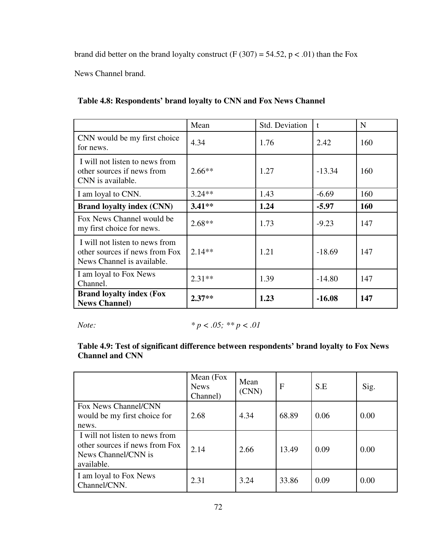brand did better on the brand loyalty construct (F (307) = 54.52,  $p < .01$ ) than the Fox

News Channel brand.

|                                                                                                | Mean     | Std. Deviation | $\mathbf{t}$ | N   |
|------------------------------------------------------------------------------------------------|----------|----------------|--------------|-----|
| CNN would be my first choice<br>for news.                                                      | 4.34     | 1.76           | 2.42         | 160 |
| I will not listen to news from<br>other sources if news from<br>CNN is available.              | $2.66**$ | 1.27           | $-13.34$     | 160 |
| I am loyal to CNN.                                                                             | $3.24**$ | 1.43           | $-6.69$      | 160 |
| <b>Brand loyalty index (CNN)</b>                                                               | $3.41**$ | 1.24           | $-5.97$      | 160 |
| Fox News Channel would be<br>my first choice for news.                                         | $2.68**$ | 1.73           | $-9.23$      | 147 |
| I will not listen to news from<br>other sources if news from Fox<br>News Channel is available. | $2.14**$ | 1.21           | $-18.69$     | 147 |
| I am loyal to Fox News<br>Channel.                                                             | $2.31**$ | 1.39           | $-14.80$     | 147 |
| <b>Brand loyalty index (Fox</b><br><b>News Channel)</b>                                        | $2.37**$ | 1.23           | $-16.08$     | 147 |

## *Note: \* p < .05; \*\* p < .01*

## **Table 4.9: Test of significant difference between respondents' brand loyalty to Fox News Channel and CNN**

|                                                                                                       | Mean (Fox<br><b>News</b><br>Channel) | Mean<br>(CNN) | F     | S.E  | Sig. |
|-------------------------------------------------------------------------------------------------------|--------------------------------------|---------------|-------|------|------|
| Fox News Channel/CNN<br>would be my first choice for<br>news.                                         | 2.68                                 | 4.34          | 68.89 | 0.06 | 0.00 |
| I will not listen to news from<br>other sources if news from Fox<br>News Channel/CNN is<br>available. | 2.14                                 | 2.66          | 13.49 | 0.09 | 0.00 |
| I am loyal to Fox News<br>Channel/CNN.                                                                | 2.31                                 | 3.24          | 33.86 | 0.09 | 0.00 |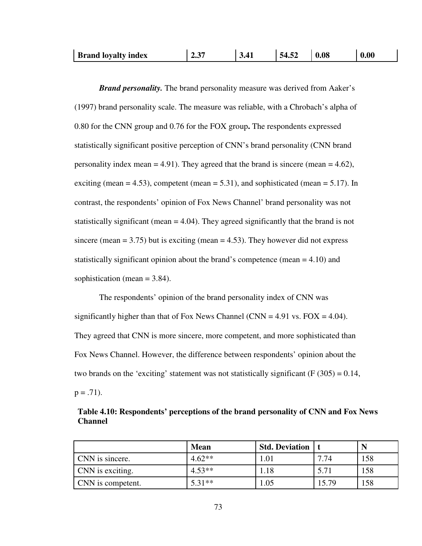| <b>Brand loyalty index</b> | $-37$<br>∠… | 3.41 | 54.52 | 0.08 | 0.00 |
|----------------------------|-------------|------|-------|------|------|
|----------------------------|-------------|------|-------|------|------|

*Brand personality.* The brand personality measure was derived from Aaker's (1997) brand personality scale. The measure was reliable, with a Chrobach's alpha of 0.80 for the CNN group and 0.76 for the FOX group**.** The respondents expressed statistically significant positive perception of CNN's brand personality (CNN brand personality index mean  $= 4.91$ ). They agreed that the brand is sincere (mean  $= 4.62$ ), exciting (mean  $= 4.53$ ), competent (mean  $= 5.31$ ), and sophisticated (mean  $= 5.17$ ). In contrast, the respondents' opinion of Fox News Channel' brand personality was not statistically significant (mean = 4.04). They agreed significantly that the brand is not sincere (mean  $= 3.75$ ) but is exciting (mean  $= 4.53$ ). They however did not express statistically significant opinion about the brand's competence (mean  $= 4.10$ ) and sophistication (mean  $= 3.84$ ).

The respondents' opinion of the brand personality index of CNN was significantly higher than that of Fox News Channel (CNN = 4.91 vs. FOX = 4.04). They agreed that CNN is more sincere, more competent, and more sophisticated than Fox News Channel. However, the difference between respondents' opinion about the two brands on the 'exciting' statement was not statistically significant ( $F(305) = 0.14$ ,  $p = .71$ ).

| Table 4.10: Respondents' perceptions of the brand personality of CNN and Fox News |  |
|-----------------------------------------------------------------------------------|--|
| <b>Channel</b>                                                                    |  |

|                   | <b>Mean</b> | <b>Std. Deviation</b>   t |       |     |
|-------------------|-------------|---------------------------|-------|-----|
| CNN is sincere.   | $4.62**$    | 1.01                      | 7.74  | 158 |
| CNN is exciting.  | $4.53**$    | 1.18                      | 5.71  | 158 |
| CNN is competent. | $5.31**$    | 1.05                      | 15.79 | 158 |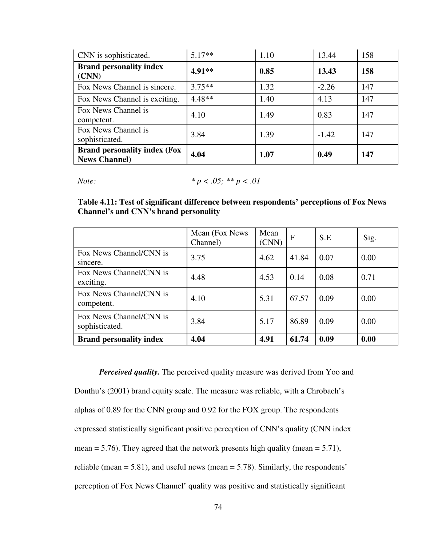| CNN is sophisticated.                                       | $5.17**$  | 1.10 | 13.44   | 158 |
|-------------------------------------------------------------|-----------|------|---------|-----|
| <b>Brand personality index</b><br>(CNN)                     | 4.91**    | 0.85 | 13.43   | 158 |
| Fox News Channel is sincere.                                | $3.75***$ | 1.32 | $-2.26$ | 147 |
| Fox News Channel is exciting.                               | $4.48**$  | 1.40 | 4.13    | 147 |
| Fox News Channel is<br>competent.                           | 4.10      | 1.49 | 0.83    | 147 |
| Fox News Channel is<br>sophisticated.                       | 3.84      | 1.39 | $-1.42$ | 147 |
| <b>Brand personality index (Fox</b><br><b>News Channel)</b> | 4.04      | 1.07 | 0.49    | 147 |

*Note: \* p < .05; \*\* p < .01* 

**Table 4.11: Test of significant difference between respondents' perceptions of Fox News Channel's and CNN's brand personality** 

|                                           | Mean (Fox News)<br>Channel) | Mean<br>(CNN) | F     | S.E  | Sig. |
|-------------------------------------------|-----------------------------|---------------|-------|------|------|
| Fox News Channel/CNN is<br>sincere.       | 3.75                        | 4.62          | 41.84 | 0.07 | 0.00 |
| Fox News Channel/CNN is<br>exciting.      | 4.48                        | 4.53          | 0.14  | 0.08 | 0.71 |
| Fox News Channel/CNN is<br>competent.     | 4.10                        | 5.31          | 67.57 | 0.09 | 0.00 |
| Fox News Channel/CNN is<br>sophisticated. | 3.84                        | 5.17          | 86.89 | 0.09 | 0.00 |
| <b>Brand personality index</b>            | 4.04                        | 4.91          | 61.74 | 0.09 | 0.00 |

*Perceived quality.* The perceived quality measure was derived from Yoo and Donthu's (2001) brand equity scale. The measure was reliable, with a Chrobach's alphas of 0.89 for the CNN group and 0.92 for the FOX group. The respondents expressed statistically significant positive perception of CNN's quality (CNN index mean  $= 5.76$ ). They agreed that the network presents high quality (mean  $= 5.71$ ), reliable (mean  $= 5.81$ ), and useful news (mean  $= 5.78$ ). Similarly, the respondents' perception of Fox News Channel' quality was positive and statistically significant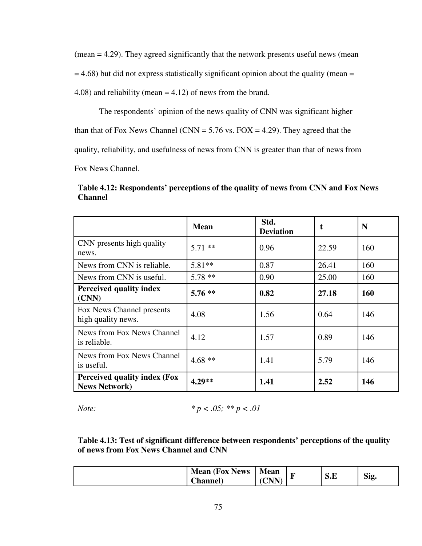(mean = 4.29). They agreed significantly that the network presents useful news (mean  $= 4.68$ ) but did not express statistically significant opinion about the quality (mean  $=$ 4.08) and reliability (mean = 4.12) of news from the brand.

The respondents' opinion of the news quality of CNN was significant higher

than that of Fox News Channel (CNN =  $5.76$  vs. FOX = 4.29). They agreed that the

quality, reliability, and usefulness of news from CNN is greater than that of news from

Fox News Channel.

**Table 4.12: Respondents' perceptions of the quality of news from CNN and Fox News Channel** 

|                                                              | <b>Mean</b> | Std.<br><b>Deviation</b> |       | N   |
|--------------------------------------------------------------|-------------|--------------------------|-------|-----|
| CNN presents high quality<br>news.                           | $5.71$ **   | 0.96                     | 22.59 | 160 |
| News from CNN is reliable.                                   | $5.81**$    | 0.87                     | 26.41 | 160 |
| News from CNN is useful.                                     | $5.78**$    | 0.90                     | 25.00 | 160 |
| Perceived quality index<br>(CNN)                             | $5.76**$    | 0.82                     | 27.18 | 160 |
| Fox News Channel presents<br>high quality news.              | 4.08        | 1.56                     | 0.64  | 146 |
| News from Fox News Channel<br>is reliable.                   | 4.12        | 1.57                     | 0.89  | 146 |
| News from Fox News Channel<br>is useful.                     | $4.68**$    | 1.41                     | 5.79  | 146 |
| <b>Perceived quality index (Fox</b><br><b>News Network</b> ) | 4.29**      | 1.41                     | 2.52  | 146 |

*Note: \* p < .05; \*\* p < .01* 

**Table 4.13: Test of significant difference between respondents' perceptions of the quality of news from Fox News Channel and CNN** 

| <b>Mean (Fox News)</b> | <b>Mean</b>                                    | $\overline{\phantom{a}}$ |     |      |
|------------------------|------------------------------------------------|--------------------------|-----|------|
| Thannel)               | $\boldsymbol{\mathsf{\Gamma}}$ nn<br>◡<br>- 11 | -                        | D.E | Sig. |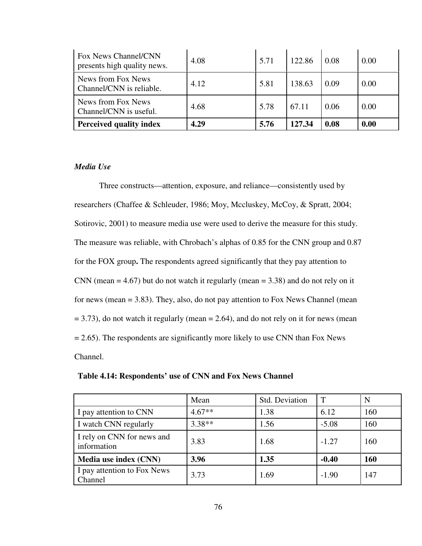| Fox News Channel/CNN<br>presents high quality news. | 4.08 | 5.71 | 122.86 | 0.08 | 0.00 |
|-----------------------------------------------------|------|------|--------|------|------|
| News from Fox News<br>Channel/CNN is reliable.      | 4.12 | 5.81 | 138.63 | 0.09 | 0.00 |
| News from Fox News<br>Channel/CNN is useful.        | 4.68 | 5.78 | 67.11  | 0.06 | 0.00 |
| <b>Perceived quality index</b>                      | 4.29 | 5.76 | 127.34 | 0.08 | 0.00 |

### *Media Use*

Three constructs—attention, exposure, and reliance—consistently used by researchers (Chaffee & Schleuder, 1986; Moy, Mccluskey, McCoy, & Spratt, 2004; Sotirovic, 2001) to measure media use were used to derive the measure for this study. The measure was reliable, with Chrobach's alphas of 0.85 for the CNN group and 0.87 for the FOX group**.** The respondents agreed significantly that they pay attention to CNN (mean  $= 4.67$ ) but do not watch it regularly (mean  $= 3.38$ ) and do not rely on it for news (mean = 3.83). They, also, do not pay attention to Fox News Channel (mean  $= 3.73$ ), do not watch it regularly (mean  $= 2.64$ ), and do not rely on it for news (mean  $= 2.65$ ). The respondents are significantly more likely to use CNN than Fox News Channel.

|                                           | Mean     | Std. Deviation | $\mathbf T$ | N   |
|-------------------------------------------|----------|----------------|-------------|-----|
| I pay attention to CNN                    | $4.67**$ | 1.38           | 6.12        | 160 |
| I watch CNN regularly                     | $3.38**$ | 1.56           | $-5.08$     | 160 |
| I rely on CNN for news and<br>information | 3.83     | 1.68           | $-1.27$     | 160 |
| Media use index (CNN)                     | 3.96     | 1.35           | $-0.40$     | 160 |
| I pay attention to Fox News<br>Channel    | 3.73     | 1.69           | $-1.90$     | 147 |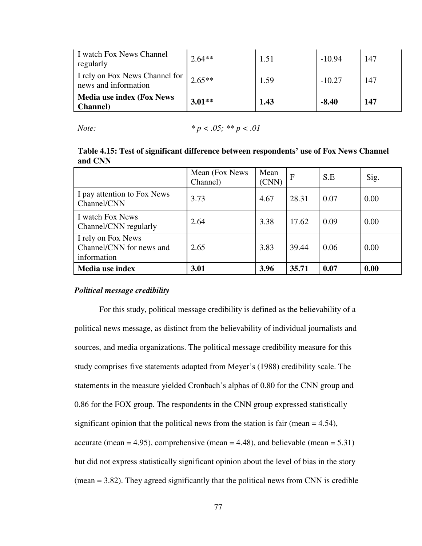| I watch Fox News Channel<br>regularly                  | $2.64**$  | 1.51 | $-10.94$ | 147 |
|--------------------------------------------------------|-----------|------|----------|-----|
| I rely on Fox News Channel for<br>news and information | $12.65**$ | 1.59 | $-10.27$ | 147 |
| <b>Media use index (Fox News)</b><br><b>Channel</b> )  | $3.01**$  | 1.43 | $-8.40$  | 147 |

*Note:* 
$$
*p < .05; **p < .01
$$

#### **Table 4.15: Test of significant difference between respondents' use of Fox News Channel and CNN**

|                                                               | Mean (Fox News)<br>Channel) | Mean<br>(CNN) | $\mathbf{F}$ | S.E  | Sig. |
|---------------------------------------------------------------|-----------------------------|---------------|--------------|------|------|
| I pay attention to Fox News<br>Channel/CNN                    | 3.73                        | 4.67          | 28.31        | 0.07 | 0.00 |
| I watch Fox News<br>Channel/CNN regularly                     | 2.64                        | 3.38          | 17.62        | 0.09 | 0.00 |
| I rely on Fox News<br>Channel/CNN for news and<br>information | 2.65                        | 3.83          | 39.44        | 0.06 | 0.00 |
| Media use index                                               | 3.01                        | 3.96          | 35.71        | 0.07 | 0.00 |

#### *Political message credibility*

For this study, political message credibility is defined as the believability of a political news message, as distinct from the believability of individual journalists and sources, and media organizations. The political message credibility measure for this study comprises five statements adapted from Meyer's (1988) credibility scale. The statements in the measure yielded Cronbach's alphas of 0.80 for the CNN group and 0.86 for the FOX group. The respondents in the CNN group expressed statistically significant opinion that the political news from the station is fair (mean  $= 4.54$ ), accurate (mean = 4.95), comprehensive (mean = 4.48), and believable (mean =  $5.31$ ) but did not express statistically significant opinion about the level of bias in the story (mean = 3.82). They agreed significantly that the political news from CNN is credible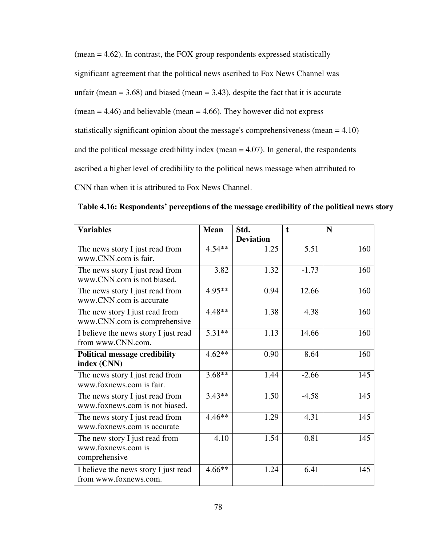$(mean = 4.62)$ . In contrast, the FOX group respondents expressed statistically significant agreement that the political news ascribed to Fox News Channel was unfair (mean  $= 3.68$ ) and biased (mean  $= 3.43$ ), despite the fact that it is accurate (mean  $= 4.46$ ) and believable (mean  $= 4.66$ ). They however did not express statistically significant opinion about the message's comprehensiveness (mean = 4.10) and the political message credibility index (mean  $= 4.07$ ). In general, the respondents ascribed a higher level of credibility to the political news message when attributed to CNN than when it is attributed to Fox News Channel.

|  | Table 4.16: Respondents' perceptions of the message credibility of the political news story |  |  |  |  |
|--|---------------------------------------------------------------------------------------------|--|--|--|--|
|--|---------------------------------------------------------------------------------------------|--|--|--|--|

| <b>Variables</b>                     | <b>Mean</b><br>Std. |                  | $\mathbf t$ | N   |
|--------------------------------------|---------------------|------------------|-------------|-----|
|                                      |                     | <b>Deviation</b> |             |     |
| The news story I just read from      | $4.54**$            | 1.25             | 5.51        | 160 |
| www.CNN.com is fair.                 |                     |                  |             |     |
| The news story I just read from      | 3.82                | 1.32             | $-1.73$     | 160 |
| www.CNN.com is not biased.           |                     |                  |             |     |
| The news story I just read from      | $4.95**$            | 0.94             | 12.66       | 160 |
| www.CNN.com is accurate              |                     |                  |             |     |
| The new story I just read from       | $4.48**$            | 1.38             | 4.38        | 160 |
| www.CNN.com is comprehensive         |                     |                  |             |     |
| I believe the news story I just read | $5.31**$            | 1.13             | 14.66       | 160 |
| from www.CNN.com.                    |                     |                  |             |     |
| <b>Political message credibility</b> | $4.62**$            | 0.90             | 8.64        | 160 |
| index (CNN)                          |                     |                  |             |     |
| The news story I just read from      | $3.68**$            | 1.44             | $-2.66$     | 145 |
| www.foxnews.com is fair.             |                     |                  |             |     |
| The news story I just read from      | $3.43**$            | 1.50             | $-4.58$     | 145 |
| www.foxnews.com is not biased.       |                     |                  |             |     |
| The news story I just read from      | $4.46**$            | 1.29             | 4.31        | 145 |
| www.foxnews.com is accurate          |                     |                  |             |     |
| The new story I just read from       | 4.10                | 1.54             | 0.81        | 145 |
| www.foxnews.com is                   |                     |                  |             |     |
| comprehensive                        |                     |                  |             |     |
| I believe the news story I just read | $4.66**$            | 1.24             | 6.41        | 145 |
| from www.foxnews.com.                |                     |                  |             |     |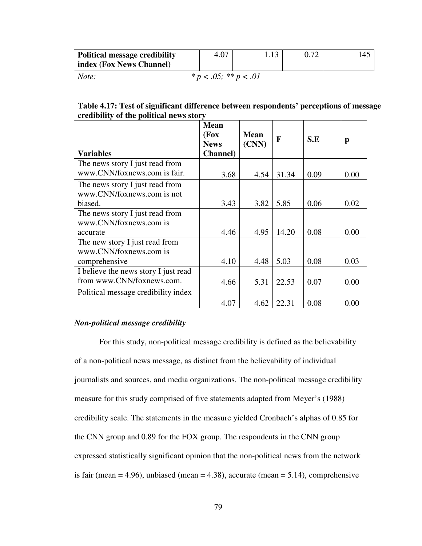| <b>Political message credibility</b> | 4.07                       |  | .45 |
|--------------------------------------|----------------------------|--|-----|
| index (Fox News Channel)             |                            |  |     |
| Note:                                | * $p < .05$ ; ** $p < .01$ |  |     |

#### **Table 4.17: Test of significant difference between respondents' perceptions of message credibility of the political news story**

|                                      | <b>Mean</b><br>(Fox<br><b>News</b> | <b>Mean</b><br>(CNN) | F     | S.E  | p    |
|--------------------------------------|------------------------------------|----------------------|-------|------|------|
| <b>Variables</b>                     | <b>Channel</b> )                   |                      |       |      |      |
| The news story I just read from      |                                    |                      |       |      |      |
| www.CNN/foxnews.com is fair.         | 3.68                               | 4.54                 | 31.34 | 0.09 | 0.00 |
| The news story I just read from      |                                    |                      |       |      |      |
| www.CNN/foxnews.com is not           |                                    |                      |       |      |      |
| biased.                              | 3.43                               | 3.82                 | 5.85  | 0.06 | 0.02 |
| The news story I just read from      |                                    |                      |       |      |      |
| www.CNN/foxnews.com is               |                                    |                      |       |      |      |
| accurate                             | 4.46                               | 4.95                 | 14.20 | 0.08 | 0.00 |
| The new story I just read from       |                                    |                      |       |      |      |
| www.CNN/foxnews.com is               |                                    |                      |       |      |      |
| comprehensive                        | 4.10                               | 4.48                 | 5.03  | 0.08 | 0.03 |
| I believe the news story I just read |                                    |                      |       |      |      |
| from www.CNN/foxnews.com.            | 4.66                               | 5.31                 | 22.53 | 0.07 | 0.00 |
| Political message credibility index  |                                    |                      |       |      |      |
|                                      | 4.07                               | 4.62                 | 22.31 | 0.08 | 0.00 |

#### *Non-political message credibility*

For this study, non-political message credibility is defined as the believability of a non-political news message, as distinct from the believability of individual journalists and sources, and media organizations. The non-political message credibility measure for this study comprised of five statements adapted from Meyer's (1988) credibility scale. The statements in the measure yielded Cronbach's alphas of 0.85 for the CNN group and 0.89 for the FOX group. The respondents in the CNN group expressed statistically significant opinion that the non-political news from the network is fair (mean  $= 4.96$ ), unbiased (mean  $= 4.38$ ), accurate (mean  $= 5.14$ ), comprehensive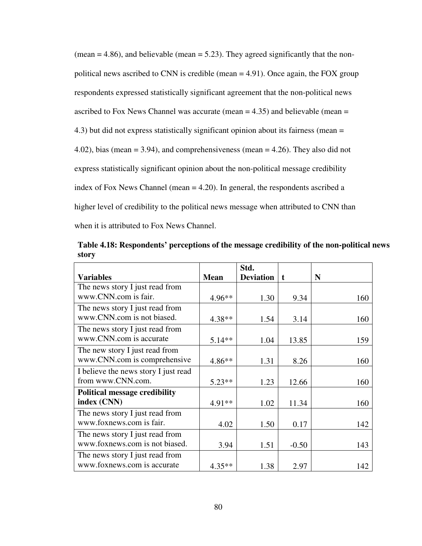$(mean = 4.86)$ , and believable  $(mean = 5.23)$ . They agreed significantly that the nonpolitical news ascribed to CNN is credible (mean  $=$  4.91). Once again, the FOX group respondents expressed statistically significant agreement that the non-political news ascribed to Fox News Channel was accurate (mean  $=$  4.35) and believable (mean  $=$ 4.3) but did not express statistically significant opinion about its fairness (mean = 4.02), bias (mean = 3.94), and comprehensiveness (mean = 4.26). They also did not express statistically significant opinion about the non-political message credibility index of Fox News Channel (mean = 4.20). In general, the respondents ascribed a higher level of credibility to the political news message when attributed to CNN than when it is attributed to Fox News Channel.

|                                      |             | Std.             |             |     |
|--------------------------------------|-------------|------------------|-------------|-----|
| <b>Variables</b>                     | <b>Mean</b> | <b>Deviation</b> | $\mathbf t$ | N   |
| The news story I just read from      |             |                  |             |     |
| www.CNN.com is fair.                 | $4.96**$    | 1.30             | 9.34        | 160 |
| The news story I just read from      |             |                  |             |     |
| www.CNN.com is not biased.           | $4.38**$    | 1.54             | 3.14        | 160 |
| The news story I just read from      |             |                  |             |     |
| www.CNN.com is accurate              | $5.14**$    | 1.04             | 13.85       | 159 |
| The new story I just read from       |             |                  |             |     |
| www.CNN.com is comprehensive         | $4.86**$    | 1.31             | 8.26        | 160 |
| I believe the news story I just read |             |                  |             |     |
| from www.CNN.com.                    | $5.23**$    | 1.23             | 12.66       | 160 |
| <b>Political message credibility</b> |             |                  |             |     |
| index (CNN)                          | 4.91**      | 1.02             | 11.34       | 160 |
| The news story I just read from      |             |                  |             |     |
| www.foxnews.com is fair.             | 4.02        | 1.50             | 0.17        | 142 |
| The news story I just read from      |             |                  |             |     |
| www.foxnews.com is not biased.       | 3.94        | 1.51             | $-0.50$     | 143 |
| The news story I just read from      |             |                  |             |     |
| www.foxnews.com is accurate          | $4.35**$    | 1.38             | 2.97        | 142 |

**Table 4.18: Respondents' perceptions of the message credibility of the non-political news story**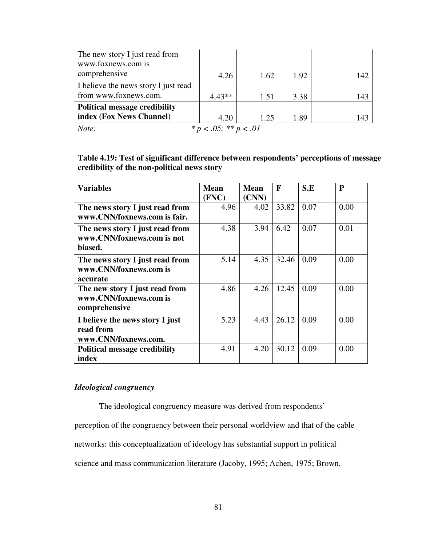| The new story I just read from       |                            |      |      |     |
|--------------------------------------|----------------------------|------|------|-----|
| www.foxnews.com is                   |                            |      |      |     |
| comprehensive                        | 4.26                       | 1.62 | 1.92 | 142 |
| I believe the news story I just read |                            |      |      |     |
| from www.foxnews.com.                | $4.43**$                   | 1.51 | 3.38 | 143 |
| <b>Political message credibility</b> |                            |      |      |     |
| index (Fox News Channel)             | 4.20                       | 1.25 | 1.89 | 143 |
| Note:                                | * $p < .05$ ; ** $p < .01$ |      |      |     |

## **Table 4.19: Test of significant difference between respondents' perceptions of message credibility of the non-political news story**

| <b>Variables</b>                                          | <b>Mean</b><br>(FNC) | <b>Mean</b><br>(CNN) | $\mathbf{F}$ | S.E  | $\mathbf{P}$ |
|-----------------------------------------------------------|----------------------|----------------------|--------------|------|--------------|
| The news story I just read from                           | 4.96                 | 4.02                 | 33.82        | 0.07 | 0.00         |
| www.CNN/foxnews.com is fair.                              |                      |                      |              |      |              |
| The news story I just read from                           | 4.38                 | 3.94                 | 6.42         | 0.07 | 0.01         |
| www.CNN/foxnews.com is not<br>biased.                     |                      |                      |              |      |              |
|                                                           |                      |                      |              |      |              |
| The news story I just read from<br>www.CNN/foxnews.com is | 5.14                 | 4.35                 | 32.46        | 0.09 | 0.00         |
| accurate                                                  |                      |                      |              |      |              |
| The new story I just read from                            | 4.86                 | 4.26                 | 12.45        | 0.09 | 0.00         |
| www.CNN/foxnews.com is                                    |                      |                      |              |      |              |
| comprehensive                                             |                      |                      |              |      |              |
| I believe the news story I just                           | 5.23                 | 4.43                 | 26.12        | 0.09 | 0.00         |
| read from                                                 |                      |                      |              |      |              |
| www.CNN/foxnews.com.                                      |                      |                      |              |      |              |
| <b>Political message credibility</b>                      | 4.91                 | 4.20                 | 30.12        | 0.09 | 0.00         |
| index                                                     |                      |                      |              |      |              |

## *Ideological congruency*

The ideological congruency measure was derived from respondents'

perception of the congruency between their personal worldview and that of the cable

networks: this conceptualization of ideology has substantial support in political

science and mass communication literature (Jacoby, 1995; Achen, 1975; Brown,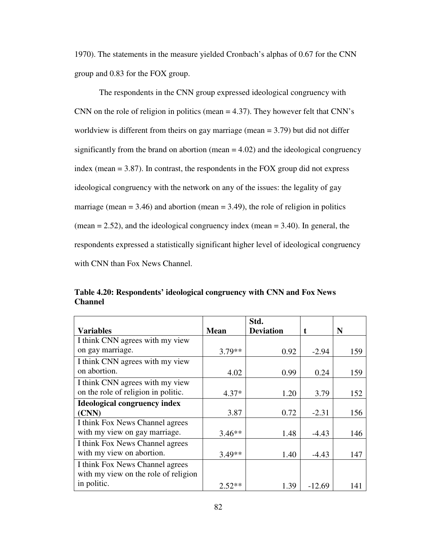1970). The statements in the measure yielded Cronbach's alphas of 0.67 for the CNN group and 0.83 for the FOX group.

The respondents in the CNN group expressed ideological congruency with CNN on the role of religion in politics (mean = 4.37). They however felt that CNN's worldview is different from theirs on gay marriage (mean = 3.79) but did not differ significantly from the brand on abortion (mean  $= 4.02$ ) and the ideological congruency index (mean = 3.87). In contrast, the respondents in the FOX group did not express ideological congruency with the network on any of the issues: the legality of gay marriage (mean  $= 3.46$ ) and abortion (mean  $= 3.49$ ), the role of religion in politics  $(mean = 2.52)$ , and the ideological congruency index  $(mean = 3.40)$ . In general, the respondents expressed a statistically significant higher level of ideological congruency with CNN than Fox News Channel.

| Table 4.20: Respondents' ideological congruency with CNN and Fox News |  |
|-----------------------------------------------------------------------|--|
| <b>Channel</b>                                                        |  |
|                                                                       |  |

|                                      |             | Std.             |          |     |
|--------------------------------------|-------------|------------------|----------|-----|
| Variables                            | <b>Mean</b> | <b>Deviation</b> |          | N   |
| I think CNN agrees with my view      |             |                  |          |     |
| on gay marriage.                     | $3.79**$    | 0.92             | $-2.94$  | 159 |
| I think CNN agrees with my view      |             |                  |          |     |
| on abortion.                         | 4.02        | 0.99             | 0.24     | 159 |
| I think CNN agrees with my view      |             |                  |          |     |
| on the role of religion in politic.  | $4.37*$     | 1.20             | 3.79     | 152 |
| <b>Ideological congruency index</b>  |             |                  |          |     |
| (CNN)                                | 3.87        | 0.72             | $-2.31$  | 156 |
| I think Fox News Channel agrees      |             |                  |          |     |
| with my view on gay marriage.        | $3.46**$    | 1.48             | $-4.43$  | 146 |
| I think Fox News Channel agrees      |             |                  |          |     |
| with my view on abortion.            | $3.49**$    | 1.40             | $-4.43$  | 147 |
| I think Fox News Channel agrees      |             |                  |          |     |
| with my view on the role of religion |             |                  |          |     |
| in politic.                          | $2.52**$    | 1.39             | $-12.69$ | 141 |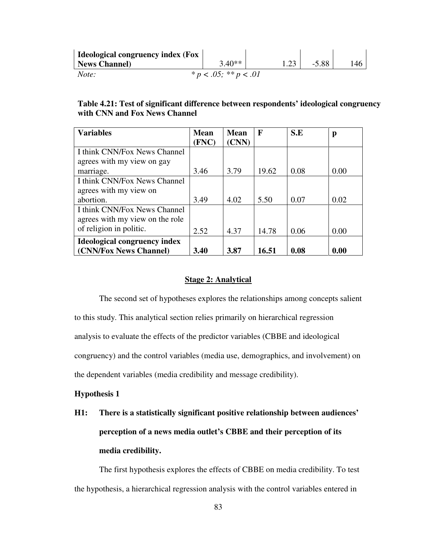| Ideological congruency index (Fox |                            |         |     |
|-----------------------------------|----------------------------|---------|-----|
| News Channel                      | $3.40**$                   | $-5.88$ | 146 |
| Note:                             | * $p < .05$ ; ** $p < .01$ |         |     |

## **Table 4.21: Test of significant difference between respondents' ideological congruency with CNN and Fox News Channel**

| <b>Variables</b>                    | <b>Mean</b> | <b>Mean</b> | F     | S.E  | p    |
|-------------------------------------|-------------|-------------|-------|------|------|
|                                     | (FNC)       | (CNN)       |       |      |      |
| I think CNN/Fox News Channel        |             |             |       |      |      |
| agrees with my view on gay          |             |             |       |      |      |
| marriage.                           | 3.46        | 3.79        | 19.62 | 0.08 | 0.00 |
| I think CNN/Fox News Channel        |             |             |       |      |      |
| agrees with my view on              |             |             |       |      |      |
| abortion.                           | 3.49        | 4.02        | 5.50  | 0.07 | 0.02 |
| I think CNN/Fox News Channel        |             |             |       |      |      |
| agrees with my view on the role     |             |             |       |      |      |
| of religion in politic.             | 2.52        | 4.37        | 14.78 | 0.06 | 0.00 |
| <b>Ideological congruency index</b> |             |             |       |      |      |
| (CNN/Fox News Channel)              | 3.40        | 3.87        | 16.51 | 0.08 | 0.00 |

#### **Stage 2: Analytical**

The second set of hypotheses explores the relationships among concepts salient to this study. This analytical section relies primarily on hierarchical regression analysis to evaluate the effects of the predictor variables (CBBE and ideological congruency) and the control variables (media use, demographics, and involvement) on the dependent variables (media credibility and message credibility).

#### **Hypothesis 1**

**H1: There is a statistically significant positive relationship between audiences' perception of a news media outlet's CBBE and their perception of its media credibility.** 

The first hypothesis explores the effects of CBBE on media credibility. To test the hypothesis, a hierarchical regression analysis with the control variables entered in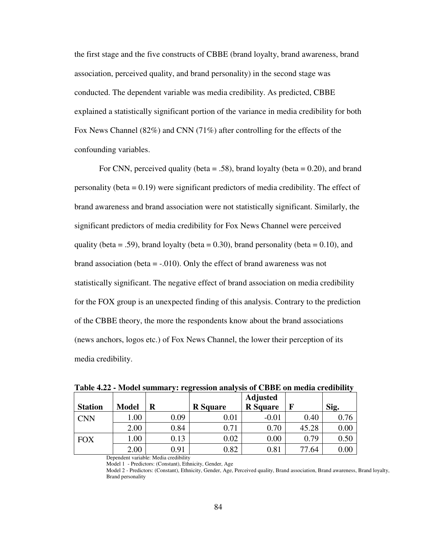the first stage and the five constructs of CBBE (brand loyalty, brand awareness, brand association, perceived quality, and brand personality) in the second stage was conducted. The dependent variable was media credibility. As predicted, CBBE explained a statistically significant portion of the variance in media credibility for both Fox News Channel (82%) and CNN (71%) after controlling for the effects of the confounding variables.

For CNN, perceived quality (beta  $= .58$ ), brand loyalty (beta  $= 0.20$ ), and brand personality (beta  $= 0.19$ ) were significant predictors of media credibility. The effect of brand awareness and brand association were not statistically significant. Similarly, the significant predictors of media credibility for Fox News Channel were perceived quality (beta = .59), brand loyalty (beta = 0.30), brand personality (beta = 0.10), and brand association (beta  $=$  -.010). Only the effect of brand awareness was not statistically significant. The negative effect of brand association on media credibility for the FOX group is an unexpected finding of this analysis. Contrary to the prediction of the CBBE theory, the more the respondents know about the brand associations (news anchors, logos etc.) of Fox News Channel, the lower their perception of its media credibility.

| <b>Station</b> | <b>Model</b> | R        | <b>R</b> Square | <b>Adjusted</b><br><b>R</b> Square |       | Sig.     |
|----------------|--------------|----------|-----------------|------------------------------------|-------|----------|
| <b>CNN</b>     | .00          | 0.09     | $0.01\,$        | $-0.01$                            | 0.40  | 0.76     |
|                | 2.00         | 0.84     | 0.71            | 0.70                               | 45.28 | $0.00\,$ |
| <b>FOX</b>     | .00          | 0.13     | 0.02            | 0.00                               | 0.79  | 0.50     |
|                | 2.00         | ${0.91}$ | 0.82            | 0.81                               | 77.64 | $0.00\,$ |

**Table 4.22 - Model summary: regression analysis of CBBE on media credibility** 

Dependent variable: Media credibility

Model 1 - Predictors: (Constant), Ethnicity, Gender, Age

Model 2 - Predictors: (Constant), Ethnicity, Gender, Age, Perceived quality, Brand association, Brand awareness, Brand loyalty, Brand personality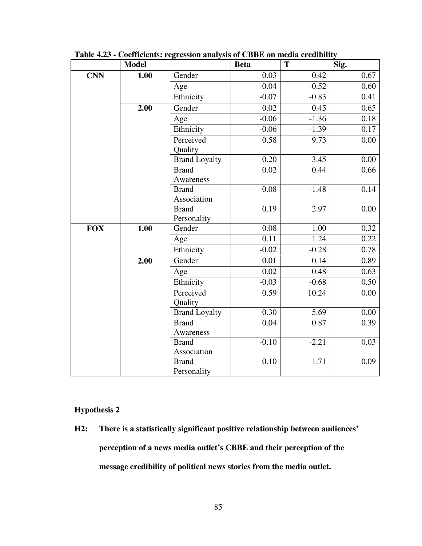|            | <b>Model</b> |                      | <b>Beta</b> | T       | Sig. |
|------------|--------------|----------------------|-------------|---------|------|
| <b>CNN</b> | 1.00         | Gender               | 0.03        | 0.42    | 0.67 |
|            |              | Age                  | $-0.04$     | $-0.52$ | 0.60 |
|            |              | Ethnicity            | $-0.07$     | $-0.83$ | 0.41 |
|            | 2.00         | Gender               | 0.02        | 0.45    | 0.65 |
|            |              | Age                  | $-0.06$     | $-1.36$ | 0.18 |
|            |              | Ethnicity            | $-0.06$     | $-1.39$ | 0.17 |
|            |              | Perceived            | 0.58        | 9.73    | 0.00 |
|            |              | Quality              |             |         |      |
|            |              | <b>Brand Loyalty</b> | 0.20        | 3.45    | 0.00 |
|            |              | <b>Brand</b>         | 0.02        | 0.44    | 0.66 |
|            |              | Awareness            |             |         |      |
|            |              | <b>Brand</b>         | $-0.08$     | $-1.48$ | 0.14 |
|            |              | Association          |             |         |      |
|            |              | <b>Brand</b>         | 0.19        | 2.97    | 0.00 |
|            |              | Personality          |             |         |      |
| <b>FOX</b> | 1.00         | Gender               | 0.08        | 1.00    | 0.32 |
|            |              | Age                  | 0.11        | 1.24    | 0.22 |
|            |              | Ethnicity            | $-0.02$     | $-0.28$ | 0.78 |
|            | 2.00         | Gender               | 0.01        | 0.14    | 0.89 |
|            |              | Age                  | 0.02        | 0.48    | 0.63 |
|            |              | Ethnicity            | $-0.03$     | $-0.68$ | 0.50 |
|            |              | Perceived            | 0.59        | 10.24   | 0.00 |
|            |              | Quality              |             |         |      |
|            |              | <b>Brand Loyalty</b> | 0.30        | 5.69    | 0.00 |
|            |              | <b>Brand</b>         | 0.04        | 0.87    | 0.39 |
|            |              | Awareness            |             |         |      |
|            |              | <b>Brand</b>         | $-0.10$     | $-2.21$ | 0.03 |
|            |              | Association          |             |         |      |
|            |              | <b>Brand</b>         | 0.10        | 1.71    | 0.09 |
|            |              | Personality          |             |         |      |

**Table 4.23 - Coefficients: regression analysis of CBBE on media credibility** 

## **Hypothesis 2**

**H2: There is a statistically significant positive relationship between audiences' perception of a news media outlet's CBBE and their perception of the message credibility of political news stories from the media outlet.**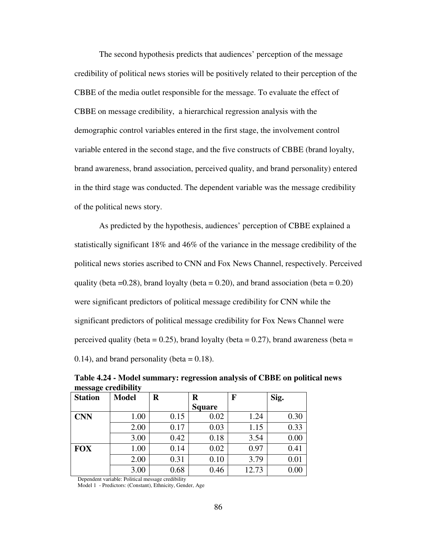The second hypothesis predicts that audiences' perception of the message credibility of political news stories will be positively related to their perception of the CBBE of the media outlet responsible for the message. To evaluate the effect of CBBE on message credibility, a hierarchical regression analysis with the demographic control variables entered in the first stage, the involvement control variable entered in the second stage, and the five constructs of CBBE (brand loyalty, brand awareness, brand association, perceived quality, and brand personality) entered in the third stage was conducted. The dependent variable was the message credibility of the political news story.

As predicted by the hypothesis, audiences' perception of CBBE explained a statistically significant 18% and 46% of the variance in the message credibility of the political news stories ascribed to CNN and Fox News Channel, respectively. Perceived quality (beta =  $0.28$ ), brand loyalty (beta =  $0.20$ ), and brand association (beta =  $0.20$ ) were significant predictors of political message credibility for CNN while the significant predictors of political message credibility for Fox News Channel were perceived quality (beta =  $0.25$ ), brand loyalty (beta =  $0.27$ ), brand awareness (beta =  $(0.14)$ , and brand personality (beta = 0.18).

| <b>Station</b> | <b>Model</b> | R    | R             | F     | Sig. |
|----------------|--------------|------|---------------|-------|------|
|                |              |      | <b>Square</b> |       |      |
| <b>CNN</b>     | 1.00         | 0.15 | 0.02          | 1.24  | 0.30 |
|                | 2.00         | 0.17 | 0.03          | 1.15  | 0.33 |
|                | 3.00         | 0.42 | 0.18          | 3.54  | 0.00 |
| <b>FOX</b>     | 1.00         | 0.14 | 0.02          | 0.97  | 0.41 |
|                | 2.00         | 0.31 | 0.10          | 3.79  | 0.01 |
|                | 3.00         | 0.68 | 0.46          | 12.73 | 0.00 |

**Table 4.24 - Model summary: regression analysis of CBBE on political news message credibility** 

Dependent variable: Political message credibility

Model 1 - Predictors: (Constant), Ethnicity, Gender, Age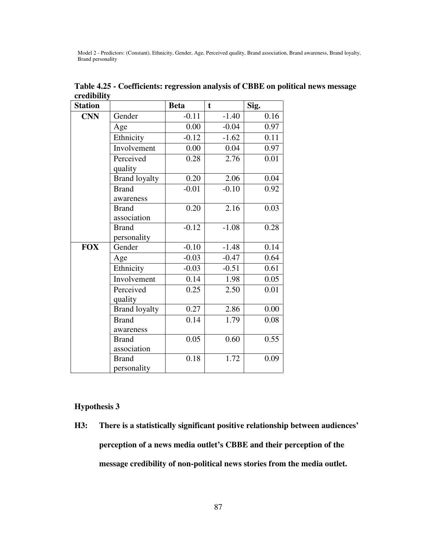Model 2 - Predictors: (Constant), Ethnicity, Gender, Age, Perceived quality, Brand association, Brand awareness, Brand loyalty, Brand personality

| <b>Station</b> |                      | <b>Beta</b> | $\mathbf t$ | Sig. |
|----------------|----------------------|-------------|-------------|------|
| <b>CNN</b>     | Gender               | $-0.11$     | $-1.40$     | 0.16 |
|                | Age                  | 0.00        | $-0.04$     | 0.97 |
|                | Ethnicity            | $-0.12$     | $-1.62$     | 0.11 |
|                | Involvement          | 0.00        | 0.04        | 0.97 |
|                | Perceived            | 0.28        | 2.76        | 0.01 |
|                | quality              |             |             |      |
|                | <b>Brand loyalty</b> | 0.20        | 2.06        | 0.04 |
|                | <b>Brand</b>         | $-0.01$     | $-0.10$     | 0.92 |
|                | awareness            |             |             |      |
|                | <b>Brand</b>         | 0.20        | 2.16        | 0.03 |
|                | association          |             |             |      |
|                | <b>Brand</b>         | $-0.12$     | $-1.08$     | 0.28 |
|                | personality          |             |             |      |
| <b>FOX</b>     | Gender               | $-0.10$     | $-1.48$     | 0.14 |
|                | Age                  | $-0.03$     | $-0.47$     | 0.64 |
|                | Ethnicity            | $-0.03$     | $-0.51$     | 0.61 |
|                | Involvement          | 0.14        | 1.98        | 0.05 |
|                | Perceived            | 0.25        | 2.50        | 0.01 |
|                | quality              |             |             |      |
|                | <b>Brand loyalty</b> | 0.27        | 2.86        | 0.00 |
|                | <b>Brand</b>         | 0.14        | 1.79        | 0.08 |
|                | awareness            |             |             |      |
|                | <b>Brand</b>         | 0.05        | 0.60        | 0.55 |
|                | association          |             |             |      |
|                | <b>Brand</b>         | 0.18        | 1.72        | 0.09 |
|                | personality          |             |             |      |

**Table 4.25 - Coefficients: regression analysis of CBBE on political news message credibility** 

## **Hypothesis 3**

**H3: There is a statistically significant positive relationship between audiences' perception of a news media outlet's CBBE and their perception of the message credibility of non-political news stories from the media outlet.**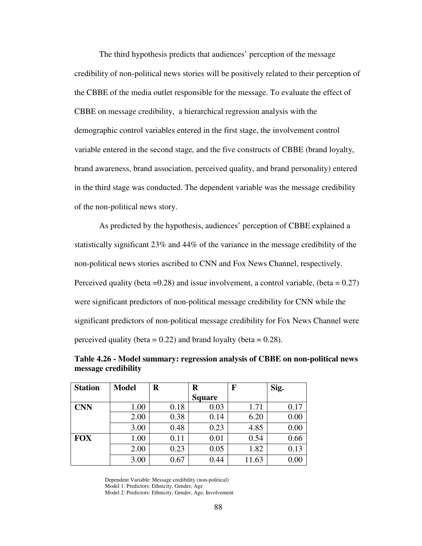The third hypothesis predicts that audiences' perception of the message credibility of non-political news stories will be positively related to their perception of the CBBE of the media outlet responsible for the message. To evaluate the effect of CBBE on message credibility, a hierarchical regression analysis with the demographic control variables entered in the first stage, the involvement control variable entered in the second stage, and the five constructs of CBBE (brand loyalty, brand awareness, brand association, perceived quality, and brand personality) entered in the third stage was conducted. The dependent variable was the message credibility of the non-political news story.

As predicted by the hypothesis, audiences' perception of CBBE explained a statistically significant 23% and 44% of the variance in the message credibility of the non-political news stories ascribed to CNN and Fox News Channel, respectively. Perceived quality (beta =  $0.28$ ) and issue involvement, a control variable, (beta =  $0.27$ ) were significant predictors of non-political message credibility for CNN while the significant predictors of non-political message credibility for Fox News Channel were perceived quality (beta =  $0.22$ ) and brand loyalty (beta =  $0.28$ ).

| <b>Station</b> | <b>Model</b> | $\bf R$ | R             | F     | Sig. |
|----------------|--------------|---------|---------------|-------|------|
|                |              |         | <b>Square</b> |       |      |
| <b>CNN</b>     | 1.00         | 0.18    | 0.03          | 1.71  | 0.17 |
|                | 2.00         | 0.38    | 0.14          | 6.20  | 0.00 |
|                | 3.00         | 0.48    | 0.23          | 4.85  | 0.00 |
| <b>FOX</b>     | 1.00         | 0.11    | 0.01          | 0.54  | 0.66 |
|                | 2.00         | 0.23    | 0.05          | 1.82  | 0.13 |
|                | 3.00         | 0.67    | 0.44          | 11.63 | 0.00 |

**Table 4.26 - Model summary: regression analysis of CBBE on non-political news message credibility** 

Dependent Variable: Message credibility (non-political) Model 1: Predictors: Ethnicity, Gender, Age Model 2: Predictors: Ethnicity, Gender, Age, Involvement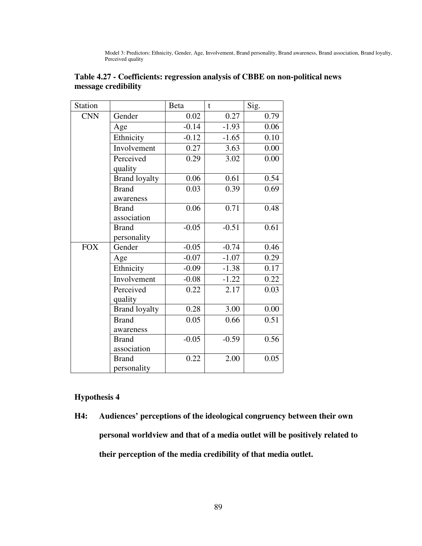Model 3: Predictors: Ethnicity, Gender, Age, Involvement, Brand personality, Brand awareness, Brand association, Brand loyalty, Perceived quality

| Station    |                      | <b>Beta</b> | t       | Sig. |
|------------|----------------------|-------------|---------|------|
| <b>CNN</b> | Gender               | 0.02        | 0.27    | 0.79 |
|            | Age                  | $-0.14$     | $-1.93$ | 0.06 |
|            | Ethnicity            | $-0.12$     | $-1.65$ | 0.10 |
|            | Involvement          | 0.27        | 3.63    | 0.00 |
|            | Perceived            | 0.29        | 3.02    | 0.00 |
|            | quality              |             |         |      |
|            | <b>Brand loyalty</b> | 0.06        | 0.61    | 0.54 |
|            | <b>Brand</b>         | 0.03        | 0.39    | 0.69 |
|            | awareness            |             |         |      |
|            | <b>Brand</b>         | 0.06        | 0.71    | 0.48 |
|            | association          |             |         |      |
|            | <b>Brand</b>         | $-0.05$     | $-0.51$ | 0.61 |
|            | personality          |             |         |      |
| <b>FOX</b> | Gender               | $-0.05$     | $-0.74$ | 0.46 |
|            | Age                  | $-0.07$     | $-1.07$ | 0.29 |
|            | Ethnicity            | $-0.09$     | $-1.38$ | 0.17 |
|            | Involvement          | $-0.08$     | $-1.22$ | 0.22 |
|            | Perceived            | 0.22        | 2.17    | 0.03 |
|            | quality              |             |         |      |
|            | <b>Brand loyalty</b> | 0.28        | 3.00    | 0.00 |
|            | <b>Brand</b>         | 0.05        | 0.66    | 0.51 |
|            | awareness            |             |         |      |
|            | <b>Brand</b>         | $-0.05$     | $-0.59$ | 0.56 |
|            | association          |             |         |      |
|            | <b>Brand</b>         | 0.22        | 2.00    | 0.05 |
|            | personality          |             |         |      |

## **Table 4.27 - Coefficients: regression analysis of CBBE on non-political news message credibility**

## **Hypothesis 4**

**H4: Audiences' perceptions of the ideological congruency between their own personal worldview and that of a media outlet will be positively related to their perception of the media credibility of that media outlet.**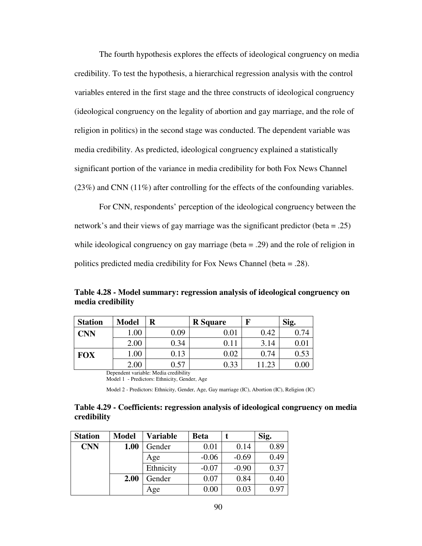The fourth hypothesis explores the effects of ideological congruency on media credibility. To test the hypothesis, a hierarchical regression analysis with the control variables entered in the first stage and the three constructs of ideological congruency (ideological congruency on the legality of abortion and gay marriage, and the role of religion in politics) in the second stage was conducted. The dependent variable was media credibility. As predicted, ideological congruency explained a statistically significant portion of the variance in media credibility for both Fox News Channel (23%) and CNN (11%) after controlling for the effects of the confounding variables.

For CNN, respondents' perception of the ideological congruency between the network's and their views of gay marriage was the significant predictor (beta = .25) while ideological congruency on gay marriage (beta = .29) and the role of religion in politics predicted media credibility for Fox News Channel (beta = .28).

**Table 4.28 - Model summary: regression analysis of ideological congruency on media credibility** 

| <b>Station</b> | <b>Model</b> | R    | <b>R</b> Square | F    | Sig.       |
|----------------|--------------|------|-----------------|------|------------|
| <b>CNN</b>     | .00          | 0.09 | $\rm 0.01$      | 0.42 | 0.74       |
|                | 2.00         | 0.34 |                 | 3.14 | $\rm 0.01$ |
| <b>FOX</b>     | .00.         | .13  | 0.02            | 0.74 | 0.53       |
|                | 2.00         | 0.57 | 0.33            | റാ   | $0.00\,$   |

Dependent variable: Media credibility

Model 1 - Predictors: Ethnicity, Gender, Age

Model 2 - Predictors: Ethnicity, Gender, Age, Gay marriage (IC), Abortion (IC), Religion (IC)

#### **Table 4.29 - Coefficients: regression analysis of ideological congruency on media credibility**

| <b>Station</b> | <b>Model</b> | Variable  | <b>Beta</b> |         | Sig. |
|----------------|--------------|-----------|-------------|---------|------|
| <b>CNN</b>     | 1.00         | Gender    | 0.01        | 0.14    | 0.89 |
|                |              | Age       | $-0.06$     | $-0.69$ | 0.49 |
|                |              | Ethnicity | $-0.07$     | $-0.90$ | 0.37 |
|                | 2.00         | Gender    | 0.07        | 0.84    | 0.40 |
|                |              | Age       | $0.00\,$    | 0.03    | 0.97 |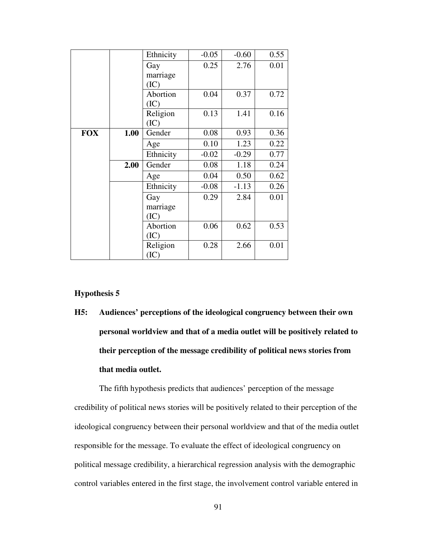|            |      | Ethnicity       | $-0.05$ | $-0.60$ | 0.55 |
|------------|------|-----------------|---------|---------|------|
|            |      | Gay             | 0.25    | 2.76    | 0.01 |
|            |      | marriage        |         |         |      |
|            |      | (IC)            |         |         |      |
|            |      | Abortion        | 0.04    | 0.37    | 0.72 |
|            |      | (IC)            |         |         |      |
|            |      | Religion        | 0.13    | 1.41    | 0.16 |
|            |      | (IC)            |         |         |      |
| <b>FOX</b> | 1.00 | Gender          | 0.08    | 0.93    | 0.36 |
|            |      | Age             | 0.10    | 1.23    | 0.22 |
|            |      | Ethnicity       | $-0.02$ | $-0.29$ | 0.77 |
|            | 2.00 | Gender          | 0.08    | 1.18    | 0.24 |
|            |      | Age             | 0.04    | 0.50    | 0.62 |
|            |      | Ethnicity       | $-0.08$ | $-1.13$ | 0.26 |
|            |      | Gay             | 0.29    | 2.84    | 0.01 |
|            |      | marriage        |         |         |      |
|            |      | (IC)            |         |         |      |
|            |      | <b>Abortion</b> | 0.06    | 0.62    | 0.53 |
|            |      | (IC)            |         |         |      |
|            |      | Religion        | 0.28    | 2.66    | 0.01 |
|            |      | (IC)            |         |         |      |

## **Hypothesis 5**

**H5: Audiences' perceptions of the ideological congruency between their own personal worldview and that of a media outlet will be positively related to their perception of the message credibility of political news stories from that media outlet.** 

The fifth hypothesis predicts that audiences' perception of the message credibility of political news stories will be positively related to their perception of the ideological congruency between their personal worldview and that of the media outlet responsible for the message. To evaluate the effect of ideological congruency on political message credibility, a hierarchical regression analysis with the demographic control variables entered in the first stage, the involvement control variable entered in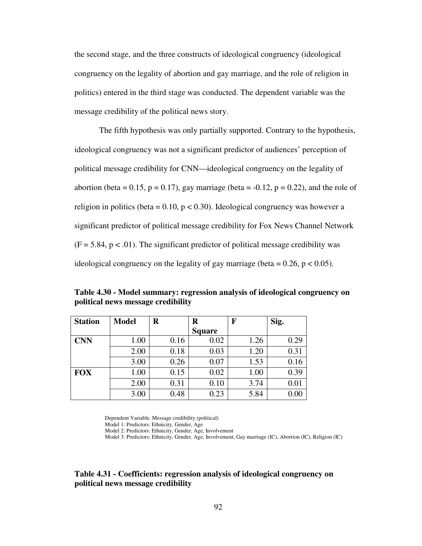the second stage, and the three constructs of ideological congruency (ideological congruency on the legality of abortion and gay marriage, and the role of religion in politics) entered in the third stage was conducted. The dependent variable was the message credibility of the political news story.

The fifth hypothesis was only partially supported. Contrary to the hypothesis, ideological congruency was not a significant predictor of audiences' perception of political message credibility for CNN—ideological congruency on the legality of abortion (beta = 0.15,  $p = 0.17$ ), gay marriage (beta = -0.12,  $p = 0.22$ ), and the role of religion in politics (beta =  $0.10$ , p <  $0.30$ ). Ideological congruency was however a significant predictor of political message credibility for Fox News Channel Network  $(F = 5.84, p < .01)$ . The significant predictor of political message credibility was ideological congruency on the legality of gay marriage (beta  $= 0.26$ ,  $p < 0.05$ ).

**Table 4.30 - Model summary: regression analysis of ideological congruency on political news message credibility** 

| <b>Station</b> | <b>Model</b> | $\bf R$ | R             | F    | Sig. |
|----------------|--------------|---------|---------------|------|------|
|                |              |         | <b>Square</b> |      |      |
| <b>CNN</b>     | 1.00         | 0.16    | 0.02          | 1.26 | 0.29 |
|                | 2.00         | 0.18    | 0.03          | 1.20 | 0.31 |
|                | 3.00         | 0.26    | 0.07          | 1.53 | 0.16 |
| <b>FOX</b>     | 1.00         | 0.15    | 0.02          | 1.00 | 0.39 |
|                | 2.00         | 0.31    | 0.10          | 3.74 | 0.01 |
|                | 3.00         | 0.48    | 0.23          | 5.84 | 0.00 |

Dependent Variable: Message credibility (political)

Model 1: Predictors: Ethnicity, Gender, Age

Model 2: Predictors: Ethnicity, Gender, Age, Involvement

Model 3: Predictors: Ethnicity, Gender, Age, Involvement, Gay marriage (IC), Abortion (IC), Religion (IC)

## **Table 4.31 - Coefficients: regression analysis of ideological congruency on political news message credibility**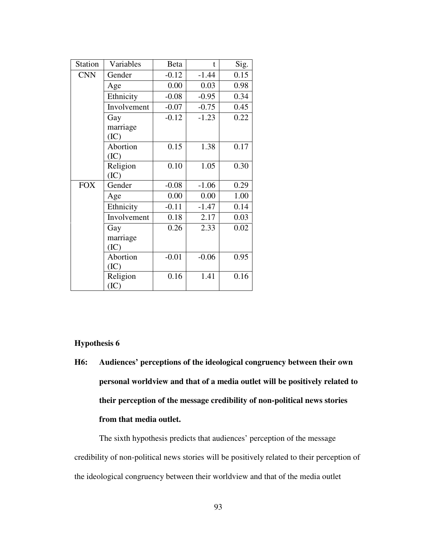| <b>Station</b> | Variables   | <b>Beta</b> | $\mathbf{t}$ | Sig. |
|----------------|-------------|-------------|--------------|------|
| <b>CNN</b>     | Gender      | $-0.12$     | $-1.44$      | 0.15 |
|                | Age         | 0.00        | 0.03         | 0.98 |
|                | Ethnicity   | $-0.08$     | $-0.95$      | 0.34 |
|                | Involvement | $-0.07$     | $-0.75$      | 0.45 |
|                | Gay         | $-0.12$     | $-1.23$      | 0.22 |
|                | marriage    |             |              |      |
|                | (IC)        |             |              |      |
|                | Abortion    | 0.15        | 1.38         | 0.17 |
|                | (IC)        |             |              |      |
|                | Religion    | 0.10        | 1.05         | 0.30 |
|                | (IC)        |             |              |      |
| <b>FOX</b>     | Gender      | $-0.08$     | $-1.06$      | 0.29 |
|                | Age         | 0.00        | 0.00         | 1.00 |
|                | Ethnicity   | $-0.11$     | $-1.47$      | 0.14 |
|                | Involvement | 0.18        | 2.17         | 0.03 |
|                | Gay         | 0.26        | 2.33         | 0.02 |
|                | marriage    |             |              |      |
|                | (IC)        |             |              |      |
|                | Abortion    | $-0.01$     | $-0.06$      | 0.95 |
|                | (IC)        |             |              |      |
|                | Religion    | 0.16        | 1.41         | 0.16 |
|                | (IC)        |             |              |      |

#### **Hypothesis 6**

**H6: Audiences' perceptions of the ideological congruency between their own personal worldview and that of a media outlet will be positively related to their perception of the message credibility of non-political news stories from that media outlet.** 

The sixth hypothesis predicts that audiences' perception of the message credibility of non-political news stories will be positively related to their perception of the ideological congruency between their worldview and that of the media outlet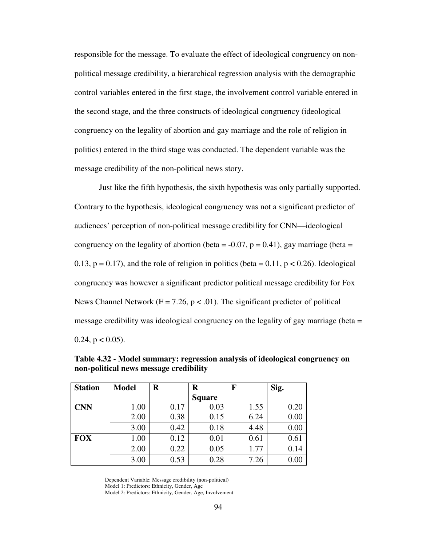responsible for the message. To evaluate the effect of ideological congruency on nonpolitical message credibility, a hierarchical regression analysis with the demographic control variables entered in the first stage, the involvement control variable entered in the second stage, and the three constructs of ideological congruency (ideological congruency on the legality of abortion and gay marriage and the role of religion in politics) entered in the third stage was conducted. The dependent variable was the message credibility of the non-political news story.

Just like the fifth hypothesis, the sixth hypothesis was only partially supported. Contrary to the hypothesis, ideological congruency was not a significant predictor of audiences' perception of non-political message credibility for CNN—ideological congruency on the legality of abortion (beta =  $-0.07$ , p = 0.41), gay marriage (beta = 0.13,  $p = 0.17$ ), and the role of religion in politics (beta = 0.11,  $p < 0.26$ ). Ideological congruency was however a significant predictor political message credibility for Fox News Channel Network ( $F = 7.26$ ,  $p < .01$ ). The significant predictor of political message credibility was ideological congruency on the legality of gay marriage (beta = 0.24,  $p < 0.05$ ).

| <b>Station</b> | <b>Model</b> | R    | R             | F    | Sig. |
|----------------|--------------|------|---------------|------|------|
|                |              |      | <b>Square</b> |      |      |
| <b>CNN</b>     | 1.00         | 0.17 | 0.03          | 1.55 | 0.20 |
|                | 2.00         | 0.38 | 0.15          | 6.24 | 0.00 |
|                | 3.00         | 0.42 | 0.18          | 4.48 | 0.00 |
| <b>FOX</b>     | 1.00         | 0.12 | 0.01          | 0.61 | 0.61 |
|                | 2.00         | 0.22 | 0.05          | 1.77 | 0.14 |
|                | 3.00         | 0.53 | 0.28          | 7.26 | 0.00 |

**Table 4.32 - Model summary: regression analysis of ideological congruency on non-political news message credibility** 

Dependent Variable: Message credibility (non-political) Model 1: Predictors: Ethnicity, Gender, Age Model 2: Predictors: Ethnicity, Gender, Age, Involvement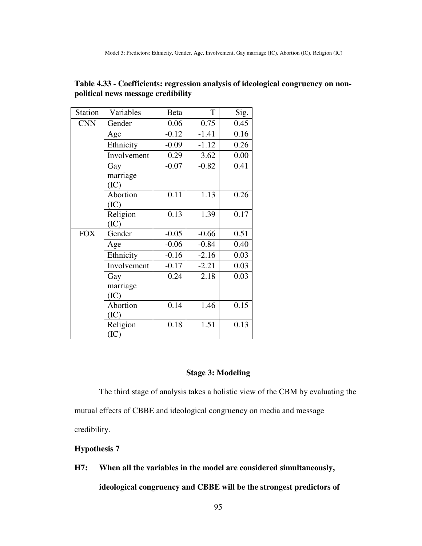| <b>Station</b> | Variables   | <b>Beta</b> | T       | Sig. |
|----------------|-------------|-------------|---------|------|
| <b>CNN</b>     | Gender      | 0.06        | 0.75    | 0.45 |
|                | Age         | $-0.12$     | $-1.41$ | 0.16 |
|                | Ethnicity   | $-0.09$     | $-1.12$ | 0.26 |
|                | Involvement | 0.29        | 3.62    | 0.00 |
|                | Gay         | $-0.07$     | $-0.82$ | 0.41 |
|                | marriage    |             |         |      |
|                | (IC)        |             |         |      |
|                | Abortion    | 0.11        | 1.13    | 0.26 |
|                | (IC)        |             |         |      |
|                | Religion    | 0.13        | 1.39    | 0.17 |
|                | (IC)        |             |         |      |
| <b>FOX</b>     | Gender      | $-0.05$     | $-0.66$ | 0.51 |
|                | Age         | $-0.06$     | $-0.84$ | 0.40 |
|                | Ethnicity   | $-0.16$     | $-2.16$ | 0.03 |
|                | Involvement | $-0.17$     | $-2.21$ | 0.03 |
|                | Gay         | 0.24        | 2.18    | 0.03 |
|                | marriage    |             |         |      |
|                | (IC)        |             |         |      |
|                | Abortion    | 0.14        | 1.46    | 0.15 |
|                | (IC)        |             |         |      |
|                | Religion    | 0.18        | 1.51    | 0.13 |
|                | (IC)        |             |         |      |

**Table 4.33 - Coefficients: regression analysis of ideological congruency on nonpolitical news message credibility** 

#### **Stage 3: Modeling**

The third stage of analysis takes a holistic view of the CBM by evaluating the mutual effects of CBBE and ideological congruency on media and message credibility.

## **Hypothesis 7**

**H7: When all the variables in the model are considered simultaneously,** 

**ideological congruency and CBBE will be the strongest predictors of**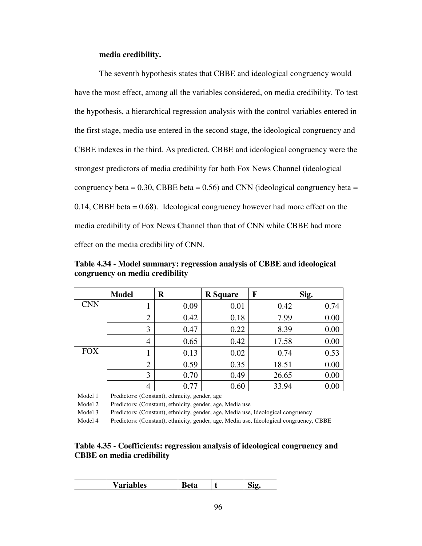#### **media credibility.**

The seventh hypothesis states that CBBE and ideological congruency would have the most effect, among all the variables considered, on media credibility. To test the hypothesis, a hierarchical regression analysis with the control variables entered in the first stage, media use entered in the second stage, the ideological congruency and CBBE indexes in the third. As predicted, CBBE and ideological congruency were the strongest predictors of media credibility for both Fox News Channel (ideological congruency beta =  $0.30$ , CBBE beta =  $0.56$ ) and CNN (ideological congruency beta = 0.14, CBBE beta = 0.68). Ideological congruency however had more effect on the media credibility of Fox News Channel than that of CNN while CBBE had more effect on the media credibility of CNN.

**Table 4.34 - Model summary: regression analysis of CBBE and ideological congruency on media credibility** 

|            | <b>Model</b>   | R    | <b>R</b> Square | F     | Sig. |
|------------|----------------|------|-----------------|-------|------|
| <b>CNN</b> |                | 0.09 | 0.01            | 0.42  | 0.74 |
|            | $\overline{2}$ | 0.42 | 0.18            | 7.99  | 0.00 |
|            | 3              | 0.47 | 0.22            | 8.39  | 0.00 |
|            | $\overline{4}$ | 0.65 | 0.42            | 17.58 | 0.00 |
| <b>FOX</b> |                | 0.13 | 0.02            | 0.74  | 0.53 |
|            | $\overline{2}$ | 0.59 | 0.35            | 18.51 | 0.00 |
|            | 3              | 0.70 | 0.49            | 26.65 | 0.00 |
|            | 4              | 0.77 | 0.60            | 33.94 | 0.00 |

Model 1 Predictors: (Constant), ethnicity, gender, age

Model 2 Predictors: (Constant), ethnicity, gender, age, Media use

Model 3 Predictors: (Constant), ethnicity, gender, age, Media use, Ideological congruency

Model 4 Predictors: (Constant), ethnicity, gender, age, Media use, Ideological congruency, CBBE

## **Table 4.35 - Coefficients: regression analysis of ideological congruency and CBBE on media credibility**

| --<br>----<br>n C<br><b><i>al labits</i></b><br>vw. |
|-----------------------------------------------------|
|-----------------------------------------------------|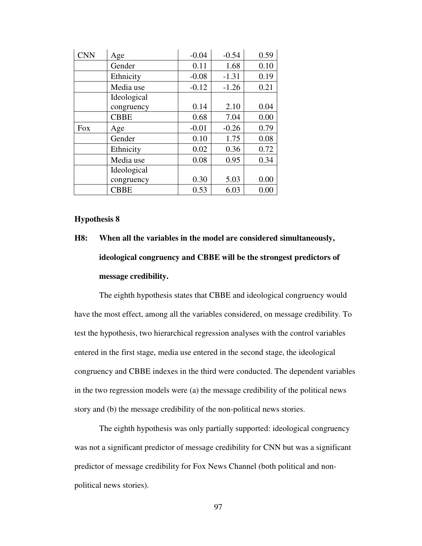| <b>CNN</b> | Age         | $-0.04$ | $-0.54$ | 0.59 |
|------------|-------------|---------|---------|------|
|            | Gender      | 0.11    | 1.68    | 0.10 |
|            | Ethnicity   | $-0.08$ | $-1.31$ | 0.19 |
|            | Media use   | $-0.12$ | $-1.26$ | 0.21 |
|            | Ideological |         |         |      |
|            | congruency  | 0.14    | 2.10    | 0.04 |
|            | <b>CBBE</b> | 0.68    | 7.04    | 0.00 |
| <b>Fox</b> | Age         | $-0.01$ | $-0.26$ | 0.79 |
|            | Gender      | 0.10    | 1.75    | 0.08 |
|            | Ethnicity   | 0.02    | 0.36    | 0.72 |
|            | Media use   | 0.08    | 0.95    | 0.34 |
|            | Ideological |         |         |      |
|            | congruency  | 0.30    | 5.03    | 0.00 |
|            | <b>CBBE</b> | 0.53    | 6.03    | 0.00 |

#### **Hypothesis 8**

# **H8: When all the variables in the model are considered simultaneously, ideological congruency and CBBE will be the strongest predictors of message credibility.**

The eighth hypothesis states that CBBE and ideological congruency would have the most effect, among all the variables considered, on message credibility. To test the hypothesis, two hierarchical regression analyses with the control variables entered in the first stage, media use entered in the second stage, the ideological congruency and CBBE indexes in the third were conducted. The dependent variables in the two regression models were (a) the message credibility of the political news story and (b) the message credibility of the non-political news stories.

The eighth hypothesis was only partially supported: ideological congruency was not a significant predictor of message credibility for CNN but was a significant predictor of message credibility for Fox News Channel (both political and nonpolitical news stories).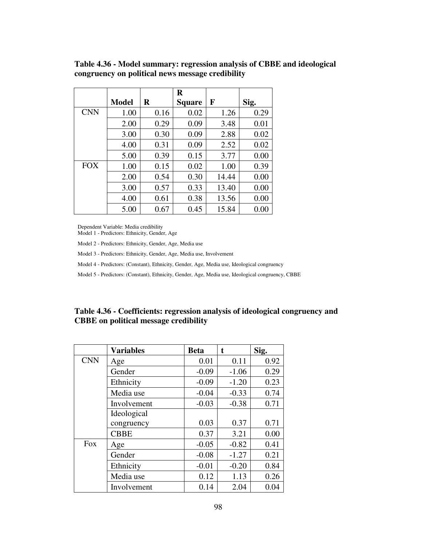|            |              |          | $\bf{R}$      |       |      |
|------------|--------------|----------|---------------|-------|------|
|            | <b>Model</b> | $\bf{R}$ | <b>Square</b> | F     | Sig. |
| <b>CNN</b> | 1.00         | 0.16     | 0.02          | 1.26  | 0.29 |
|            | 2.00         | 0.29     | 0.09          | 3.48  | 0.01 |
|            | 3.00         | 0.30     | 0.09          | 2.88  | 0.02 |
|            | 4.00         | 0.31     | 0.09          | 2.52  | 0.02 |
|            | 5.00         | 0.39     | 0.15          | 3.77  | 0.00 |
| <b>FOX</b> | 1.00         | 0.15     | 0.02          | 1.00  | 0.39 |
|            | 2.00         | 0.54     | 0.30          | 14.44 | 0.00 |
|            | 3.00         | 0.57     | 0.33          | 13.40 | 0.00 |
|            | 4.00         | 0.61     | 0.38          | 13.56 | 0.00 |
|            | 5.00         | 0.67     | 0.45          | 15.84 | 0.00 |

**Table 4.36 - Model summary: regression analysis of CBBE and ideological congruency on political news message credibility** 

Dependent Variable: Media credibility

Model 1 - Predictors: Ethnicity, Gender, Age

Model 2 - Predictors: Ethnicity, Gender, Age, Media use

Model 3 - Predictors: Ethnicity, Gender, Age, Media use, Involvement

Model 4 - Predictors: (Constant), Ethnicity, Gender, Age, Media use, Ideological congruency

Model 5 - Predictors: (Constant), Ethnicity, Gender, Age, Media use, Ideological congruency, CBBE

## **Table 4.36 - Coefficients: regression analysis of ideological congruency and CBBE on political message credibility**

|            | <b>Variables</b> | <b>Beta</b> | t       | Sig. |
|------------|------------------|-------------|---------|------|
| <b>CNN</b> | Age              | 0.01        | 0.11    | 0.92 |
|            | Gender           | $-0.09$     | $-1.06$ | 0.29 |
|            | Ethnicity        | $-0.09$     | $-1.20$ | 0.23 |
|            | Media use        | $-0.04$     | $-0.33$ | 0.74 |
|            | Involvement      | $-0.03$     | $-0.38$ | 0.71 |
|            | Ideological      |             |         |      |
|            | congruency       | 0.03        | 0.37    | 0.71 |
|            | <b>CBBE</b>      | 0.37        | 3.21    | 0.00 |
| <b>Fox</b> | Age              | $-0.05$     | $-0.82$ | 0.41 |
|            | Gender           | $-0.08$     | $-1.27$ | 0.21 |
|            | Ethnicity        | $-0.01$     | $-0.20$ | 0.84 |
|            | Media use        | 0.12        | 1.13    | 0.26 |
|            | Involvement      | 0.14        | 2.04    | 0.04 |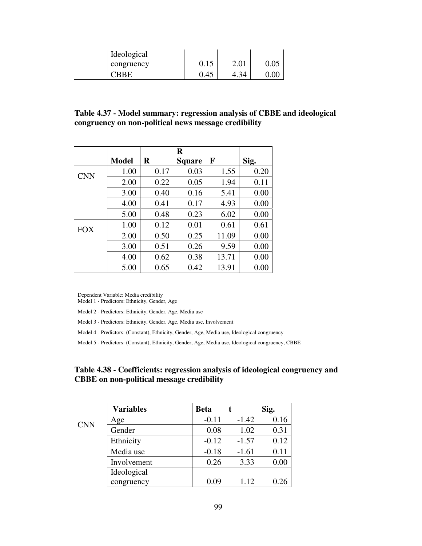| Ideological |      |      |  |
|-------------|------|------|--|
| congruency  | 0.15 | 2.01 |  |
| `BBE        | 0.45 | +.ጋ∗ |  |

**Table 4.37 - Model summary: regression analysis of CBBE and ideological congruency on non-political news message credibility** 

|            |              |         | $\bf R$       |       |      |
|------------|--------------|---------|---------------|-------|------|
|            | <b>Model</b> | $\bf R$ | <b>Square</b> | F     | Sig. |
| <b>CNN</b> | 1.00         | 0.17    | 0.03          | 1.55  | 0.20 |
|            | 2.00         | 0.22    | 0.05          | 1.94  | 0.11 |
|            | 3.00         | 0.40    | 0.16          | 5.41  | 0.00 |
|            | 4.00         | 0.41    | 0.17          | 4.93  | 0.00 |
|            | 5.00         | 0.48    | 0.23          | 6.02  | 0.00 |
| <b>FOX</b> | 1.00         | 0.12    | 0.01          | 0.61  | 0.61 |
|            | 2.00         | 0.50    | 0.25          | 11.09 | 0.00 |
|            | 3.00         | 0.51    | 0.26          | 9.59  | 0.00 |
|            | 4.00         | 0.62    | 0.38          | 13.71 | 0.00 |
|            | 5.00         | 0.65    | 0.42          | 13.91 | 0.00 |

Dependent Variable: Media credibility

Model 1 - Predictors: Ethnicity, Gender, Age

Model 2 - Predictors: Ethnicity, Gender, Age, Media use

Model 3 - Predictors: Ethnicity, Gender, Age, Media use, Involvement

Model 4 - Predictors: (Constant), Ethnicity, Gender, Age, Media use, Ideological congruency

Model 5 - Predictors: (Constant), Ethnicity, Gender, Age, Media use, Ideological congruency, CBBE

## **Table 4.38 - Coefficients: regression analysis of ideological congruency and CBBE on non-political message credibility**

|            | <b>Variables</b> | <b>Beta</b> |         | Sig. |
|------------|------------------|-------------|---------|------|
| <b>CNN</b> | Age              | $-0.11$     | $-1.42$ | 0.16 |
|            | Gender           | 0.08        | 1.02    | 0.31 |
|            | Ethnicity        | $-0.12$     | $-1.57$ | 0.12 |
|            | Media use        | $-0.18$     | $-1.61$ | 0.11 |
|            | Involvement      | 0.26        | 3.33    | 0.00 |
|            | Ideological      |             |         |      |
|            | congruency       | 0.09        | 1.12    | 0.26 |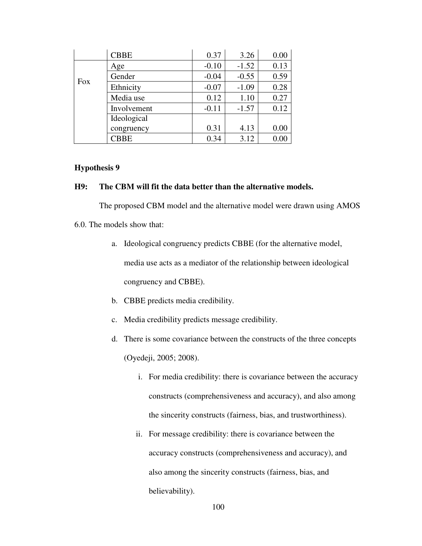|            | <b>CBBE</b> | 0.37    | 3.26    | 0.00 |
|------------|-------------|---------|---------|------|
|            | Age         | $-0.10$ | $-1.52$ | 0.13 |
| <b>Fox</b> | Gender      | $-0.04$ | $-0.55$ | 0.59 |
|            | Ethnicity   | $-0.07$ | $-1.09$ | 0.28 |
|            | Media use   | 0.12    | 1.10    | 0.27 |
|            | Involvement | $-0.11$ | $-1.57$ | 0.12 |
|            | Ideological |         |         |      |
|            | congruency  | 0.31    | 4.13    | 0.00 |
|            | <b>CBBE</b> | 0.34    | 3.12    | 0.00 |

#### **Hypothesis 9**

## **H9: The CBM will fit the data better than the alternative models.**

The proposed CBM model and the alternative model were drawn using AMOS

- 6.0. The models show that:
	- a. Ideological congruency predicts CBBE (for the alternative model, media use acts as a mediator of the relationship between ideological congruency and CBBE).
	- b. CBBE predicts media credibility.
	- c. Media credibility predicts message credibility.
	- d. There is some covariance between the constructs of the three concepts (Oyedeji, 2005; 2008).
		- i. For media credibility: there is covariance between the accuracy constructs (comprehensiveness and accuracy), and also among the sincerity constructs (fairness, bias, and trustworthiness).
		- ii. For message credibility: there is covariance between the accuracy constructs (comprehensiveness and accuracy), and also among the sincerity constructs (fairness, bias, and believability).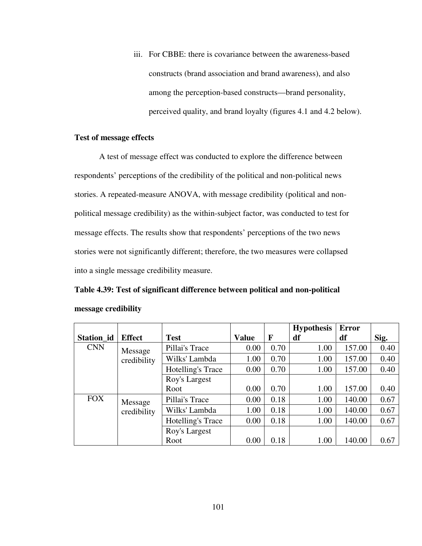iii. For CBBE: there is covariance between the awareness-based constructs (brand association and brand awareness), and also among the perception-based constructs—brand personality, perceived quality, and brand loyalty (figures 4.1 and 4.2 below).

#### **Test of message effects**

A test of message effect was conducted to explore the difference between respondents' perceptions of the credibility of the political and non-political news stories. A repeated-measure ANOVA, with message credibility (political and nonpolitical message credibility) as the within-subject factor, was conducted to test for message effects. The results show that respondents' perceptions of the two news stories were not significantly different; therefore, the two measures were collapsed into a single message credibility measure.

# **Table 4.39: Test of significant difference between political and non-political message credibility**

|            |               |                   |              |      | <b>Hypothesis</b> | <b>Error</b> |      |
|------------|---------------|-------------------|--------------|------|-------------------|--------------|------|
| Station_id | <b>Effect</b> | <b>Test</b>       | <b>Value</b> | F    | df                | df           | Sig. |
| <b>CNN</b> | Message       | Pillai's Trace    | 0.00         | 0.70 | 1.00              | 157.00       | 0.40 |
|            | credibility   | Wilks' Lambda     | 1.00         | 0.70 | 1.00              | 157.00       | 0.40 |
|            |               | Hotelling's Trace | 0.00         | 0.70 | 1.00              | 157.00       | 0.40 |
|            |               | Roy's Largest     |              |      |                   |              |      |
|            |               | Root              | 0.00         | 0.70 | 1.00              | 157.00       | 0.40 |
| <b>FOX</b> | Message       | Pillai's Trace    | 0.00         | 0.18 | 1.00              | 140.00       | 0.67 |
|            | credibility   | Wilks' Lambda     | 1.00         | 0.18 | 1.00              | 140.00       | 0.67 |
|            |               | Hotelling's Trace | 0.00         | 0.18 | 1.00              | 140.00       | 0.67 |
|            |               | Roy's Largest     |              |      |                   |              |      |
|            |               | Root              | 0.00         | 0.18 | 1.00              | 140.00       | 0.67 |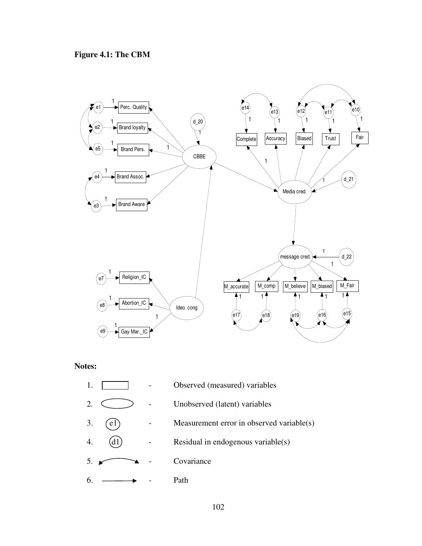

# **Notes:**

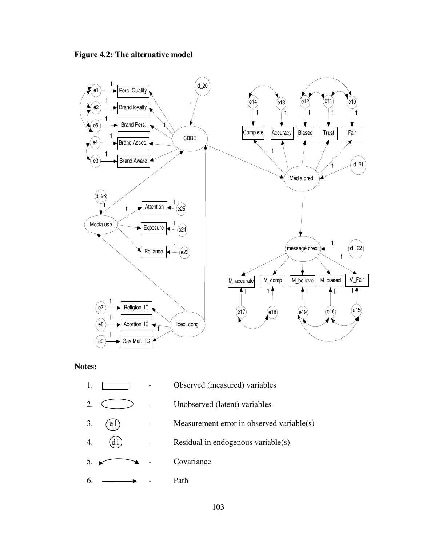



#### **Notes:**

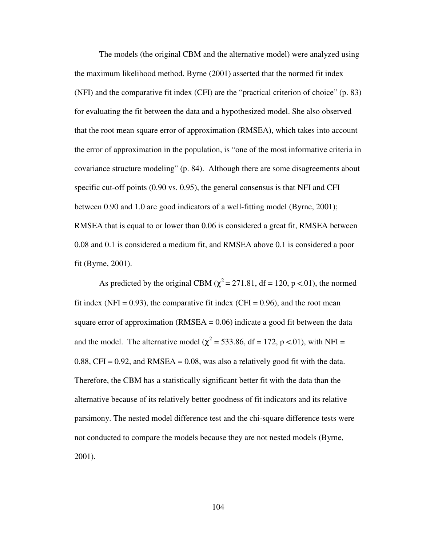The models (the original CBM and the alternative model) were analyzed using the maximum likelihood method. Byrne (2001) asserted that the normed fit index (NFI) and the comparative fit index (CFI) are the "practical criterion of choice" (p. 83) for evaluating the fit between the data and a hypothesized model. She also observed that the root mean square error of approximation (RMSEA), which takes into account the error of approximation in the population, is "one of the most informative criteria in covariance structure modeling" (p. 84). Although there are some disagreements about specific cut-off points (0.90 vs. 0.95), the general consensus is that NFI and CFI between 0.90 and 1.0 are good indicators of a well-fitting model (Byrne, 2001); RMSEA that is equal to or lower than 0.06 is considered a great fit, RMSEA between 0.08 and 0.1 is considered a medium fit, and RMSEA above 0.1 is considered a poor fit (Byrne, 2001).

As predicted by the original CBM ( $\chi^2$  = 271.81, df = 120, p <.01), the normed fit index (NFI =  $0.93$ ), the comparative fit index (CFI =  $0.96$ ), and the root mean square error of approximation (RMSEA  $= 0.06$ ) indicate a good fit between the data and the model. The alternative model ( $\chi^2$  = 533.86, df = 172, p <.01), with NFI = 0.88, CFI = 0.92, and RMSEA = 0.08, was also a relatively good fit with the data. Therefore, the CBM has a statistically significant better fit with the data than the alternative because of its relatively better goodness of fit indicators and its relative parsimony. The nested model difference test and the chi-square difference tests were not conducted to compare the models because they are not nested models (Byrne, 2001).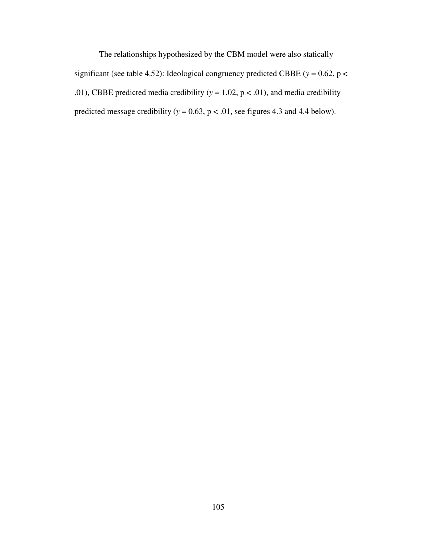The relationships hypothesized by the CBM model were also statically significant (see table 4.52): Ideological congruency predicted CBBE ( $y = 0.62$ ,  $p <$ .01), CBBE predicted media credibility ( $y = 1.02$ ,  $p < .01$ ), and media credibility predicted message credibility ( $y = 0.63$ ,  $p < .01$ , see figures 4.3 and 4.4 below).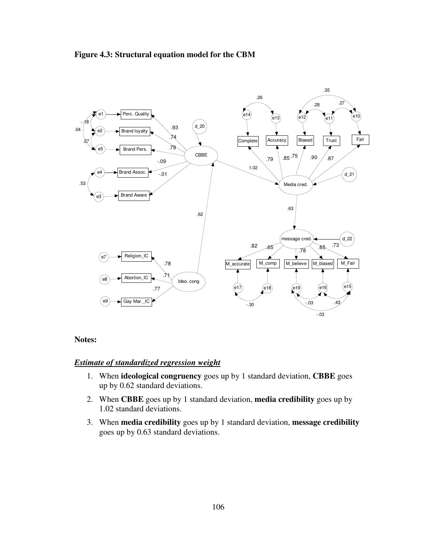



#### **Notes:**

#### *Estimate of standardized regression weight*

- 1. When **ideological congruency** goes up by 1 standard deviation, **CBBE** goes up by 0.62 standard deviations.
- 2. When **CBBE** goes up by 1 standard deviation, **media credibility** goes up by 1.02 standard deviations.
- 3. When **media credibility** goes up by 1 standard deviation, **message credibility** goes up by 0.63 standard deviations.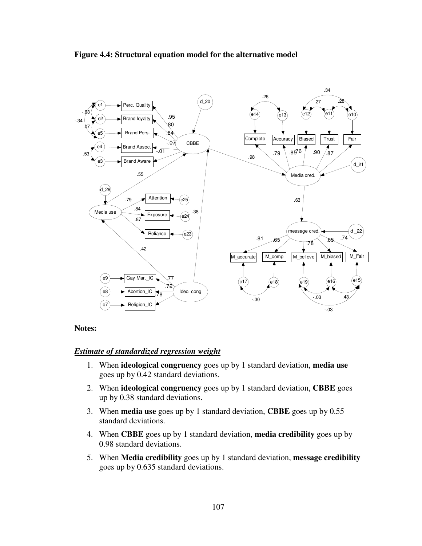

#### **Figure 4.4: Structural equation model for the alternative model**

## **Notes:**

## *Estimate of standardized regression weight*

- 1. When **ideological congruency** goes up by 1 standard deviation, **media use** goes up by 0.42 standard deviations.
- 2. When **ideological congruency** goes up by 1 standard deviation, **CBBE** goes up by 0.38 standard deviations.
- 3. When **media use** goes up by 1 standard deviation, **CBBE** goes up by 0.55 standard deviations.
- 4. When **CBBE** goes up by 1 standard deviation, **media credibility** goes up by 0.98 standard deviations.
- 5. When **Media credibility** goes up by 1 standard deviation, **message credibility** goes up by 0.635 standard deviations.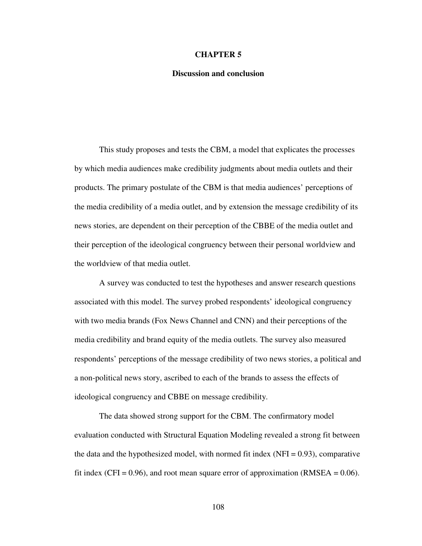#### **CHAPTER 5**

#### **Discussion and conclusion**

This study proposes and tests the CBM, a model that explicates the processes by which media audiences make credibility judgments about media outlets and their products. The primary postulate of the CBM is that media audiences' perceptions of the media credibility of a media outlet, and by extension the message credibility of its news stories, are dependent on their perception of the CBBE of the media outlet and their perception of the ideological congruency between their personal worldview and the worldview of that media outlet.

A survey was conducted to test the hypotheses and answer research questions associated with this model. The survey probed respondents' ideological congruency with two media brands (Fox News Channel and CNN) and their perceptions of the media credibility and brand equity of the media outlets. The survey also measured respondents' perceptions of the message credibility of two news stories, a political and a non-political news story, ascribed to each of the brands to assess the effects of ideological congruency and CBBE on message credibility.

The data showed strong support for the CBM. The confirmatory model evaluation conducted with Structural Equation Modeling revealed a strong fit between the data and the hypothesized model, with normed fit index  $(NFI = 0.93)$ , comparative fit index (CFI =  $0.96$ ), and root mean square error of approximation (RMSEA =  $0.06$ ).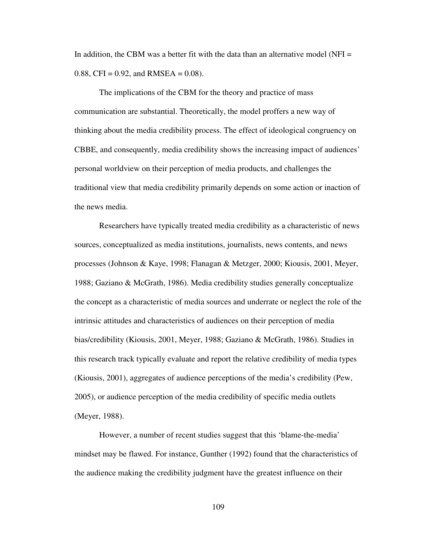In addition, the CBM was a better fit with the data than an alternative model (NFI  $=$ 0.88, CFI =  $0.92$ , and RMSEA =  $0.08$ ).

The implications of the CBM for the theory and practice of mass communication are substantial. Theoretically, the model proffers a new way of thinking about the media credibility process. The effect of ideological congruency on CBBE, and consequently, media credibility shows the increasing impact of audiences' personal worldview on their perception of media products, and challenges the traditional view that media credibility primarily depends on some action or inaction of the news media.

Researchers have typically treated media credibility as a characteristic of news sources, conceptualized as media institutions, journalists, news contents, and news processes (Johnson & Kaye, 1998; Flanagan & Metzger, 2000; Kiousis, 2001, Meyer, 1988; Gaziano & McGrath, 1986). Media credibility studies generally conceptualize the concept as a characteristic of media sources and underrate or neglect the role of the intrinsic attitudes and characteristics of audiences on their perception of media bias/credibility (Kiousis, 2001, Meyer, 1988; Gaziano & McGrath, 1986). Studies in this research track typically evaluate and report the relative credibility of media types (Kiousis, 2001), aggregates of audience perceptions of the media's credibility (Pew, 2005), or audience perception of the media credibility of specific media outlets (Meyer, 1988).

However, a number of recent studies suggest that this 'blame-the-media' mindset may be flawed. For instance, Gunther (1992) found that the characteristics of the audience making the credibility judgment have the greatest influence on their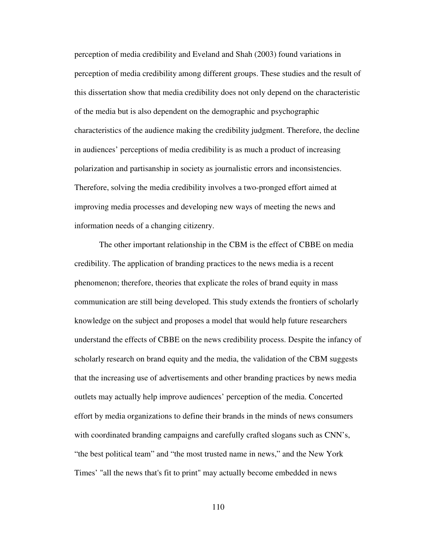perception of media credibility and Eveland and Shah (2003) found variations in perception of media credibility among different groups. These studies and the result of this dissertation show that media credibility does not only depend on the characteristic of the media but is also dependent on the demographic and psychographic characteristics of the audience making the credibility judgment. Therefore, the decline in audiences' perceptions of media credibility is as much a product of increasing polarization and partisanship in society as journalistic errors and inconsistencies. Therefore, solving the media credibility involves a two-pronged effort aimed at improving media processes and developing new ways of meeting the news and information needs of a changing citizenry.

 The other important relationship in the CBM is the effect of CBBE on media credibility. The application of branding practices to the news media is a recent phenomenon; therefore, theories that explicate the roles of brand equity in mass communication are still being developed. This study extends the frontiers of scholarly knowledge on the subject and proposes a model that would help future researchers understand the effects of CBBE on the news credibility process. Despite the infancy of scholarly research on brand equity and the media, the validation of the CBM suggests that the increasing use of advertisements and other branding practices by news media outlets may actually help improve audiences' perception of the media. Concerted effort by media organizations to define their brands in the minds of news consumers with coordinated branding campaigns and carefully crafted slogans such as CNN's, "the best political team" and "the most trusted name in news," and the New York Times' "all the news that's fit to print" may actually become embedded in news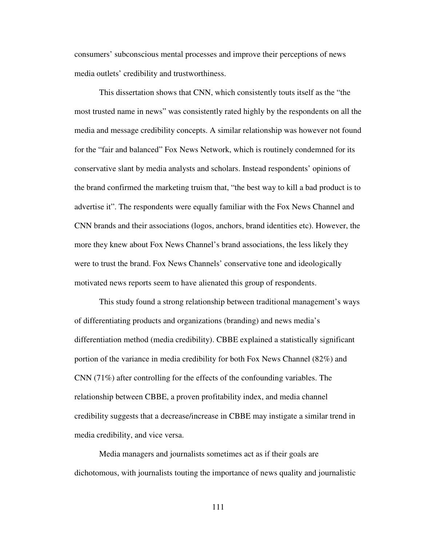consumers' subconscious mental processes and improve their perceptions of news media outlets' credibility and trustworthiness.

This dissertation shows that CNN, which consistently touts itself as the "the most trusted name in news" was consistently rated highly by the respondents on all the media and message credibility concepts. A similar relationship was however not found for the "fair and balanced" Fox News Network, which is routinely condemned for its conservative slant by media analysts and scholars. Instead respondents' opinions of the brand confirmed the marketing truism that, "the best way to kill a bad product is to advertise it". The respondents were equally familiar with the Fox News Channel and CNN brands and their associations (logos, anchors, brand identities etc). However, the more they knew about Fox News Channel's brand associations, the less likely they were to trust the brand. Fox News Channels' conservative tone and ideologically motivated news reports seem to have alienated this group of respondents.

This study found a strong relationship between traditional management's ways of differentiating products and organizations (branding) and news media's differentiation method (media credibility). CBBE explained a statistically significant portion of the variance in media credibility for both Fox News Channel (82%) and CNN (71%) after controlling for the effects of the confounding variables. The relationship between CBBE, a proven profitability index, and media channel credibility suggests that a decrease/increase in CBBE may instigate a similar trend in media credibility, and vice versa.

Media managers and journalists sometimes act as if their goals are dichotomous, with journalists touting the importance of news quality and journalistic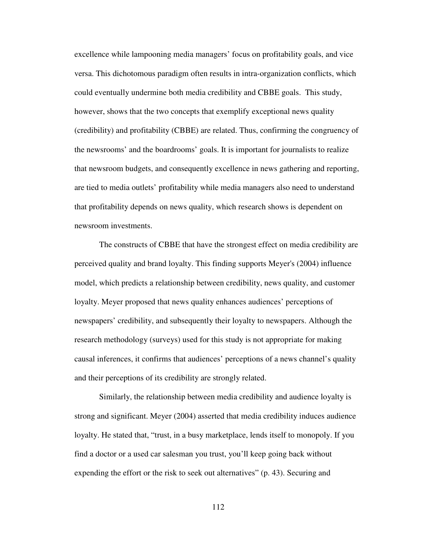excellence while lampooning media managers' focus on profitability goals, and vice versa. This dichotomous paradigm often results in intra-organization conflicts, which could eventually undermine both media credibility and CBBE goals. This study, however, shows that the two concepts that exemplify exceptional news quality (credibility) and profitability (CBBE) are related. Thus, confirming the congruency of the newsrooms' and the boardrooms' goals. It is important for journalists to realize that newsroom budgets, and consequently excellence in news gathering and reporting, are tied to media outlets' profitability while media managers also need to understand that profitability depends on news quality, which research shows is dependent on newsroom investments.

The constructs of CBBE that have the strongest effect on media credibility are perceived quality and brand loyalty. This finding supports Meyer's (2004) influence model, which predicts a relationship between credibility, news quality, and customer loyalty. Meyer proposed that news quality enhances audiences' perceptions of newspapers' credibility, and subsequently their loyalty to newspapers. Although the research methodology (surveys) used for this study is not appropriate for making causal inferences, it confirms that audiences' perceptions of a news channel's quality and their perceptions of its credibility are strongly related.

Similarly, the relationship between media credibility and audience loyalty is strong and significant. Meyer (2004) asserted that media credibility induces audience loyalty. He stated that, "trust, in a busy marketplace, lends itself to monopoly. If you find a doctor or a used car salesman you trust, you'll keep going back without expending the effort or the risk to seek out alternatives" (p. 43). Securing and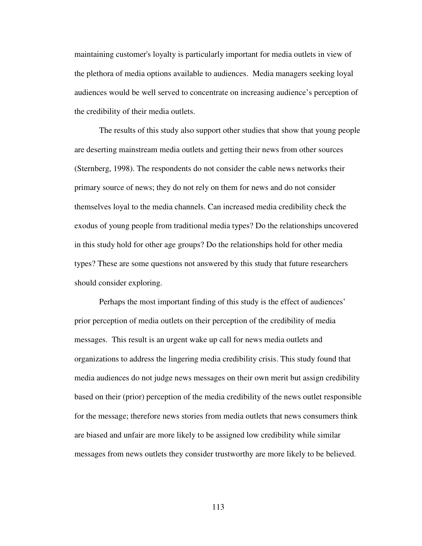maintaining customer's loyalty is particularly important for media outlets in view of the plethora of media options available to audiences. Media managers seeking loyal audiences would be well served to concentrate on increasing audience's perception of the credibility of their media outlets.

The results of this study also support other studies that show that young people are deserting mainstream media outlets and getting their news from other sources (Sternberg, 1998). The respondents do not consider the cable news networks their primary source of news; they do not rely on them for news and do not consider themselves loyal to the media channels. Can increased media credibility check the exodus of young people from traditional media types? Do the relationships uncovered in this study hold for other age groups? Do the relationships hold for other media types? These are some questions not answered by this study that future researchers should consider exploring.

Perhaps the most important finding of this study is the effect of audiences' prior perception of media outlets on their perception of the credibility of media messages. This result is an urgent wake up call for news media outlets and organizations to address the lingering media credibility crisis. This study found that media audiences do not judge news messages on their own merit but assign credibility based on their (prior) perception of the media credibility of the news outlet responsible for the message; therefore news stories from media outlets that news consumers think are biased and unfair are more likely to be assigned low credibility while similar messages from news outlets they consider trustworthy are more likely to be believed.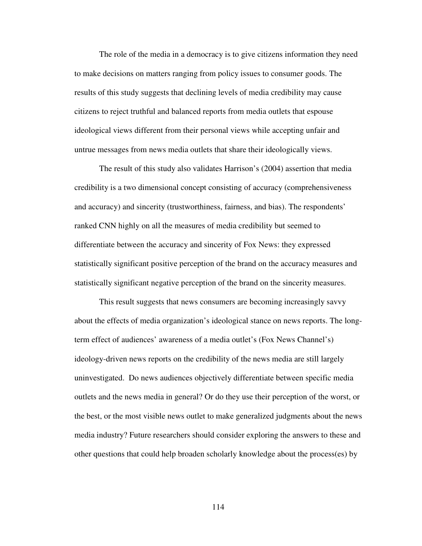The role of the media in a democracy is to give citizens information they need to make decisions on matters ranging from policy issues to consumer goods. The results of this study suggests that declining levels of media credibility may cause citizens to reject truthful and balanced reports from media outlets that espouse ideological views different from their personal views while accepting unfair and untrue messages from news media outlets that share their ideologically views.

 The result of this study also validates Harrison's (2004) assertion that media credibility is a two dimensional concept consisting of accuracy (comprehensiveness and accuracy) and sincerity (trustworthiness, fairness, and bias). The respondents' ranked CNN highly on all the measures of media credibility but seemed to differentiate between the accuracy and sincerity of Fox News: they expressed statistically significant positive perception of the brand on the accuracy measures and statistically significant negative perception of the brand on the sincerity measures.

This result suggests that news consumers are becoming increasingly savvy about the effects of media organization's ideological stance on news reports. The longterm effect of audiences' awareness of a media outlet's (Fox News Channel's) ideology-driven news reports on the credibility of the news media are still largely uninvestigated. Do news audiences objectively differentiate between specific media outlets and the news media in general? Or do they use their perception of the worst, or the best, or the most visible news outlet to make generalized judgments about the news media industry? Future researchers should consider exploring the answers to these and other questions that could help broaden scholarly knowledge about the process(es) by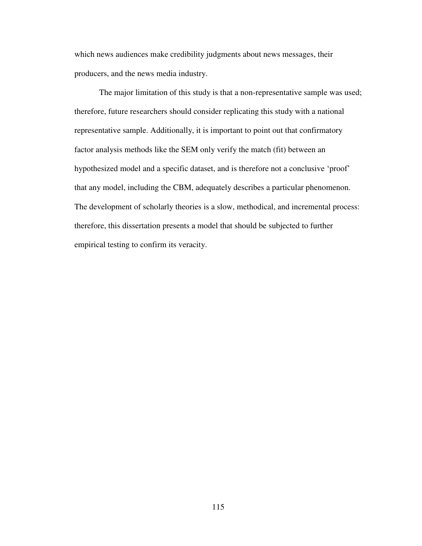which news audiences make credibility judgments about news messages, their producers, and the news media industry.

The major limitation of this study is that a non-representative sample was used; therefore, future researchers should consider replicating this study with a national representative sample. Additionally, it is important to point out that confirmatory factor analysis methods like the SEM only verify the match (fit) between an hypothesized model and a specific dataset, and is therefore not a conclusive 'proof' that any model, including the CBM, adequately describes a particular phenomenon. The development of scholarly theories is a slow, methodical, and incremental process: therefore, this dissertation presents a model that should be subjected to further empirical testing to confirm its veracity.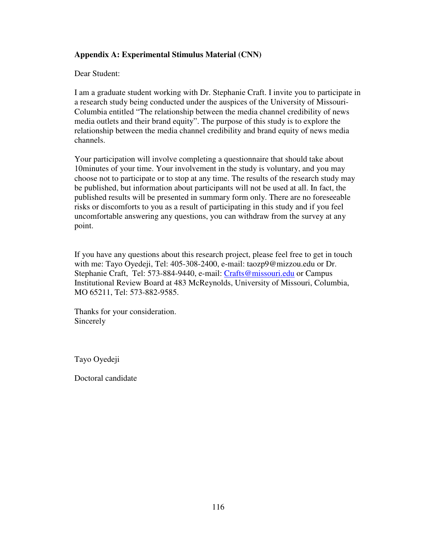# **Appendix A: Experimental Stimulus Material (CNN)**

Dear Student:

I am a graduate student working with Dr. Stephanie Craft. I invite you to participate in a research study being conducted under the auspices of the University of Missouri-Columbia entitled "The relationship between the media channel credibility of news media outlets and their brand equity". The purpose of this study is to explore the relationship between the media channel credibility and brand equity of news media channels.

Your participation will involve completing a questionnaire that should take about 10minutes of your time. Your involvement in the study is voluntary, and you may choose not to participate or to stop at any time. The results of the research study may be published, but information about participants will not be used at all. In fact, the published results will be presented in summary form only. There are no foreseeable risks or discomforts to you as a result of participating in this study and if you feel uncomfortable answering any questions, you can withdraw from the survey at any point.

If you have any questions about this research project, please feel free to get in touch with me: Tayo Oyedeji, Tel: 405-308-2400, e-mail: taozp9@mizzou.edu or Dr. Stephanie Craft, Tel: 573-884-9440, e-mail: Crafts@missouri.edu or Campus Institutional Review Board at 483 McReynolds, University of Missouri, Columbia, MO 65211, Tel: 573-882-9585.

Thanks for your consideration. Sincerely

Tayo Oyedeji

Doctoral candidate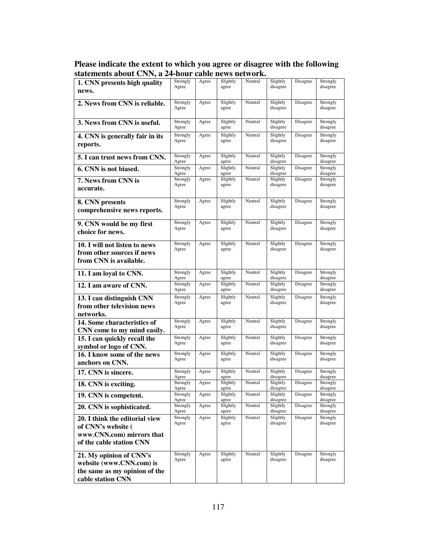| Please indicate the extent to which you agree or disagree with the following |
|------------------------------------------------------------------------------|
| statements about CNN, a 24-hour cable news network.                          |

| 1. CNN presents high quality                                | Strongly<br>Agree | Agree | Slightly<br>agree | Neutral | Slightly<br>disagree | Disagree | Strongly<br>disagree |
|-------------------------------------------------------------|-------------------|-------|-------------------|---------|----------------------|----------|----------------------|
| news.                                                       |                   |       |                   |         |                      |          |                      |
| 2. News from CNN is reliable.                               | Strongly          | Agree | Slightly          | Neutral | Slightly             | Disagree | Strongly             |
|                                                             | Agree             |       | agree             |         | disagree             |          | disagree             |
|                                                             | Strongly          | Agree | Slightly          | Neutral | Slightly             | Disagree | Strongly             |
| 3. News from CNN is useful.                                 | Agree             |       | agree             |         | disagree             |          | disagree             |
| 4. CNN is generally fair in its                             | Strongly          | Agree | Slightly          | Neutral | Slightly             | Disagree | Strongly             |
| reports.                                                    | Agree             |       | agree             |         | disagree             |          | disagree             |
| 5. I can trust news from CNN.                               | Strongly          | Agree | Slightly          | Neutral | Slightly             | Disagree | Strongly             |
|                                                             | Agree             |       | agree             |         | disagree             |          | disagree             |
| 6. CNN is not biased.                                       | Strongly<br>Agree | Agree | Slightly<br>agree | Neutral | Slightly<br>disagree | Disagree | Strongly<br>disagree |
| 7. News from CNN is                                         | Strongly          | Agree | Slightly          | Neutral | Slightly             | Disagree | Strongly             |
| accurate.                                                   | Agree             |       | agree             |         | disagree             |          | disagree             |
|                                                             | Strongly          | Agree | Slightly          | Neutral | Slightly             | Disagree | Strongly             |
| 8. CNN presents<br>comprehensive news reports.              | Agree             |       | agree             |         | disagree             |          | disagree             |
|                                                             |                   |       |                   |         |                      |          |                      |
| 9. CNN would be my first                                    | Strongly          | Agree | Slightly          | Neutral | Slightly             | Disagree | Strongly             |
| choice for news.                                            | Agree             |       | agree             |         | disagree             |          | disagree             |
|                                                             | Strongly          | Agree | Slightly          | Neutral | Slightly             | Disagree | Strongly             |
| 10. I will not listen to news<br>from other sources if news | Agree             |       | agree             |         | disagree             |          | disagree             |
| from CNN is available.                                      |                   |       |                   |         |                      |          |                      |
|                                                             |                   |       |                   |         |                      |          |                      |
| 11. I am loyal to CNN.                                      | Strongly<br>Agree | Agree | Slightly<br>agree | Neutral | Slightly<br>disagree | Disagree | Strongly<br>disagree |
| 12. I am aware of CNN.                                      | Strongly          | Agree | Slightly          | Neutral | Slightly             | Disagree | Strongly             |
| 13. I can distinguish CNN                                   | Agree<br>Strongly | Agree | agree<br>Slightly | Neutral | disagree<br>Slightly | Disagree | disagree<br>Strongly |
| from other television news                                  | Agree             |       | agree             |         | disagree             |          | disagree             |
| networks.                                                   |                   |       |                   |         |                      |          |                      |
| 14. Some characteristics of                                 | Strongly          | Agree | Slightly          | Neutral | Slightly             | Disagree | Strongly             |
| CNN come to my mind easily.                                 | Agree             |       | agree             |         | disagree             |          | disagree             |
| 15. I can quickly recall the                                | Strongly          | Agree | Slightly          | Neutral | Slightly             | Disagree | Strongly             |
| symbol or logo of CNN.                                      | Agree             |       | agree             |         | disagree             |          | disagree             |
| 16. I know some of the news                                 | Strongly          | Agree | Slightly          | Neutral | Slightly<br>disagree | Disagree | Strongly             |
| anchors on CNN.                                             | Agree             |       | agree             |         |                      |          | disagree             |
| 17. CNN is sincere.                                         | Strongly<br>Agree | Agree | Slightly<br>agree | Neutral | Slightly<br>disagree | Disagree | Strongly<br>disagree |
| 18. CNN is exciting.                                        | Strongly          | Agree | Slightly          | Neutral | Slightly             | Disagree | Strongly             |
| 19. CNN is competent.                                       | Agree<br>Strongly | Agree | agree<br>Slightly | Neutral | disagree<br>Slightly | Disagree | disagree<br>Strongly |
|                                                             | Agree             |       | agree             |         | disagree             |          | disagree             |
| 20. CNN is sophisticated.                                   | Strongly<br>Agree | Agree | Slightly<br>agree | Neutral | Slightly<br>disagree | Disagree | Strongly<br>disagree |
| 20. I think the editorial view                              | Strongly          | Agree | Slightly          | Neutral | Slightly             | Disagree | Strongly             |
| of CNN's website (                                          | Agree             |       | agree             |         | disagree             |          | disagree             |
| www.CNN.com) mirrors that                                   |                   |       |                   |         |                      |          |                      |
| of the cable station CNN                                    |                   |       |                   |         |                      |          |                      |
| 21. My opinion of CNN's                                     | Strongly          | Agree | Slightly          | Neutral | Slightly             | Disagree | Strongly             |
| website (www.CNN.com) is                                    | Agree             |       | agree             |         | disagree             |          | disagree             |
| the same as my opinion of the                               |                   |       |                   |         |                      |          |                      |
| cable station CNN                                           |                   |       |                   |         |                      |          |                      |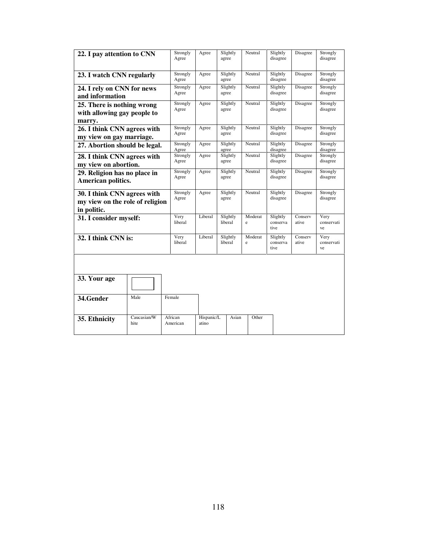| 22. I pay attention to CNN                                     |                                               | Strongly<br>Agree | Agree             | Slightly<br>agree   | Neutral              | Slightly<br>disagree         | Disagree             | Strongly<br>disagree     |
|----------------------------------------------------------------|-----------------------------------------------|-------------------|-------------------|---------------------|----------------------|------------------------------|----------------------|--------------------------|
|                                                                |                                               |                   |                   |                     |                      |                              |                      |                          |
| 23. I watch CNN regularly                                      |                                               | Strongly<br>Agree | Agree             | Slightly<br>agree   | Neutral              | Slightly<br>disagree         | Disagree             | Strongly<br>disagree     |
|                                                                | 24. I rely on CNN for news<br>and information |                   |                   | Slightly<br>agree   | Neutral              | Slightly<br>disagree         | Disagree             | Strongly<br>disagree     |
| 25. There is nothing wrong<br>with allowing gay people to      | Strongly<br>Agree                             | Agree             | Slightly<br>agree | Neutral             | Slightly<br>disagree | Disagree                     | Strongly<br>disagree |                          |
| marry.                                                         |                                               |                   |                   |                     |                      |                              |                      |                          |
| 26. I think CNN agrees with<br>my view on gay marriage.        | Strongly<br>Agree                             | Agree             | Slightly<br>agree | Neutral             | Slightly<br>disagree | Disagree                     | Strongly<br>disagree |                          |
| 27. Abortion should be legal.                                  |                                               | Strongly<br>Agree | Agree             | Slightly<br>agree   | Neutral              | Slightly<br>disagree         | Disagree             | Strongly<br>disagree     |
| 28. I think CNN agrees with<br>my view on abortion.            | Strongly<br>Agree                             | Agree             | Slightly<br>agree | Neutral             | Slightly<br>disagree | Disagree                     | Strongly<br>disagree |                          |
| 29. Religion has no place in<br>American politics.             | Strongly<br>Agree                             | Agree             | Slightly<br>agree | Neutral             | Slightly<br>disagree | Disagree                     | Strongly<br>disagree |                          |
| 30. I think CNN agrees with<br>my view on the role of religion |                                               | Strongly<br>Agree | Agree             | Slightly<br>agree   | Neutral              | Slightly<br>disagree         | Disagree             | Strongly<br>disagree     |
| in politic.<br>31. I consider myself:                          |                                               | Very<br>liberal   | Liberal           | Slightly<br>liberal | Moderat<br>e         | Slightly<br>conserva<br>tive | Conserv<br>ative     | Very<br>conservati<br>ve |
| 32. I think CNN is:                                            |                                               | Very<br>liberal   | Liberal           | Slightly<br>liberal | Moderat<br>e         | Slightly<br>conserva<br>tive | Conserv<br>ative     | Very<br>conservati<br>ve |
|                                                                |                                               |                   |                   |                     |                      |                              |                      |                          |
| 33. Your age                                                   |                                               |                   |                   |                     |                      |                              |                      |                          |
| 34.Gender                                                      | Female                                        |                   |                   |                     |                      |                              |                      |                          |
| 35. Ethnicity                                                  | Caucasian/W<br>African<br>hite<br>American    |                   |                   | Hispanic/L<br>Asian | Other                |                              |                      |                          |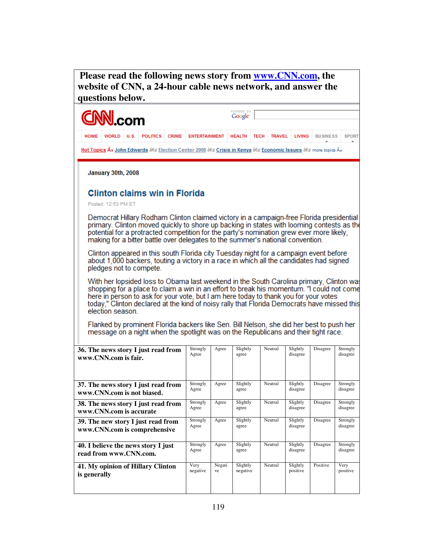**Please read the following news story from www.CNN.com, the website of CNN, a 24-hour cable news network, and answer the questions below.** 

| <b>CNN</b> .com                                                                                                                                                                                                                                                                                                                                                                                 |                         |      |                                                                                                                                                                                |              |                      |              | POWERED BY<br>Google <sup>-</sup> |             |               |                      |                 |                      |
|-------------------------------------------------------------------------------------------------------------------------------------------------------------------------------------------------------------------------------------------------------------------------------------------------------------------------------------------------------------------------------------------------|-------------------------|------|--------------------------------------------------------------------------------------------------------------------------------------------------------------------------------|--------------|----------------------|--------------|-----------------------------------|-------------|---------------|----------------------|-----------------|----------------------|
| <b>HOME</b>                                                                                                                                                                                                                                                                                                                                                                                     | <b>WORLD</b>            | U.S. | <b>POLITICS</b>                                                                                                                                                                | <b>CRIME</b> | <b>ENTERTAINMENT</b> |              | <b>HEALTH</b>                     | <b>TECH</b> | <b>TRAVEL</b> | <b>LIVING</b>        | <b>BUSINESS</b> | <b>SPORT</b>         |
|                                                                                                                                                                                                                                                                                                                                                                                                 |                         |      | Hot Topics » John Edwards at et Election Center 2008 at et Crisis in Kenya at et Economic Issues at et more topics »                                                           |              |                      |              |                                   |             |               |                      |                 |                      |
| January 30th, 2008                                                                                                                                                                                                                                                                                                                                                                              |                         |      |                                                                                                                                                                                |              |                      |              |                                   |             |               |                      |                 |                      |
|                                                                                                                                                                                                                                                                                                                                                                                                 | Posted: 12:53 PM ET     |      | <b>Clinton claims win in Florida</b>                                                                                                                                           |              |                      |              |                                   |             |               |                      |                 |                      |
| Democrat Hillary Rodham Clinton claimed victory in a campaign-free Florida presidential<br>primary. Clinton moved quickly to shore up backing in states with looming contests as the<br>potential for a protracted competition for the party's nomination grew ever more likely,<br>making for a bitter battle over delegates to the summer's national convention.                              |                         |      |                                                                                                                                                                                |              |                      |              |                                   |             |               |                      |                 |                      |
| Clinton appeared in this south Florida city Tuesday night for a campaign event before<br>about 1,000 backers, touting a victory in a race in which all the candidates had signed<br>pledges not to compete.                                                                                                                                                                                     |                         |      |                                                                                                                                                                                |              |                      |              |                                   |             |               |                      |                 |                      |
| With her lopsided loss to Obama last weekend in the South Carolina primary, Clinton was<br>shopping for a place to claim a win in an effort to break his momentum. "I could not come<br>here in person to ask for your vote, but I am here today to thank you for your votes<br>today," Clinton declared at the kind of noisy rally that Florida Democrats have missed this<br>election season. |                         |      |                                                                                                                                                                                |              |                      |              |                                   |             |               |                      |                 |                      |
|                                                                                                                                                                                                                                                                                                                                                                                                 |                         |      | Flanked by prominent Florida backers like Sen. Bill Nelson, she did her best to push her<br>message on a night when the spotlight was on the Republicans and their tight race. |              |                      |              |                                   |             |               |                      |                 |                      |
|                                                                                                                                                                                                                                                                                                                                                                                                 | www.CNN.com is fair.    |      | 36. The news story I just read from                                                                                                                                            |              | Strongly<br>Agree    | Agree        | Slightly<br>agree                 |             | Neutral       | Slightly<br>disagree | Disagree        | Strongly<br>disagree |
|                                                                                                                                                                                                                                                                                                                                                                                                 |                         |      | 37. The news story I just read from<br>www.CNN.com is not biased.                                                                                                              |              | Strongly<br>Agree    | Agree        | Slightly<br>agree                 |             | Neutral       | Slightly<br>disagree | Disagree        | Strongly<br>disagree |
|                                                                                                                                                                                                                                                                                                                                                                                                 | www.CNN.com is accurate |      | 38. The news story I just read from                                                                                                                                            |              | Strongly<br>Agree    | Agree        | Slightly<br>agree                 |             | Neutral       | Slightly<br>disagree | Disagree        | Strongly<br>disagree |
|                                                                                                                                                                                                                                                                                                                                                                                                 |                         |      | 39. The new story I just read from<br>www.CNN.com is comprehensive                                                                                                             |              | Strongly<br>Agree    | Agree        | Slightly<br>agree                 |             | Neutral       | Slightly<br>disagree | Disagree        | Strongly<br>disagree |
|                                                                                                                                                                                                                                                                                                                                                                                                 | read from www.CNN.com.  |      | 40. I believe the news story I just                                                                                                                                            |              | Strongly<br>Agree    | Agree        | Slightly<br>agree                 |             | Neutral       | Slightly<br>disagree | Disagree        | Strongly<br>disagree |
| is generally                                                                                                                                                                                                                                                                                                                                                                                    |                         |      | 41. My opinion of Hillary Clinton                                                                                                                                              |              | Very<br>negative     | Negati<br>ve | Slightly<br>negative              |             | Neutral       | Slightly<br>positive | Positive        | Very<br>positive     |
|                                                                                                                                                                                                                                                                                                                                                                                                 |                         |      |                                                                                                                                                                                |              |                      |              |                                   |             |               |                      |                 |                      |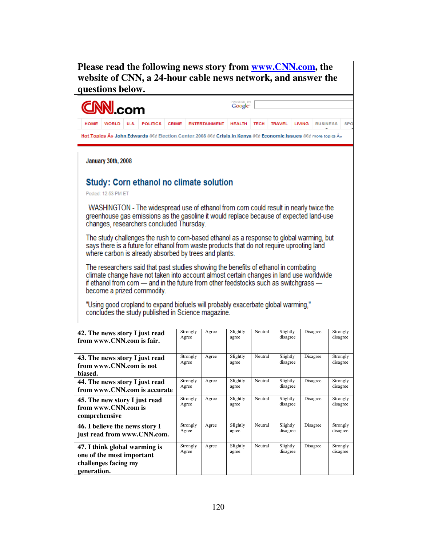**Please read the following news story from www.CNN.com, the website of CNN, a 24-hour cable news network, and answer the questions below.**

#### Google com **HOME WORLD**  $U.S.$ **POLITICS** CRIME ENTERTAINMENT HEALTH TECH **TRAVEL LIVING BUSINESS** SP<sub>C</sub> Hot Topics » John Edwards • Election Center 2008 • Crisis in Kenya • Economic Issues • more topics » January 30th, 2008 **Study: Corn ethanol no climate solution** Posted: 12:53 PM ET WASHINGTON - The widespread use of ethanol from corn could result in nearly twice the greenhouse gas emissions as the gasoline it would replace because of expected land-use changes, researchers concluded Thursday. The study challenges the rush to corn-based ethanol as a response to global warming, but says there is a future for ethanol from waste products that do not require uprooting land where carbon is already absorbed by trees and plants. The researchers said that past studies showing the benefits of ethanol in combating climate change have not taken into account almost certain changes in land use worldwide if ethanol from corn - and in the future from other feedstocks such as switchgrass become a prized commodity. "Using good cropland to expand biofuels will probably exacerbate global warming," concludes the study published in Science magazine. **42. The news story I just read**  Strongly Agree Slightly Neutral Slightly Disagree Strongly Agree agree disagree disagree **from www.CNN.com is fair. 43. The news story I just read**  Strongly Agree Slightly Neutral Slightly Disagree Strongly Agree agree disagree disagree **from www.CNN.com is not biased.**

| from www.CNN.com is not                                                                           | Agicc             |       | agice             |         | disagree             |          | disagree             |
|---------------------------------------------------------------------------------------------------|-------------------|-------|-------------------|---------|----------------------|----------|----------------------|
| biased.                                                                                           |                   |       |                   |         |                      |          |                      |
| 44. The news story I just read<br>from www.CNN.com is accurate                                    | Strongly<br>Agree | Agree | Slightly<br>agree | Neutral | Slightly<br>disagree | Disagree | Strongly<br>disagree |
| 45. The new story I just read<br>from www.CNN.com is<br>comprehensive                             | Strongly<br>Agree | Agree | Slightly<br>agree | Neutral | Slightly<br>disagree | Disagree | Strongly<br>disagree |
| 46. I believe the news story I<br>just read from www.CNN.com.                                     | Strongly<br>Agree | Agree | Slightly<br>agree | Neutral | Slightly<br>disagree | Disagree | Strongly<br>disagree |
| 47. I think global warming is<br>one of the most important<br>challenges facing my<br>generation. | Strongly<br>Agree | Agree | Slightly<br>agree | Neutral | Slightly<br>disagree | Disagree | Strongly<br>disagree |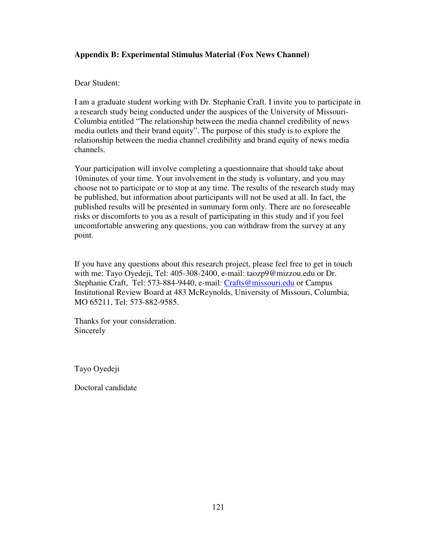# **Appendix B: Experimental Stimulus Material (Fox News Channel)**

## Dear Student:

I am a graduate student working with Dr. Stephanie Craft. I invite you to participate in a research study being conducted under the auspices of the University of Missouri-Columbia entitled "The relationship between the media channel credibility of news media outlets and their brand equity". The purpose of this study is to explore the relationship between the media channel credibility and brand equity of news media channels.

Your participation will involve completing a questionnaire that should take about 10minutes of your time. Your involvement in the study is voluntary, and you may choose not to participate or to stop at any time. The results of the research study may be published, but information about participants will not be used at all. In fact, the published results will be presented in summary form only. There are no foreseeable risks or discomforts to you as a result of participating in this study and if you feel uncomfortable answering any questions, you can withdraw from the survey at any point.

If you have any questions about this research project, please feel free to get in touch with me: Tayo Oyedeji, Tel: 405-308-2400, e-mail: taozp9@mizzou.edu or Dr. Stephanie Craft, Tel: 573-884-9440, e-mail: Crafts@missouri.edu or Campus Institutional Review Board at 483 McReynolds, University of Missouri, Columbia, MO 65211, Tel: 573-882-9585.

Thanks for your consideration. Sincerely

Tayo Oyedeji

Doctoral candidate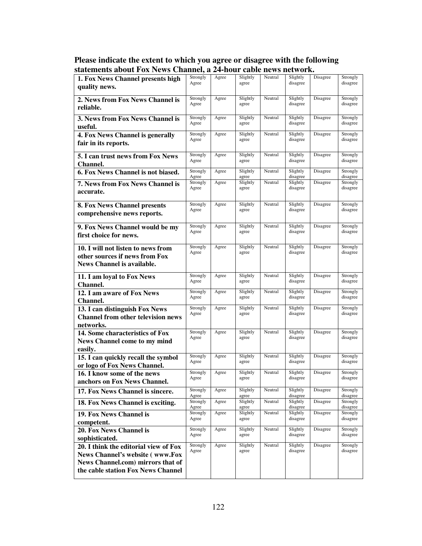| Please indicate the extent to which you agree or disagree with the following |
|------------------------------------------------------------------------------|
| statements about Fox News Channel, a 24-hour cable news network.             |

| 1. Fox News Channel presents high<br>quality news.                                                                   | Strongly<br>Agree | Agree | Slightly<br>agree | Neutral | Slightly<br>disagree | Disagree | Strongly<br>disagree |
|----------------------------------------------------------------------------------------------------------------------|-------------------|-------|-------------------|---------|----------------------|----------|----------------------|
|                                                                                                                      | Strongly          |       |                   |         |                      |          |                      |
| 2. News from Fox News Channel is<br>reliable.                                                                        | Agree             | Agree | Slightly<br>agree | Neutral | Slightly<br>disagree | Disagree | Strongly<br>disagree |
| 3. News from Fox News Channel is<br>useful.                                                                          | Strongly<br>Agree | Agree | Slightly<br>agree | Neutral | Slightly<br>disagree | Disagree | Strongly<br>disagree |
| 4. Fox News Channel is generally<br>fair in its reports.                                                             | Strongly<br>Agree | Agree | Slightly<br>agree | Neutral | Slightly<br>disagree | Disagree | Strongly<br>disagree |
| 5. I can trust news from Fox News<br><b>Channel.</b>                                                                 | Strongly<br>Agree | Agree | Slightly<br>agree | Neutral | Slightly<br>disagree | Disagree | Strongly<br>disagree |
| 6. Fox News Channel is not biased.                                                                                   | Strongly<br>Agree | Agree | Slightly<br>agree | Neutral | Slightly<br>disagree | Disagree | Strongly<br>disagree |
| 7. News from Fox News Channel is<br>accurate.                                                                        | Strongly<br>Agree | Agree | Slightly<br>agree | Neutral | Slightly<br>disagree | Disagree | Strongly<br>disagree |
| <b>8. Fox News Channel presents</b><br>comprehensive news reports.                                                   | Strongly<br>Agree | Agree | Slightly<br>agree | Neutral | Slightly<br>disagree | Disagree | Strongly<br>disagree |
| 9. Fox News Channel would be my<br>first choice for news.                                                            | Strongly<br>Agree | Agree | Slightly<br>agree | Neutral | Slightly<br>disagree | Disagree | Strongly<br>disagree |
| 10. I will not listen to news from<br>other sources if news from Fox<br>News Channel is available.                   | Strongly<br>Agree | Agree | Slightly<br>agree | Neutral | Slightly<br>disagree | Disagree | Strongly<br>disagree |
| 11. I am loyal to Fox News<br>Channel.                                                                               | Strongly<br>Agree | Agree | Slightly<br>agree | Neutral | Slightly<br>disagree | Disagree | Strongly<br>disagree |
| 12. I am aware of Fox News<br>Channel.                                                                               | Strongly<br>Agree | Agree | Slightly<br>agree | Neutral | Slightly<br>disagree | Disagree | Strongly<br>disagree |
| 13. I can distinguish Fox News<br><b>Channel from other television news</b><br>networks.                             | Strongly<br>Agree | Agree | Slightly<br>agree | Neutral | Slightly<br>disagree | Disagree | Strongly<br>disagree |
| 14. Some characteristics of Fox<br>News Channel come to my mind<br>easily.                                           | Strongly<br>Agree | Agree | Slightly<br>agree | Neutral | Slightly<br>disagree | Disagree | Strongly<br>disagree |
| 15. I can quickly recall the symbol<br>or logo of Fox News Channel.                                                  | Strongly<br>Agree | Agree | Slightly<br>agree | Neutral | Slightly<br>disagree | Disagree | Strongly<br>disagree |
| 16. I know some of the news<br>anchors on Fox News Channel.                                                          | Strongly<br>Agree | Agree | Slightly<br>agree | Neutral | Slightly<br>disagree | Disagree | Strongly<br>disagree |
| 17. Fox News Channel is sincere.                                                                                     | Strongly<br>Agree | Agree | Slightly<br>agree | Neutral | Slightly<br>disagree | Disagree | Strongly<br>disagree |
| 18. Fox News Channel is exciting.                                                                                    | Strongly<br>Agree | Agree | Slightly<br>agree | Neutral | Slightly<br>disagree | Disagree | Strongly<br>disagree |
| 19. Fox News Channel is<br>competent.                                                                                | Strongly<br>Agree | Agree | Slightly<br>agree | Neutral | Slightly<br>disagree | Disagree | Strongly<br>disagree |
| 20. Fox News Channel is<br>sophisticated.                                                                            | Strongly<br>Agree | Agree | Slightly<br>agree | Neutral | Slightly<br>disagree | Disagree | Strongly<br>disagree |
| 20. I think the editorial view of Fox<br><b>News Channel's website (www.Fox</b><br>News Channel.com) mirrors that of | Strongly<br>Agree | Agree | Slightly<br>agree | Neutral | Slightly<br>disagree | Disagree | Strongly<br>disagree |
| the cable station Fox News Channel                                                                                   |                   |       |                   |         |                      |          |                      |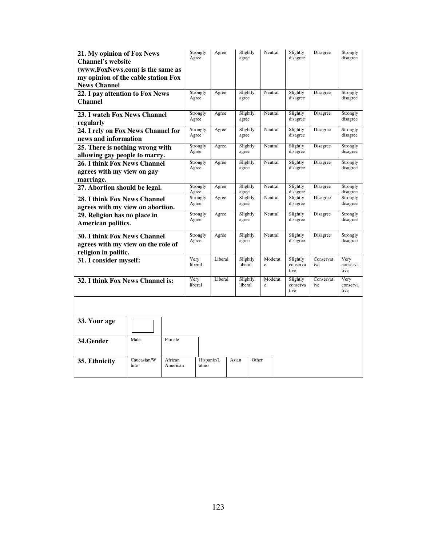| 21. My opinion of Fox News<br><b>Channel's website</b>      |                                                    | Strongly<br>Agree | Agree             | Slightly<br>agree   | Neutral              | Slightly<br>disagree         | Disagree             | Strongly<br>disagree     |
|-------------------------------------------------------------|----------------------------------------------------|-------------------|-------------------|---------------------|----------------------|------------------------------|----------------------|--------------------------|
|                                                             | (www.FoxNews.com) is the same as                   |                   |                   |                     |                      |                              |                      |                          |
| <b>News Channel</b>                                         | my opinion of the cable station Fox                |                   |                   |                     |                      |                              |                      |                          |
| 22. I pay attention to Fox News                             |                                                    | Strongly          | Agree             | Slightly            | Neutral              | Slightly                     | Disagree             | Strongly                 |
| <b>Channel</b>                                              |                                                    | Agree             |                   | agree               |                      | disagree                     |                      | disagree                 |
| 23. I watch Fox News Channel                                |                                                    | Strongly          | Agree             | Slightly            | Neutral              | Slightly                     | Disagree             | Strongly                 |
| regularly                                                   |                                                    | Agree             |                   | agree               |                      | disagree                     |                      | disagree                 |
| 24. I rely on Fox News Channel for                          | Strongly<br>Agree                                  | Agree             | Slightly<br>agree | Neutral             | Slightly<br>disagree | Disagree                     | Strongly<br>disagree |                          |
|                                                             | news and information                               |                   |                   |                     |                      |                              |                      |                          |
| 25. There is nothing wrong with                             |                                                    | Strongly<br>Agree | Agree             | Slightly<br>agree   | Neutral              | Slightly<br>disagree         | Disagree             | Strongly<br>disagree     |
| allowing gay people to marry.                               |                                                    |                   |                   |                     |                      |                              |                      |                          |
| 26. I think Fox News Channel                                |                                                    | Strongly<br>Agree | Agree             | Slightly<br>agree   | Neutral              | Slightly<br>disagree         | Disagree             | Strongly<br>disagree     |
| agrees with my view on gay                                  |                                                    |                   |                   |                     |                      |                              |                      |                          |
| marriage.<br>27. Abortion should be legal.                  |                                                    | Strongly          | Agree             | Slightly            | Neutral              | Slightly                     | Disagree             | Strongly                 |
|                                                             | Agree                                              |                   | agree             |                     | disagree             |                              | disagree             |                          |
| 28. I think Fox News Channel                                | Strongly<br>Agree                                  | Agree             | Slightly<br>agree | Neutral             | Slightly<br>disagree | Disagree                     | Strongly<br>disagree |                          |
| agrees with my view on abortion.                            | Strongly                                           |                   |                   | Neutral             |                      |                              |                      |                          |
|                                                             | 29. Religion has no place in<br>American politics. |                   | Agree             | Slightly<br>agree   |                      | Slightly<br>disagree         | Disagree             | Strongly<br>disagree     |
| <b>30. I think Fox News Channel</b><br>religion in politic. | agrees with my view on the role of                 | Strongly<br>Agree | Agree             | Slightly<br>agree   | Neutral              | Slightly<br>disagree         | Disagree             | Strongly<br>disagree     |
| 31. I consider myself:                                      |                                                    | Very<br>liberal   | Liberal           | Slightly<br>liberal | Moderat<br>e         | Slightly<br>conserva<br>tive | Conservat<br>ive     | Very<br>conserva<br>tive |
| 32. I think Fox News Channel is:                            |                                                    | Very<br>liberal   | Liberal           | Slightly<br>liberal | Moderat<br>e         | Slightly<br>conserva<br>tive | Conservat<br>ive     | Very<br>conserva<br>tive |
|                                                             |                                                    |                   |                   |                     |                      |                              |                      |                          |
| 33. Your age                                                |                                                    |                   |                   |                     |                      |                              |                      |                          |
| 34.Gender                                                   | Male<br>Female                                     |                   |                   |                     |                      |                              |                      |                          |
| 35. Ethnicity                                               | Caucasian/W<br>African<br>hite<br>American         | atino             | Hispanic/L        | Other<br>Asian      |                      |                              |                      |                          |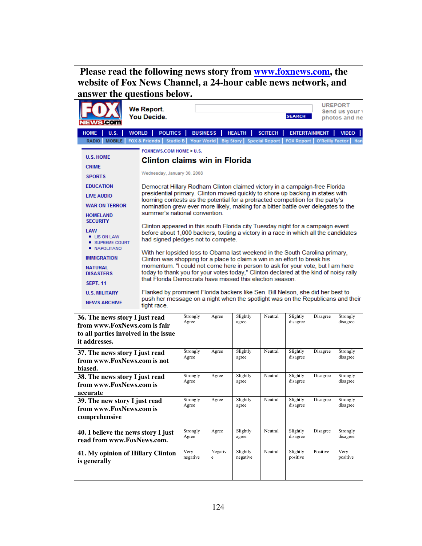| Please read the following news story from <b>www.foxnews.com</b> , the<br>website of Fox News Channel, a 24-hour cable news network, and<br>answer the questions below. |                                                                                                                                                                    |                                                                                                                           |              |                      |                |                      |                      |                                                 |  |  |
|-------------------------------------------------------------------------------------------------------------------------------------------------------------------------|--------------------------------------------------------------------------------------------------------------------------------------------------------------------|---------------------------------------------------------------------------------------------------------------------------|--------------|----------------------|----------------|----------------------|----------------------|-------------------------------------------------|--|--|
| <b>WS COM</b>                                                                                                                                                           | We Report.<br><b>You Decide.</b>                                                                                                                                   |                                                                                                                           |              |                      |                | <b>SEARCH</b>        |                      | <b>UREPORT</b><br>Send us your<br>photos and ne |  |  |
| <b>HOME</b><br>U.S.                                                                                                                                                     | <b>WORLD</b><br><b>POLITICS</b>                                                                                                                                    | <b>BUSINESS</b>                                                                                                           |              | <b>HEALTH</b>        | <b>SCITECH</b> |                      | <b>ENTERTAINMENT</b> | <b>VIDEO</b>                                    |  |  |
| RADIO                                                                                                                                                                   | MOBILE   FOX & Friends   Studio B   Your World   Big Story   Special Report   FOX Report   O'Reilly Factor   Han                                                   |                                                                                                                           |              |                      |                |                      |                      |                                                 |  |  |
|                                                                                                                                                                         | <b>FOXNEWS.COM HOME &gt; U.S.</b>                                                                                                                                  |                                                                                                                           |              |                      |                |                      |                      |                                                 |  |  |
| <b>U.S. HOME</b>                                                                                                                                                        | <b>Clinton claims win in Florida</b>                                                                                                                               |                                                                                                                           |              |                      |                |                      |                      |                                                 |  |  |
| <b>CRIME</b><br><b>SPORTS</b>                                                                                                                                           | Wednesday, January 30, 2008                                                                                                                                        |                                                                                                                           |              |                      |                |                      |                      |                                                 |  |  |
|                                                                                                                                                                         |                                                                                                                                                                    |                                                                                                                           |              |                      |                |                      |                      |                                                 |  |  |
| <b>EDUCATION</b>                                                                                                                                                        | Democrat Hillary Rodham Clinton claimed victory in a campaign-free Florida<br>presidential primary. Clinton moved quickly to shore up backing in states with       |                                                                                                                           |              |                      |                |                      |                      |                                                 |  |  |
| <b>LIVE AUDIO</b>                                                                                                                                                       | looming contests as the potential for a protracted competition for the party's                                                                                     |                                                                                                                           |              |                      |                |                      |                      |                                                 |  |  |
| <b>WAR ON TERROR</b>                                                                                                                                                    | nomination grew ever more likely, making for a bitter battle over delegates to the<br>summer's national convention.                                                |                                                                                                                           |              |                      |                |                      |                      |                                                 |  |  |
| <b>HOMELAND</b><br><b>SECURITY</b>                                                                                                                                      |                                                                                                                                                                    |                                                                                                                           |              |                      |                |                      |                      |                                                 |  |  |
| LAW                                                                                                                                                                     | Clinton appeared in this south Florida city Tuesday night for a campaign event                                                                                     |                                                                                                                           |              |                      |                |                      |                      |                                                 |  |  |
| <b>LIS ON LAW</b><br>SUPREME COURT<br><b>NAPOLITANO</b>                                                                                                                 |                                                                                                                                                                    | before about 1,000 backers, touting a victory in a race in which all the candidates<br>had signed pledges not to compete. |              |                      |                |                      |                      |                                                 |  |  |
| <b>IMMIGRATION</b>                                                                                                                                                      | With her lopsided loss to Obama last weekend in the South Carolina primary,<br>Clinton was shopping for a place to claim a win in an effort to break his           |                                                                                                                           |              |                      |                |                      |                      |                                                 |  |  |
| <b>NATURAL</b>                                                                                                                                                          | momentum. "I could not come here in person to ask for your vote, but I am here                                                                                     |                                                                                                                           |              |                      |                |                      |                      |                                                 |  |  |
| <b>DISASTERS</b>                                                                                                                                                        | today to thank you for your votes today," Clinton declared at the kind of noisy rally<br>that Florida Democrats have missed this election season.                  |                                                                                                                           |              |                      |                |                      |                      |                                                 |  |  |
| <b>SEPT. 11</b>                                                                                                                                                         |                                                                                                                                                                    |                                                                                                                           |              |                      |                |                      |                      |                                                 |  |  |
| <b>U.S. MILITARY</b>                                                                                                                                                    | Flanked by prominent Florida backers like Sen. Bill Nelson, she did her best to<br>push her message on a night when the spotlight was on the Republicans and their |                                                                                                                           |              |                      |                |                      |                      |                                                 |  |  |
| <b>NEWS ARCHIVE</b>                                                                                                                                                     | tight race.                                                                                                                                                        |                                                                                                                           |              |                      |                |                      |                      |                                                 |  |  |
| 36. The news story I just read                                                                                                                                          |                                                                                                                                                                    | Strongly                                                                                                                  | Agree        | Slightly             | Neutral        | Slightly             | Disagree             | Strongly                                        |  |  |
| from www.FoxNews.com is fair                                                                                                                                            |                                                                                                                                                                    | Agree                                                                                                                     |              | agree                |                | disagree             |                      | disagree                                        |  |  |
| to all parties involved in the issue                                                                                                                                    |                                                                                                                                                                    |                                                                                                                           |              |                      |                |                      |                      |                                                 |  |  |
| it addresses.                                                                                                                                                           |                                                                                                                                                                    |                                                                                                                           |              |                      |                |                      |                      |                                                 |  |  |
| 37. The news story I just read                                                                                                                                          |                                                                                                                                                                    | Strongly<br>Agree                                                                                                         | Agree        | Slightly<br>agree    | Neutral        | Slightly<br>disagree | Disagree             | Strongly<br>disagree                            |  |  |
| from www.FoxNews.com is not                                                                                                                                             |                                                                                                                                                                    |                                                                                                                           |              |                      |                |                      |                      |                                                 |  |  |
| biased.<br>38. The news story I just read                                                                                                                               |                                                                                                                                                                    | Strongly                                                                                                                  | Agree        | Slightly             | Neutral        | Slightly             | Disagree             | Strongly                                        |  |  |
| from www.FoxNews.com is                                                                                                                                                 |                                                                                                                                                                    | Agree                                                                                                                     |              | agree                |                | disagree             |                      | disagree                                        |  |  |
| accurate                                                                                                                                                                |                                                                                                                                                                    |                                                                                                                           |              |                      |                |                      |                      |                                                 |  |  |
| 39. The new story I just read                                                                                                                                           |                                                                                                                                                                    | Strongly<br>Agree                                                                                                         | Agree        | Slightly<br>agree    | Neutral        | Slightly<br>disagree | Disagree             | Strongly<br>disagree                            |  |  |
| from www.FoxNews.com is                                                                                                                                                 |                                                                                                                                                                    |                                                                                                                           |              |                      |                |                      |                      |                                                 |  |  |
| comprehensive                                                                                                                                                           |                                                                                                                                                                    |                                                                                                                           |              |                      |                |                      |                      |                                                 |  |  |
| 40. I believe the news story I just                                                                                                                                     |                                                                                                                                                                    | Strongly                                                                                                                  | Agree        | Slightly             | Neutral        | Slightly             | Disagree             | Strongly                                        |  |  |
| read from www.FoxNews.com.                                                                                                                                              |                                                                                                                                                                    | Agree                                                                                                                     |              | agree                |                | disagree             |                      | disagree                                        |  |  |
| 41. My opinion of Hillary Clinton                                                                                                                                       |                                                                                                                                                                    | Very<br>negative                                                                                                          | Negativ<br>e | Slightly<br>negative | Neutral        | Slightly<br>positive | Positive             | Very<br>positive                                |  |  |
| is generally                                                                                                                                                            |                                                                                                                                                                    |                                                                                                                           |              |                      |                |                      |                      |                                                 |  |  |
|                                                                                                                                                                         |                                                                                                                                                                    |                                                                                                                           |              |                      |                |                      |                      |                                                 |  |  |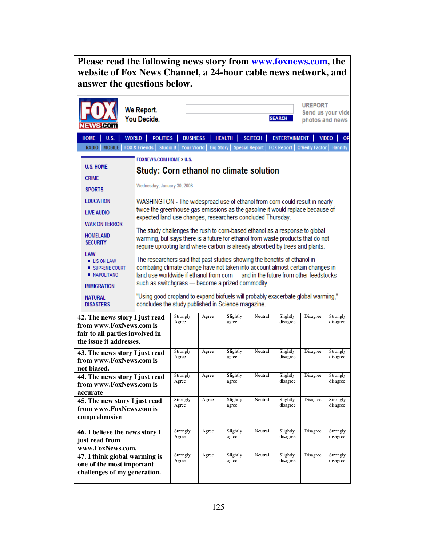**Please read the following news story from www.foxnews.com, the website of Fox News Channel, a 24-hour cable news network, and answer the questions below.**

|                                                                                            | ws com                                                                                                                                                                                                                                                                                         | We Report.<br>You Decide.                                                                                                                                                                                                                                                                                                                                                                                                                                                                                                                                                                                                                                                                                                                                                                                                                                                                                                                                                                                                    |                     |       |                                 |                | <b>SEARCH</b>        | <b>UREPORT</b><br>photos and news | Send us your vide         |
|--------------------------------------------------------------------------------------------|------------------------------------------------------------------------------------------------------------------------------------------------------------------------------------------------------------------------------------------------------------------------------------------------|------------------------------------------------------------------------------------------------------------------------------------------------------------------------------------------------------------------------------------------------------------------------------------------------------------------------------------------------------------------------------------------------------------------------------------------------------------------------------------------------------------------------------------------------------------------------------------------------------------------------------------------------------------------------------------------------------------------------------------------------------------------------------------------------------------------------------------------------------------------------------------------------------------------------------------------------------------------------------------------------------------------------------|---------------------|-------|---------------------------------|----------------|----------------------|-----------------------------------|---------------------------|
|                                                                                            | <b>HOME</b><br><b>U.S.</b>                                                                                                                                                                                                                                                                     | <b>WORLD</b><br><b>POLITICS</b>                                                                                                                                                                                                                                                                                                                                                                                                                                                                                                                                                                                                                                                                                                                                                                                                                                                                                                                                                                                              | <b>BUSINESS</b>     |       | <b>HEALTH</b>                   | <b>SCITECH</b> | <b>ENTERTAINMENT</b> |                                   | <b>VIDEO</b><br><b>OF</b> |
|                                                                                            | <b>MOBILE</b><br><b>RADIO</b><br><b>U.S. HOME</b><br><b>CRIME</b><br><b>SPORTS</b><br><b>EDUCATION</b><br><b>LIVE AUDIO</b><br><b>WAR ON TERROR</b><br><b>HOMELAND</b><br><b>SECURITY</b><br>LAW<br>■ LIS ON LAW<br>SUPREME COURT<br><b>NAPOLITANO</b><br><b>IMMIGRATION</b><br><b>NATURAL</b> | <b>FOX &amp; Friends</b><br><b>FOXNEWS.COM HOME &gt; U.S.</b><br><b>Study: Corn ethanol no climate solution</b><br>Wednesday, January 30, 2008<br>WASHINGTON - The widespread use of ethanol from corn could result in nearly<br>twice the greenhouse gas emissions as the gasoline it would replace because of<br>expected land-use changes, researchers concluded Thursday.<br>The study challenges the rush to corn-based ethanol as a response to global<br>warming, but says there is a future for ethanol from waste products that do not<br>require uprooting land where carbon is already absorbed by trees and plants.<br>The researchers said that past studies showing the benefits of ethanol in<br>combating climate change have not taken into account almost certain changes in<br>land use worldwide if ethanol from corn - and in the future from other feedstocks<br>such as switchgrass - become a prized commodity.<br>"Using good cropland to expand biofuels will probably exacerbate global warming," | Studio B Your World |       | <b>Big Story</b> Special Report |                | <b>FOX Report</b>    | <b>O'Reilly Factor</b>            | <b>Hannity</b>            |
|                                                                                            | <b>DISASTERS</b><br>42. The news story I just read<br>from www.FoxNews.com is<br>fair to all parties involved in<br>the issue it addresses.                                                                                                                                                    | concludes the study published in Science magazine.                                                                                                                                                                                                                                                                                                                                                                                                                                                                                                                                                                                                                                                                                                                                                                                                                                                                                                                                                                           | Strongly<br>Agree   | Agree | Slightly<br>agree               | Neutral        | Slightly<br>disagree | Disagree                          | Strongly<br>disagree      |
|                                                                                            | 43. The news story I just read<br>from www.FoxNews.com is<br>not biased.                                                                                                                                                                                                                       |                                                                                                                                                                                                                                                                                                                                                                                                                                                                                                                                                                                                                                                                                                                                                                                                                                                                                                                                                                                                                              | Strongly<br>Agree   | Agree | Slightly<br>agree               | Neutral        | Slightly<br>disagree | Disagree                          | Strongly<br>disagree      |
|                                                                                            | 44. The news story I just read<br>from www.FoxNews.com is<br>accurate                                                                                                                                                                                                                          |                                                                                                                                                                                                                                                                                                                                                                                                                                                                                                                                                                                                                                                                                                                                                                                                                                                                                                                                                                                                                              | Strongly<br>Agree   | Agree | Slightly<br>agree               | Neutral        | Slightly<br>disagree | Disagree                          | Strongly<br>disagree      |
|                                                                                            | 45. The new story I just read<br>from www.FoxNews.com is<br>comprehensive                                                                                                                                                                                                                      |                                                                                                                                                                                                                                                                                                                                                                                                                                                                                                                                                                                                                                                                                                                                                                                                                                                                                                                                                                                                                              | Strongly<br>Agree   | Agree | Slightly<br>agree               | Neutral        | Slightly<br>disagree | Disagree                          | Strongly<br>disagree      |
| Strongly<br>46. I believe the news story I<br>Agree<br>just read from<br>www.FoxNews.com.  |                                                                                                                                                                                                                                                                                                |                                                                                                                                                                                                                                                                                                                                                                                                                                                                                                                                                                                                                                                                                                                                                                                                                                                                                                                                                                                                                              |                     | Agree | Slightly<br>agree               | Neutral        | Slightly<br>disagree | Disagree                          | Strongly<br>disagree      |
| 47. I think global warming is<br>one of the most important<br>challenges of my generation. |                                                                                                                                                                                                                                                                                                |                                                                                                                                                                                                                                                                                                                                                                                                                                                                                                                                                                                                                                                                                                                                                                                                                                                                                                                                                                                                                              | Strongly<br>Agree   | Agree | Slightly<br>agree               | Neutral        | Slightly<br>disagree | Disagree                          | Strongly<br>disagree      |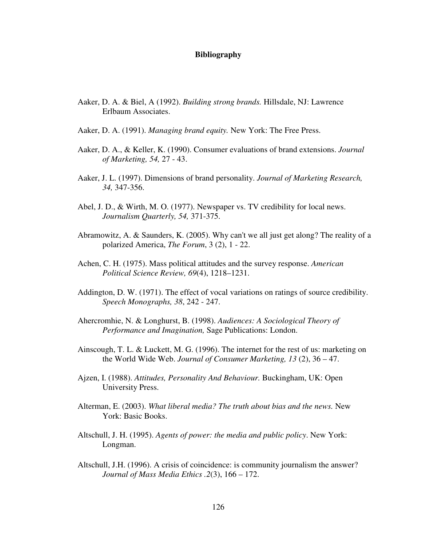#### **Bibliography**

- Aaker, D. A. & Biel, A (1992). *Building strong brands.* Hillsdale, NJ: Lawrence Erlbaum Associates.
- Aaker, D. A. (1991). *Managing brand equity.* New York: The Free Press.
- Aaker, D. A., & Keller, K. (1990). Consumer evaluations of brand extensions. *Journal of Marketing, 54,* 27 - 43.
- Aaker, J. L. (1997). Dimensions of brand personality. *Journal of Marketing Research, 34,* 347-356.
- Abel, J. D., & Wirth, M. O. (1977). Newspaper vs. TV credibility for local news. *Journalism Quarterly, 54,* 371-375.
- Abramowitz, A. & Saunders, K. (2005). Why can't we all just get along? The reality of a polarized America, *The Forum*, 3 (2), 1 - 22.
- Achen, C. H. (1975). Mass political attitudes and the survey response. *American Political Science Review, 69*(4), 1218–1231.
- Addington, D. W. (1971). The effect of vocal variations on ratings of source credibility. *Speech Monographs, 38*, 242 - 247.
- Ahercromhie, N. & Longhurst, B. (1998). *Audiences: A Sociological Theory of Performance and Imagination,* Sage Publications: London.
- Ainscough, T. L. & Luckett, M. G. (1996). The internet for the rest of us: marketing on the World Wide Web. *Journal of Consumer Marketing, 13* (2), 36 – 47.
- Ajzen, I. (1988). *Attitudes, Personality And Behaviour.* Buckingham, UK: Open University Press.
- Alterman, E. (2003). *What liberal media? The truth about bias and the news.* New York: Basic Books.
- Altschull, J. H. (1995). *Agents of power: the media and public policy*. New York: Longman.
- Altschull, J.H. (1996). A crisis of coincidence: is community journalism the answer? *Journal of Mass Media Ethics .2*(3), 166 – 172.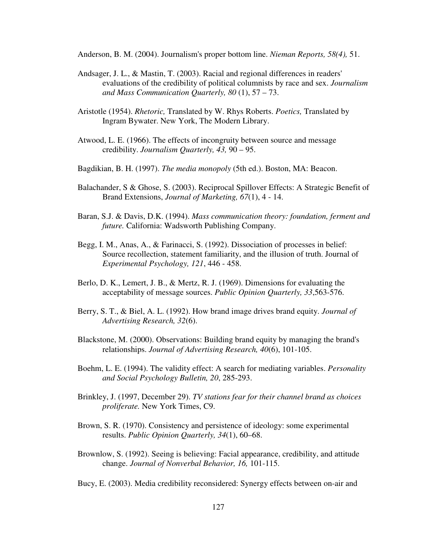Anderson, B. M. (2004). Journalism's proper bottom line. *Nieman Reports, 58(4),* 51.

- Andsager, J. L., & Mastin, T. (2003). Racial and regional differences in readers' evaluations of the credibility of political columnists by race and sex. *Journalism and Mass Communication Quarterly, 80* (1), 57 – 73.
- Aristotle (1954). *Rhetoric,* Translated by W. Rhys Roberts. *Poetics,* Translated by Ingram Bywater. New York, The Modern Library.
- Atwood, L. E. (1966). The effects of incongruity between source and message credibility. *Journalism Quarterly, 43,* 90 – 95.
- Bagdikian, B. H. (1997). *The media monopoly* (5th ed.). Boston, MA: Beacon.
- Balachander, S & Ghose, S. (2003). Reciprocal Spillover Effects: A Strategic Benefit of Brand Extensions, *Journal of Marketing, 67*(1), 4 - 14.
- Baran, S.J. & Davis, D.K. (1994). *Mass communication theory: foundation, ferment and future.* California: Wadsworth Publishing Company.
- Begg, I. M., Anas, A., & Farinacci, S. (1992). Dissociation of processes in belief: Source recollection, statement familiarity, and the illusion of truth. Journal of *Experimental Psychology, 121*, 446 - 458.
- Berlo, D. K., Lemert, J. B., & Mertz, R. J. (1969). Dimensions for evaluating the acceptability of message sources. *Public Opinion Quarterly, 33*,563-576.
- Berry, S. T., & Biel, A. L. (1992). How brand image drives brand equity. *Journal of Advertising Research, 32*(6).
- Blackstone, M. (2000). Observations: Building brand equity by managing the brand's relationships. *Journal of Advertising Research, 40*(6), 101-105.
- Boehm, L. E. (1994). The validity effect: A search for mediating variables. *Personality and Social Psychology Bulletin, 20*, 285-293.
- Brinkley, J. (1997, December 29). *TV stations fear for their channel brand as choices proliferate.* New York Times, C9.
- Brown, S. R. (1970). Consistency and persistence of ideology: some experimental results. *Public Opinion Quarterly, 34*(1), 60–68.
- Brownlow, S. (1992). Seeing is believing: Facial appearance, credibility, and attitude change. *Journal of Nonverbal Behavior, 16,* 101-115.
- Bucy, E. (2003). Media credibility reconsidered: Synergy effects between on-air and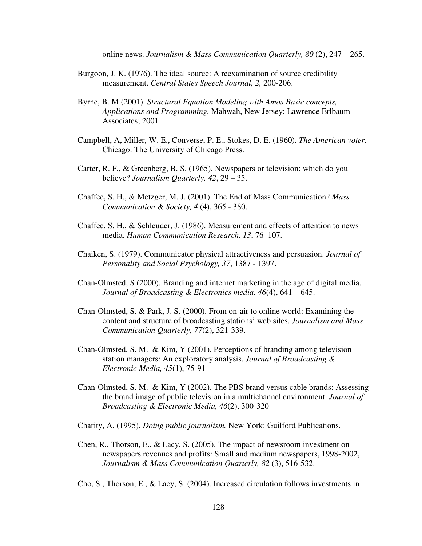online news. *Journalism & Mass Communication Quarterly, 80* (2), 247 – 265.

- Burgoon, J. K. (1976). The ideal source: A reexamination of source credibility measurement. *Central States Speech Journal, 2,* 200-206.
- Byrne, B. M (2001). *Structural Equation Modeling with Amos Basic concepts, Applications and Programming.* Mahwah, New Jersey: Lawrence Erlbaum Associates; 2001
- Campbell, A, Miller, W. E., Converse, P. E., Stokes, D. E. (1960). *The American voter.* Chicago: The University of Chicago Press.
- Carter, R. F., & Greenberg, B. S. (1965). Newspapers or television: which do you believe? *Journalism Quarterly, 42*, 29 – 35.
- Chaffee, S. H., & Metzger, M. J. (2001). The End of Mass Communication? *Mass Communication & Society, 4* (4), 365 - 380.
- Chaffee, S. H., & Schleuder, J. (1986). Measurement and effects of attention to news media. *Human Communication Research, 13*, 76–107.
- Chaiken, S. (1979). Communicator physical attractiveness and persuasion. *Journal of Personality and Social Psychology, 37*, 1387 - 1397.
- Chan-Olmsted, S (2000). Branding and internet marketing in the age of digital media. *Journal of Broadcasting & Electronics media. 46*(4), 641 – 645.
- Chan-Olmsted, S. & Park, J. S. (2000). From on-air to online world: Examining the content and structure of broadcasting stations' web sites. *Journalism and Mass Communication Quarterly, 77*(2), 321-339.
- Chan-Olmsted, S. M. & Kim, Y (2001). Perceptions of branding among television station managers: An exploratory analysis. *Journal of Broadcasting & Electronic Media, 45*(1), 75-91
- Chan-Olmsted, S. M. & Kim, Y (2002). The PBS brand versus cable brands: Assessing the brand image of public television in a multichannel environment. *Journal of Broadcasting & Electronic Media, 46*(2), 300-320

Charity, A. (1995). *Doing public journalism.* New York: Guilford Publications.

Chen, R., Thorson, E., & Lacy, S. (2005). The impact of newsroom investment on newspapers revenues and profits: Small and medium newspapers, 1998-2002, *Journalism & Mass Communication Quarterly, 82* (3), 516-532.

Cho, S., Thorson, E., & Lacy, S. (2004). Increased circulation follows investments in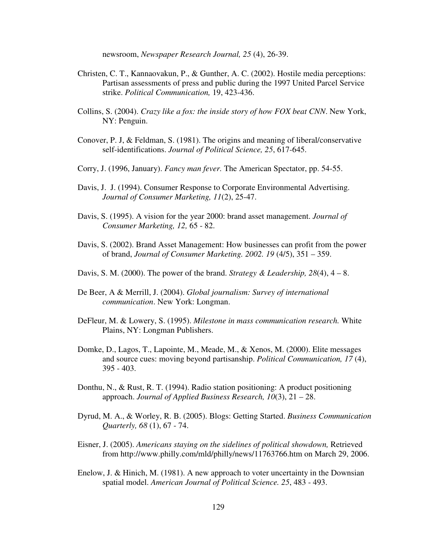newsroom, *Newspaper Research Journal, 25* (4), 26-39.

- Christen, C. T., Kannaovakun, P., & Gunther, A. C. (2002). Hostile media perceptions: Partisan assessments of press and public during the 1997 United Parcel Service strike. *Political Communication,* 19, 423-436.
- Collins, S. (2004). *Crazy like a fox: the inside story of how FOX beat CNN*. New York, NY: Penguin.
- Conover, P. J, & Feldman, S. (1981). The origins and meaning of liberal/conservative self-identifications. *Journal of Political Science, 25*, 617-645.
- Corry, J. (1996, January). *Fancy man fever.* The American Spectator, pp. 54-55.
- Davis, J. J. (1994). Consumer Response to Corporate Environmental Advertising. *Journal of Consumer Marketing, 11*(2), 25-47.
- Davis, S. (1995). A vision for the year 2000: brand asset management. *Journal of Consumer Marketing, 12,* 65 - 82.
- Davis, S. (2002). Brand Asset Management: How businesses can profit from the power of brand, *Journal of Consumer Marketing. 2002. 19* (4/5), 351 – 359.
- Davis, S. M. (2000). The power of the brand. *Strategy & Leadership*,  $28(4)$ ,  $4-8$ .
- De Beer, A & Merrill, J. (2004). *Global journalism: Survey of international communication*. New York: Longman.
- DeFleur, M. & Lowery, S. (1995). *Milestone in mass communication research.* White Plains, NY: Longman Publishers.
- Domke, D., Lagos, T., Lapointe, M., Meade, M., & Xenos, M. (2000). Elite messages and source cues: moving beyond partisanship. *Political Communication, 17* (4), 395 - 403.
- Donthu, N., & Rust, R. T. (1994). Radio station positioning: A product positioning approach. *Journal of Applied Business Research, 10*(3), 21 – 28.
- Dyrud, M. A., & Worley, R. B. (2005). Blogs: Getting Started. *Business Communication Quarterly, 68* (1), 67 - 74.
- Eisner, J. (2005). *Americans staying on the sidelines of political showdown,* Retrieved from http://www.philly.com/mld/philly/news/11763766.htm on March 29, 2006.
- Enelow, J. & Hinich, M. (1981). A new approach to voter uncertainty in the Downsian spatial model. *American Journal of Political Science. 25*, 483 - 493.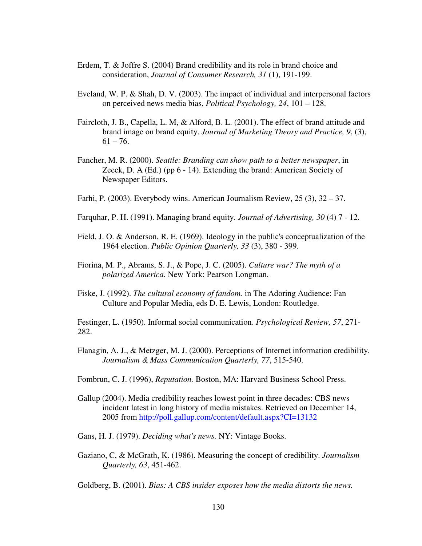- Erdem, T. & Joffre S. (2004) Brand credibility and its role in brand choice and consideration, *Journal of Consumer Research, 31* (1), 191-199.
- Eveland, W. P. & Shah, D. V. (2003). The impact of individual and interpersonal factors on perceived news media bias, *Political Psychology, 24*, 101 – 128.
- Faircloth, J. B., Capella, L. M, & Alford, B. L. (2001). The effect of brand attitude and brand image on brand equity. *Journal of Marketing Theory and Practice, 9*, (3),  $61 - 76.$
- Fancher, M. R. (2000). *Seattle: Branding can show path to a better newspaper*, in Zeeck, D. A (Ed.) (pp 6 - 14). Extending the brand: American Society of Newspaper Editors.
- Farhi, P. (2003). Everybody wins. American Journalism Review, 25 (3), 32 37.
- Farquhar, P. H. (1991). Managing brand equity. *Journal of Advertising, 30* (4) 7 12.
- Field, J. O. & Anderson, R. E. (1969). Ideology in the public's conceptualization of the 1964 election. *Public Opinion Quarterly, 33* (3), 380 - 399.
- Fiorina, M. P., Abrams, S. J., & Pope, J. C. (2005). *Culture war? The myth of a polarized America.* New York: Pearson Longman.
- Fiske, J. (1992). *The cultural economy of fandom.* in The Adoring Audience: Fan Culture and Popular Media, eds D. E. Lewis, London: Routledge.

Festinger, L. (1950). Informal social communication. *Psychological Review, 57*, 271- 282.

- Flanagin, A. J., & Metzger, M. J. (2000). Perceptions of Internet information credibility. *Journalism & Mass Communication Quarterly, 77*, 515-540.
- Fombrun, C. J. (1996), *Reputation.* Boston, MA: Harvard Business School Press.
- Gallup (2004). Media credibility reaches lowest point in three decades: CBS news incident latest in long history of media mistakes. Retrieved on December 14, 2005 from http://poll.gallup.com/content/default.aspx?CI=13132
- Gans, H. J. (1979). *Deciding what's news.* NY: Vintage Books.
- Gaziano, C, & McGrath, K. (1986). Measuring the concept of credibility. *Journalism Quarterly, 63*, 451-462.
- Goldberg, B. (2001). *Bias: A CBS insider exposes how the media distorts the news.*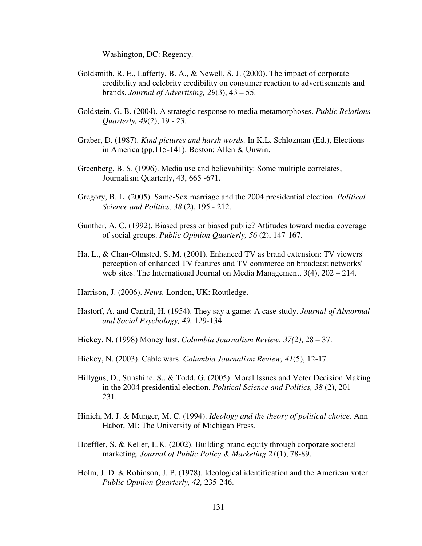Washington, DC: Regency.

- Goldsmith, R. E., Lafferty, B. A., & Newell, S. J. (2000). The impact of corporate credibility and celebrity credibility on consumer reaction to advertisements and brands. *Journal of Advertising, 29*(3), 43 – 55.
- Goldstein, G. B. (2004). A strategic response to media metamorphoses. *Public Relations Quarterly, 49*(2), 19 - 23.
- Graber, D. (1987). *Kind pictures and harsh words.* In K.L. Schlozman (Ed.), Elections in America (pp.115-141). Boston: Allen & Unwin.
- Greenberg, B. S. (1996). Media use and believability: Some multiple correlates, Journalism Quarterly, 43, 665 -671.
- Gregory, B. L. (2005). Same-Sex marriage and the 2004 presidential election. *Political Science and Politics, 38* (2), 195 - 212.
- Gunther, A. C. (1992). Biased press or biased public? Attitudes toward media coverage of social groups. *Public Opinion Quarterly, 56* (2), 147-167.
- Ha, L., & Chan-Olmsted, S. M. (2001). Enhanced TV as brand extension: TV viewers' perception of enhanced TV features and TV commerce on broadcast networks' web sites. The International Journal on Media Management, 3(4), 202 – 214.
- Harrison, J. (2006). *News.* London, UK: Routledge.
- Hastorf, A. and Cantril, H. (1954). They say a game: A case study. *Journal of Abnormal and Social Psychology, 49,* 129-134.
- Hickey, N. (1998) Money lust. *Columbia Journalism Review, 37(2)*, 28 37.
- Hickey, N. (2003). Cable wars. *Columbia Journalism Review, 41*(5), 12-17.
- Hillygus, D., Sunshine, S., & Todd, G. (2005). Moral Issues and Voter Decision Making in the 2004 presidential election. *Political Science and Politics, 38* (2), 201 - 231.
- Hinich, M. J. & Munger, M. C. (1994). *Ideology and the theory of political choice.* Ann Habor, MI: The University of Michigan Press.
- Hoeffler, S. & Keller, L.K. (2002). Building brand equity through corporate societal marketing. *Journal of Public Policy & Marketing 21*(1), 78-89.
- Holm, J. D. & Robinson, J. P. (1978). Ideological identification and the American voter. *Public Opinion Quarterly, 42,* 235-246.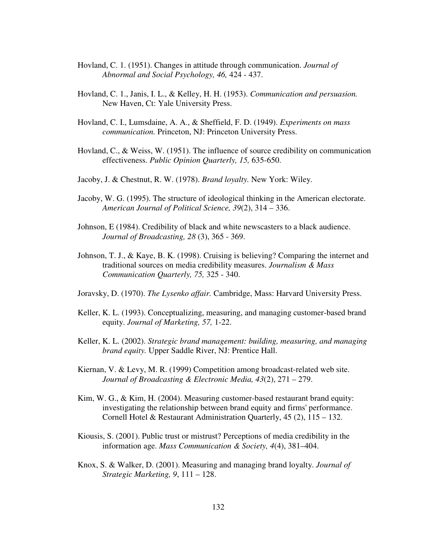- Hovland, C. 1. (1951). Changes in attitude through communication. *Journal of Abnormal and Social Psychology, 46,* 424 - 437.
- Hovland, C. 1., Janis, I. L., & Kelley, H. H. (1953). *Communication and persuasion.* New Haven, Ct: Yale University Press.
- Hovland, C. I., Lumsdaine, A. A., & Sheffield, F. D. (1949). *Experiments on mass communication.* Princeton, NJ: Princeton University Press.
- Hovland, C., & Weiss, W. (1951). The influence of source credibility on communication effectiveness. *Public Opinion Quarterly, 15,* 635-650.
- Jacoby, J. & Chestnut, R. W. (1978). *Brand loyalty.* New York: Wiley.
- Jacoby, W. G. (1995). The structure of ideological thinking in the American electorate. *American Journal of Political Science, 39*(2), 314 – 336.
- Johnson, E (1984). Credibility of black and white newscasters to a black audience. *Journal of Broadcasting, 28* (3), 365 - 369.
- Johnson, T. J., & Kaye, B. K. (1998). Cruising is believing? Comparing the internet and traditional sources on media credibility measures. *Journalism & Mass Communication Quarterly, 75,* 325 - 340.
- Joravsky, D. (1970). *The Lysenko affair.* Cambridge, Mass: Harvard University Press.
- Keller, K. L. (1993). Conceptualizing, measuring, and managing customer-based brand equity. *Journal of Marketing, 57,* 1-22.
- Keller, K. L. (2002). *Strategic brand management: building, measuring, and managing brand equity.* Upper Saddle River, NJ: Prentice Hall.
- Kiernan, V. & Levy, M. R. (1999) Competition among broadcast-related web site. *Journal of Broadcasting & Electronic Media, 43*(2), 271 – 279.
- Kim, W. G., & Kim, H. (2004). Measuring customer-based restaurant brand equity: investigating the relationship between brand equity and firms' performance. Cornell Hotel & Restaurant Administration Quarterly, 45 (2), 115 – 132.
- Kiousis, S. (2001). Public trust or mistrust? Perceptions of media credibility in the information age. *Mass Communication & Society, 4*(4), 381–404.
- Knox, S. & Walker, D. (2001). Measuring and managing brand loyalty. *Journal of Strategic Marketing, 9*, 111 – 128.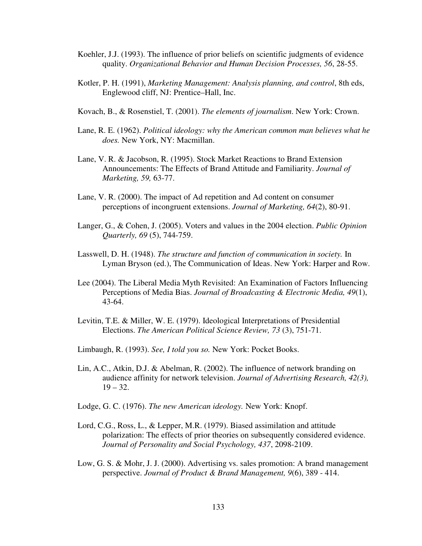- Koehler, J.J. (1993). The influence of prior beliefs on scientific judgments of evidence quality. *Organizational Behavior and Human Decision Processes, 56*, 28-55.
- Kotler, P. H. (1991), *Marketing Management: Analysis planning, and control*, 8th eds, Englewood cliff, NJ: Prentice–Hall, Inc.
- Kovach, B., & Rosenstiel, T. (2001). *The elements of journalism*. New York: Crown.
- Lane, R. E. (1962). *Political ideology: why the American common man believes what he does.* New York, NY: Macmillan.
- Lane, V. R. & Jacobson, R. (1995). Stock Market Reactions to Brand Extension Announcements: The Effects of Brand Attitude and Familiarity. *Journal of Marketing, 59,* 63-77.
- Lane, V. R. (2000). The impact of Ad repetition and Ad content on consumer perceptions of incongruent extensions. *Journal of Marketing, 64*(2), 80-91.
- Langer, G., & Cohen, J. (2005). Voters and values in the 2004 election. *Public Opinion Quarterly, 69* (5), 744-759.
- Lasswell, D. H. (1948). *The structure and function of communication in society.* In Lyman Bryson (ed.), The Communication of Ideas. New York: Harper and Row.
- Lee (2004). The Liberal Media Myth Revisited: An Examination of Factors Influencing Perceptions of Media Bias. *Journal of Broadcasting & Electronic Media, 49*(1), 43-64.
- Levitin, T.E. & Miller, W. E. (1979). Ideological Interpretations of Presidential Elections. *The American Political Science Review, 73* (3), 751-71.
- Limbaugh, R. (1993). *See, I told you so.* New York: Pocket Books.
- Lin, A.C., Atkin, D.J. & Abelman, R. (2002). The influence of network branding on audience affinity for network television. *Journal of Advertising Research, 42(3),*  $19 - 32.$
- Lodge, G. C. (1976). *The new American ideology.* New York: Knopf.
- Lord, C.G., Ross, L., & Lepper, M.R. (1979). Biased assimilation and attitude polarization: The effects of prior theories on subsequently considered evidence. *Journal of Personality and Social Psychology, 437*, 2098-2109.
- Low, G. S. & Mohr, J. J. (2000). Advertising vs. sales promotion: A brand management perspective. *Journal of Product & Brand Management, 9*(6), 389 - 414.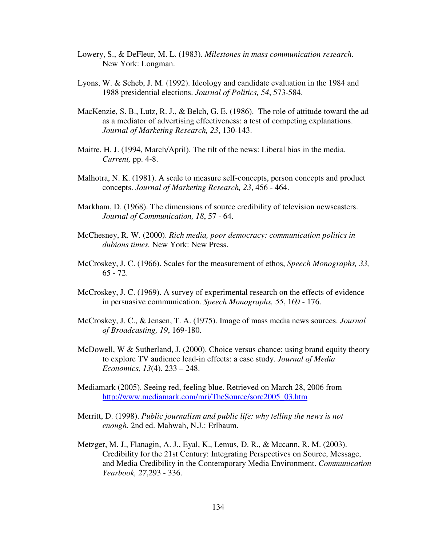- Lowery, S., & DeFleur, M. L. (1983). *Milestones in mass communication research.* New York: Longman.
- Lyons, W. & Scheb, J. M. (1992). Ideology and candidate evaluation in the 1984 and 1988 presidential elections. *Journal of Politics, 54*, 573-584.
- MacKenzie, S. B., Lutz, R. J., & Belch, G. E. (1986). The role of attitude toward the ad as a mediator of advertising effectiveness: a test of competing explanations. *Journal of Marketing Research, 23*, 130-143.
- Maitre, H. J. (1994, March/April). The tilt of the news: Liberal bias in the media. *Current,* pp. 4-8.
- Malhotra, N. K. (1981). A scale to measure self-concepts, person concepts and product concepts. *Journal of Marketing Research, 23*, 456 - 464.
- Markham, D. (1968). The dimensions of source credibility of television newscasters. *Journal of Communication, 18*, 57 - 64.
- McChesney, R. W. (2000). *Rich media, poor democracy: communication politics in dubious times.* New York: New Press.
- McCroskey, J. C. (1966). Scales for the measurement of ethos, *Speech Monographs, 33,* 65 - 72.
- McCroskey, J. C. (1969). A survey of experimental research on the effects of evidence in persuasive communication. *Speech Monographs, 55*, 169 - 176.
- McCroskey, J. C., & Jensen, T. A. (1975). Image of mass media news sources. *Journal of Broadcasting, 19*, 169-180.
- McDowell, W & Sutherland, J. (2000). Choice versus chance: using brand equity theory to explore TV audience lead-in effects: a case study. *Journal of Media Economics, 13*(4). 233 – 248.
- Mediamark (2005). Seeing red, feeling blue. Retrieved on March 28, 2006 from http://www.mediamark.com/mri/TheSource/sorc2005\_03.htm
- Merritt, D. (1998). *Public journalism and public life: why telling the news is not enough.* 2nd ed. Mahwah, N.J.: Erlbaum.
- Metzger, M. J., Flanagin, A. J., Eyal, K., Lemus, D. R., & Mccann, R. M. (2003). Credibility for the 21st Century: Integrating Perspectives on Source, Message, and Media Credibility in the Contemporary Media Environment. *Communication Yearbook, 27*,293 - 336.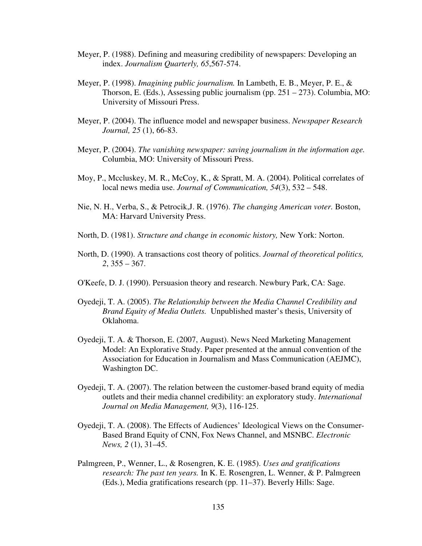- Meyer, P. (1988). Defining and measuring credibility of newspapers: Developing an index. *Journalism Quarterly, 65*,567-574.
- Meyer, P. (1998). *Imagining public journalism.* In Lambeth, E. B., Meyer, P. E., & Thorson, E. (Eds.), Assessing public journalism (pp. 251 – 273). Columbia, MO: University of Missouri Press.
- Meyer, P. (2004). The influence model and newspaper business. *Newspaper Research Journal, 25* (1), 66-83.
- Meyer, P. (2004). *The vanishing newspaper: saving journalism in the information age.* Columbia, MO: University of Missouri Press.
- Moy, P., Mccluskey, M. R., McCoy, K., & Spratt, M. A. (2004). Political correlates of local news media use. *Journal of Communication, 54*(3), 532 – 548.
- Nie, N. H., Verba, S., & Petrocik,J. R. (1976). *The changing American voter.* Boston, MA: Harvard University Press.
- North, D. (1981). *Structure and change in economic history,* New York: Norton.
- North, D. (1990). A transactions cost theory of politics. *Journal of theoretical politics, 2*, 355 – 367.
- O'Keefe, D. J. (1990). Persuasion theory and research. Newbury Park, CA: Sage.
- Oyedeji, T. A. (2005). *The Relationship between the Media Channel Credibility and Brand Equity of Media Outlets.* Unpublished master's thesis, University of Oklahoma.
- Oyedeji, T. A. & Thorson, E. (2007, August). News Need Marketing Management Model: An Explorative Study. Paper presented at the annual convention of the Association for Education in Journalism and Mass Communication (AEJMC), Washington DC.
- Oyedeji, T. A. (2007). The relation between the customer-based brand equity of media outlets and their media channel credibility: an exploratory study. *International Journal on Media Management, 9*(3), 116-125.
- Oyedeji, T. A. (2008). The Effects of Audiences' Ideological Views on the Consumer-Based Brand Equity of CNN, Fox News Channel, and MSNBC. *Electronic News, 2* (1), 31–45.
- Palmgreen, P., Wenner, L., & Rosengren, K. E. (1985). *Uses and gratifications research: The past ten years.* In K. E. Rosengren, L. Wenner, & P. Palmgreen (Eds.), Media gratifications research (pp. 11–37). Beverly Hills: Sage.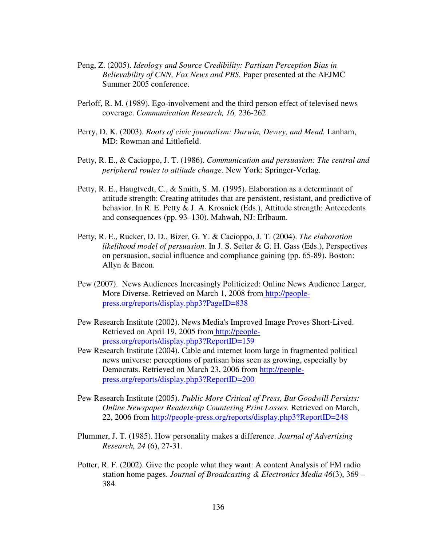- Peng, Z. (2005). *Ideology and Source Credibility: Partisan Perception Bias in Believability of CNN, Fox News and PBS.* Paper presented at the AEJMC Summer 2005 conference.
- Perloff, R. M. (1989). Ego-involvement and the third person effect of televised news coverage. *Communication Research, 16,* 236-262.
- Perry, D. K. (2003). *Roots of civic journalism: Darwin, Dewey, and Mead.* Lanham, MD: Rowman and Littlefield.
- Petty, R. E., & Cacioppo, J. T. (1986). *Communication and persuasion: The central and peripheral routes to attitude change.* New York: Springer-Verlag.
- Petty, R. E., Haugtvedt, C., & Smith, S. M. (1995). Elaboration as a determinant of attitude strength: Creating attitudes that are persistent, resistant, and predictive of behavior. In R. E. Petty & J. A. Krosnick (Eds.), Attitude strength: Antecedents and consequences (pp. 93–130). Mahwah, NJ: Erlbaum.
- Petty, R. E., Rucker, D. D., Bizer, G. Y. & Cacioppo, J. T. (2004). *The elaboration likelihood model of persuasion.* In J. S. Seiter & G. H. Gass (Eds.), Perspectives on persuasion, social influence and compliance gaining (pp. 65-89). Boston: Allyn & Bacon.
- Pew (2007). News Audiences Increasingly Politicized: Online News Audience Larger, More Diverse. Retrieved on March 1, 2008 from http://peoplepress.org/reports/display.php3?PageID=838
- Pew Research Institute (2002). News Media's Improved Image Proves Short-Lived. Retrieved on April 19, 2005 from http://peoplepress.org/reports/display.php3?ReportID=159
- Pew Research Institute (2004). Cable and internet loom large in fragmented political news universe: perceptions of partisan bias seen as growing, especially by Democrats. Retrieved on March 23, 2006 from http://peoplepress.org/reports/display.php3?ReportID=200
- Pew Research Institute (2005). *Public More Critical of Press, But Goodwill Persists: Online Newspaper Readership Countering Print Losses.* Retrieved on March, 22, 2006 from http://people-press.org/reports/display.php3?ReportID=248
- Plummer, J. T. (1985). How personality makes a difference. *Journal of Advertising Research, 24* (6), 27-31.
- Potter, R. F. (2002). Give the people what they want: A content Analysis of FM radio station home pages. *Journal of Broadcasting & Electronics Media 46*(3), 369 – 384.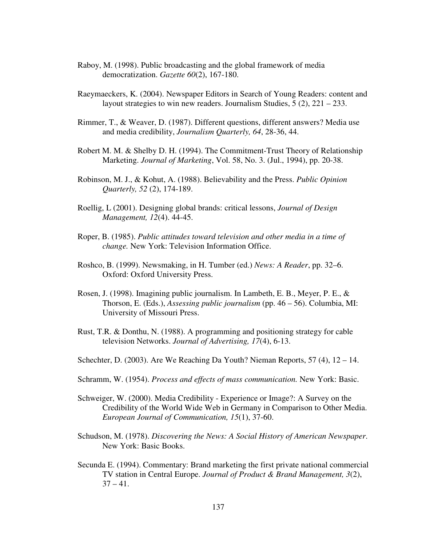- Raboy, M. (1998). Public broadcasting and the global framework of media democratization. *Gazette 60*(2), 167-180.
- Raeymaeckers, K. (2004). Newspaper Editors in Search of Young Readers: content and layout strategies to win new readers. Journalism Studies, 5 (2), 221 – 233.
- Rimmer, T., & Weaver, D. (1987). Different questions, different answers? Media use and media credibility, *Journalism Quarterly, 64*, 28-36, 44.
- Robert M. M. & Shelby D. H. (1994). The Commitment-Trust Theory of Relationship Marketing. *Journal of Marketing*, Vol. 58, No. 3. (Jul., 1994), pp. 20-38.
- Robinson, M. J., & Kohut, A. (1988). Believability and the Press. *Public Opinion Quarterly, 52* (2), 174-189.
- Roellig, L (2001). Designing global brands: critical lessons, *Journal of Design Management, 12*(4). 44-45.
- Roper, B. (1985). *Public attitudes toward television and other media in a time of change.* New York: Television Information Office.
- Roshco, B. (1999). Newsmaking, in H. Tumber (ed.) *News: A Reader*, pp. 32–6. Oxford: Oxford University Press.
- Rosen, J. (1998). Imagining public journalism. In Lambeth, E. B., Meyer, P. E., & Thorson, E. (Eds.), *Assessing public journalism* (pp. 46 – 56). Columbia, MI: University of Missouri Press.
- Rust, T.R. & Donthu, N. (1988). A programming and positioning strategy for cable television Networks. *Journal of Advertising, 17*(4), 6-13.
- Schechter, D. (2003). Are We Reaching Da Youth? Nieman Reports, 57 (4), 12 14.
- Schramm, W. (1954). *Process and effects of mass communication.* New York: Basic.
- Schweiger, W. (2000). Media Credibility Experience or Image?: A Survey on the Credibility of the World Wide Web in Germany in Comparison to Other Media. *European Journal of Communication, 15*(1), 37-60.
- Schudson, M. (1978). *Discovering the News: A Social History of American Newspaper*. New York: Basic Books.
- Secunda E. (1994). Commentary: Brand marketing the first private national commercial TV station in Central Europe. *Journal of Product & Brand Management, 3*(2),  $37 - 41.$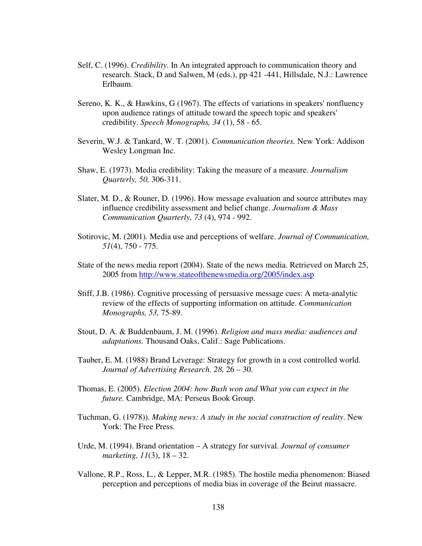- Self, C. (1996). *Credibility*. In An integrated approach to communication theory and research. Stack, D and Salwen, M (eds.), pp 421 -441, Hillsdale, N.J.: Lawrence Erlbaum.
- Sereno, K. K., & Hawkins, G (1967). The effects of variations in speakers' nonfluency upon audience ratings of attitude toward the speech topic and speakers' credibility. *Speech Monographs, 34* (1), 58 - 65.
- Severin, W.J. & Tankard, W. T. (2001). *Communication theories.* New York: Addison Wesley Longman Inc.
- Shaw, E. (1973). Media credibility: Taking the measure of a measure. *Journalism Quarterly, 50,* 306-311.
- Slater, M. D., & Rouner, D. (1996). How message evaluation and source attributes may influence credibility assessment and belief change. *Journalism & Mass Communication Quarterly, 73* (4), 974 - 992.
- Sotirovic, M. (2001). Media use and perceptions of welfare. *Journal of Communication, 51*(4), 750 - 775.
- State of the news media report (2004). State of the news media. Retrieved on March 25, 2005 from http://www.stateofthenewsmedia.org/2005/index.asp
- Stiff, J.B. (1986). Cognitive processing of persuasive message cues: A meta-analytic review of the effects of supporting information on attitude. *Communication Monographs, 53,* 75-89.
- Stout, D. A. & Buddenbaum, J. M. (1996). *Religion and mass media: audiences and adaptations.* Thousand Oaks, Calif.: Sage Publications.
- Tauber, E. M. (1988) Brand Leverage: Strategy for growth in a cost controlled world. *Journal of Advertising Research. 28,* 26 – 30.
- Thomas, E. (2005). *Election 2004: how Bush won and What you can expect in the future.* Cambridge, MA: Perseus Book Group.
- Tuchman, G. (1978)). *Making news: A study in the social construction of reality*. New York: The Free Press.
- Urde, M. (1994). Brand orientation A strategy for survival. *Journal of consumer marketing, 11*(3), 18 – 32.
- Vallone, R.P., Ross, L., & Lepper, M.R. (1985). The hostile media phenomenon: Biased perception and perceptions of media bias in coverage of the Beirut massacre.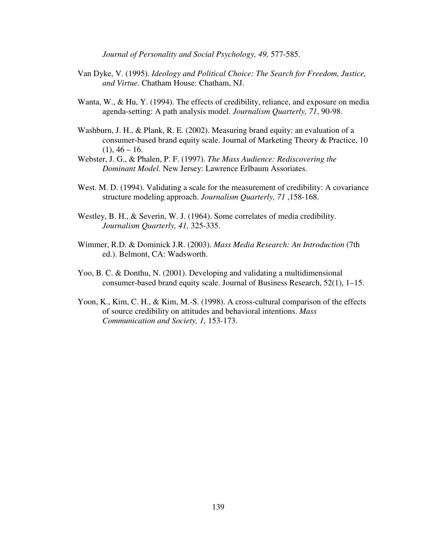*Journal of Personality and Social Psychology, 49,* 577-585.

- Van Dyke, V. (1995). *Ideology and Political Choice: The Search for Freedom, Justice, and Virtue.* Chatham House: Chatham, NJ.
- Wanta, W., & Hu, Y. (1994). The effects of credibility, reliance, and exposure on media agenda-setting: A path analysis model. *Journalism Quarterly, 71*, 90-98.
- Washburn, J. H., & Plank, R. E. (2002). Measuring brand equity: an evaluation of a consumer-based brand equity scale. Journal of Marketing Theory & Practice, 10  $(1), 46 - 16.$
- Webster, J. G., & Phalen, P. F. (1997). *The Mass Audience: Rediscovering the Dominant Model.* New Jersey: Lawrence Erlbaum Assoriates.
- West. M. D. (1994). Validating a scale for the measurement of credibility: A covariance structure modeling approach. *Journalism Quarterly, 71* ,158-168.
- Westley, B. H., & Severin, W. J. (1964). Some correlates of media credibility. *Journalism Quarterly, 41,* 325-335.
- Wimmer, R.D. & Dominick J.R. (2003). *Mass Media Research: An Introduction* (7th ed.). Belmont, CA: Wadsworth.
- Yoo, B. C. & Donthu, N. (2001). Developing and validating a multidimensional consumer-based brand equity scale. Journal of Business Research, 52(1), 1–15.
- Yoon, K., Kim, C. H., & Kim, M.-S. (1998). A cross-cultural comparison of the effects of source credibility on attitudes and behavioral intentions. *Mass Communication and Society, 1,* 153-173.